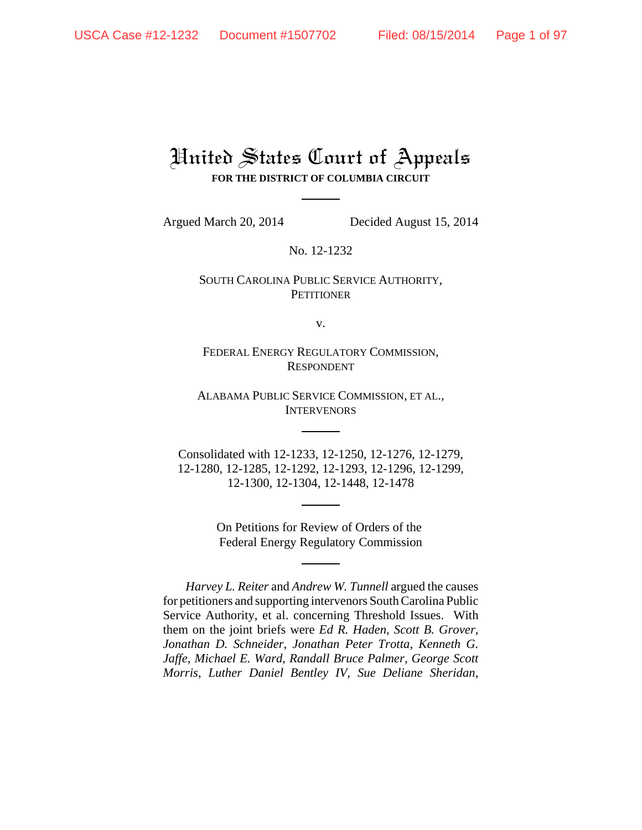# United States Court of Appeals **FOR THE DISTRICT OF COLUMBIA CIRCUIT**

Argued March 20, 2014 Decided August 15, 2014

No. 12-1232

## SOUTH CAROLINA PUBLIC SERVICE AUTHORITY, **PETITIONER**

v.

FEDERAL ENERGY REGULATORY COMMISSION, RESPONDENT

ALABAMA PUBLIC SERVICE COMMISSION, ET AL., INTERVENORS

Consolidated with 12-1233, 12-1250, 12-1276, 12-1279, 12-1280, 12-1285, 12-1292, 12-1293, 12-1296, 12-1299, 12-1300, 12-1304, 12-1448, 12-1478

> On Petitions for Review of Orders of the Federal Energy Regulatory Commission

*Harvey L. Reiter* and *Andrew W. Tunnell* argued the causes for petitioners and supporting intervenors South Carolina Public Service Authority, et al. concerning Threshold Issues. With them on the joint briefs were *Ed R. Haden*, *Scott B. Grover*, *Jonathan D. Schneider*, *Jonathan Peter Trotta*, *Kenneth G. Jaffe*, *Michael E. Ward*, *Randall Bruce Palmer*, *George Scott Morris*, *Luther Daniel Bentley IV*, *Sue Deliane Sheridan*,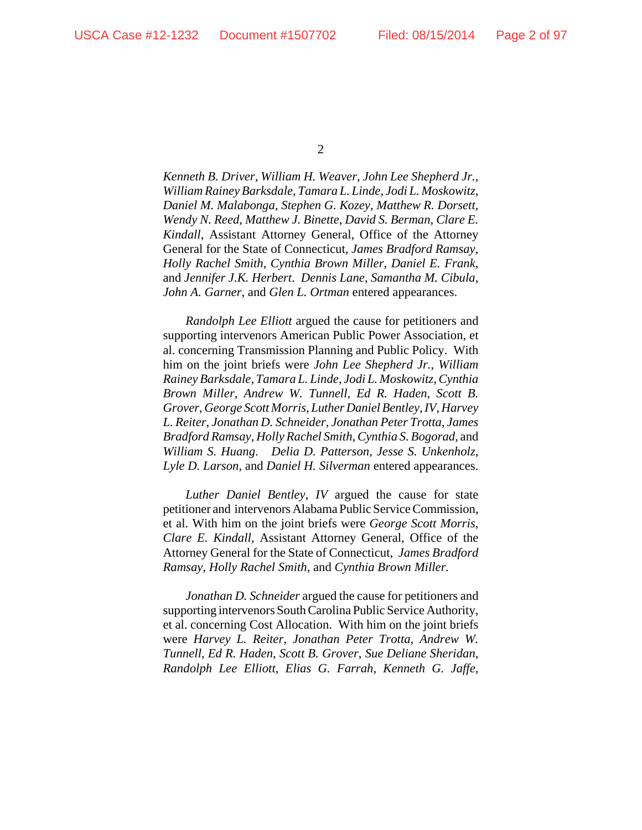*Kenneth B. Driver*, *William H. Weaver*, *John Lee Shepherd Jr.*, *William Rainey Barksdale*, *Tamara L. Linde*, *Jodi L. Moskowitz*, *Daniel M. Malabonga*, *Stephen G. Kozey*, *Matthew R. Dorsett*, *Wendy N. Reed*, *Matthew J. Binette*, *David S. Berman*, *Clare E. Kindall*, Assistant Attorney General, Office of the Attorney General for the State of Connecticut, *James Bradford Ramsay*, *Holly Rachel Smith*, *Cynthia Brown Miller*, *Daniel E. Frank*, and *Jennifer J.K. Herbert*. *Dennis Lane*, *Samantha M. Cibula*, *John A. Garner*, and *Glen L. Ortman* entered appearances.

*Randolph Lee Elliott* argued the cause for petitioners and supporting intervenors American Public Power Association, et al. concerning Transmission Planning and Public Policy. With him on the joint briefs were *John Lee Shepherd Jr.*, *William Rainey Barksdale*, *Tamara L. Linde*, *Jodi L. Moskowitz*, *Cynthia Brown Miller*, *Andrew W. Tunnell*, *Ed R. Haden*, *Scott B. Grover*, *George Scott Morris*, *Luther Daniel Bentley, IV*, *Harvey L. Reiter*, *Jonathan D. Schneider*, *Jonathan Peter Trotta*, *James Bradford Ramsay*, *Holly Rachel Smith*, *Cynthia S. Bogorad*, and *William S. Huang*. *Delia D. Patterson*, *Jesse S. Unkenholz*, *Lyle D. Larson*, and *Daniel H. Silverman* entered appearances.

*Luther Daniel Bentley*, *IV* argued the cause for state petitioner and intervenors Alabama Public Service Commission, et al. With him on the joint briefs were *George Scott Morris*, *Clare E. Kindall*, Assistant Attorney General, Office of the Attorney General for the State of Connecticut, *James Bradford Ramsay*, *Holly Rachel Smith*, and *Cynthia Brown Miller.* 

*Jonathan D. Schneider* argued the cause for petitioners and supporting intervenors South Carolina Public Service Authority, et al. concerning Cost Allocation. With him on the joint briefs were *Harvey L. Reiter*, *Jonathan Peter Trotta*, *Andrew W. Tunnell*, *Ed R. Haden*, *Scott B. Grover*, *Sue Deliane Sheridan*, *Randolph Lee Elliott*, *Elias G. Farrah*, *Kenneth G. Jaffe*,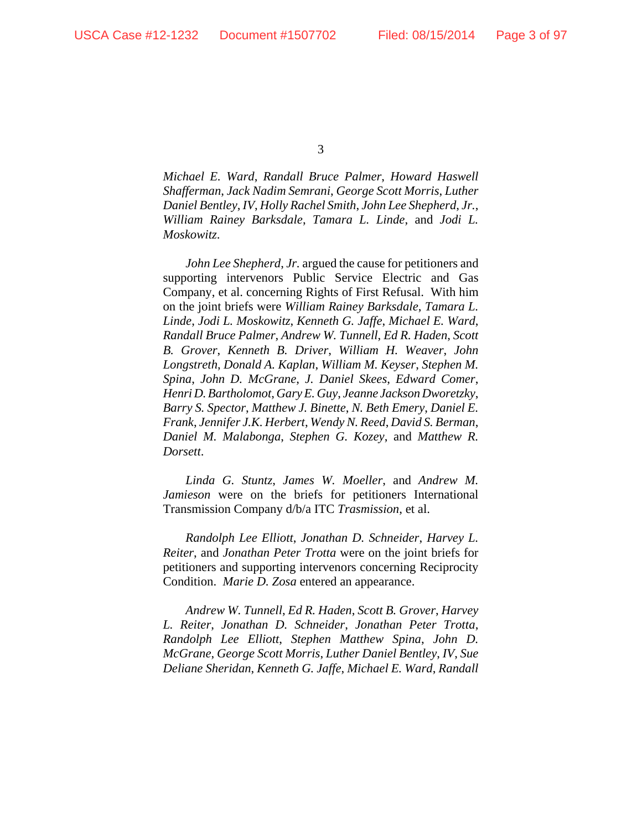*Michael E. Ward*, *Randall Bruce Palmer*, *Howard Haswell Shafferman*, *Jack Nadim Semrani*, *George Scott Morris*, *Luther Daniel Bentley*, *IV*, *Holly Rachel Smith*, *John Lee Shepherd*, *Jr.*, *William Rainey Barksdale*, *Tamara L. Linde*, and *Jodi L. Moskowitz*.

*John Lee Shepherd*, *Jr.* argued the cause for petitioners and supporting intervenors Public Service Electric and Gas Company, et al. concerning Rights of First Refusal. With him on the joint briefs were *William Rainey Barksdale*, *Tamara L. Linde*, *Jodi L. Moskowitz*, *Kenneth G. Jaffe*, *Michael E. Ward*, *Randall Bruce Palmer*, *Andrew W. Tunnell*, *Ed R. Haden*, *Scott B. Grover*, *Kenneth B. Driver*, *William H. Weaver*, *John Longstreth*, *Donald A. Kaplan*, *William M. Keyser*, *Stephen M. Spina*, *John D. McGrane*, *J. Daniel Skees*, *Edward Comer*, *Henri D. Bartholomot*, *Gary E. Guy*, *Jeanne Jackson Dworetzky*, *Barry S. Spector*, *Matthew J. Binette*, *N. Beth Emery*, *Daniel E. Frank*, *Jennifer J.K. Herbert*, *Wendy N. Reed*, *David S. Berman*, *Daniel M. Malabonga*, *Stephen G. Kozey*, and *Matthew R. Dorsett*.

*Linda G. Stuntz*, *James W. Moeller*, and *Andrew M. Jamieson* were on the briefs for petitioners International Transmission Company d/b/a ITC *Trasmission*, et al.

*Randolph Lee Elliott*, *Jonathan D. Schneider*, *Harvey L. Reiter*, and *Jonathan Peter Trotta* were on the joint briefs for petitioners and supporting intervenors concerning Reciprocity Condition. *Marie D. Zosa* entered an appearance.

*Andrew W. Tunnell*, *Ed R. Haden*, *Scott B. Grover*, *Harvey L. Reiter*, *Jonathan D. Schneider*, *Jonathan Peter Trotta*, *Randolph Lee Elliott*, *Stephen Matthew Spina*, *John D. McGrane*, *George Scott Morris*, *Luther Daniel Bentley*, *IV*, *Sue Deliane Sheridan*, *Kenneth G. Jaffe*, *Michael E. Ward*, *Randall*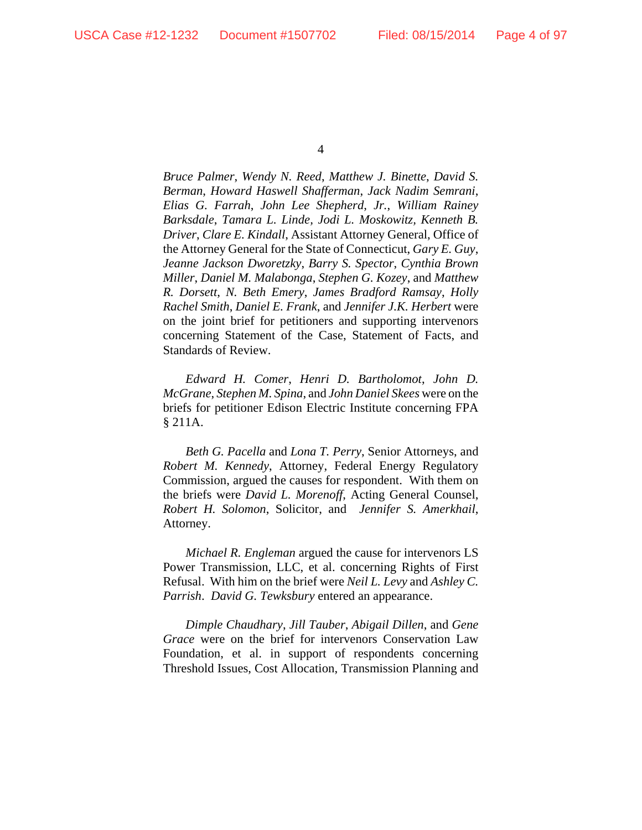*Bruce Palmer*, *Wendy N. Reed*, *Matthew J. Binette*, *David S. Berman*, *Howard Haswell Shafferman*, *Jack Nadim Semrani*, *Elias G. Farrah*, *John Lee Shepherd*, *Jr.*, *William Rainey Barksdale*, *Tamara L. Linde, Jodi L. Moskowitz, Kenneth B. Driver*, *Clare E. Kindall*, Assistant Attorney General, Office of the Attorney General for the State of Connecticut, *Gary E. Guy*, *Jeanne Jackson Dworetzky*, *Barry S. Spector*, *Cynthia Brown Miller*, *Daniel M. Malabonga*, *Stephen G. Kozey*, and *Matthew R. Dorsett*, *N. Beth Emery*, *James Bradford Ramsay*, *Holly Rachel Smith*, *Daniel E. Frank*, and *Jennifer J.K. Herbert* were on the joint brief for petitioners and supporting intervenors concerning Statement of the Case, Statement of Facts, and Standards of Review.

*Edward H. Comer*, *Henri D. Bartholomot*, *John D. McGrane*, *Stephen M. Spina*, and *John Daniel Skees* were on the briefs for petitioner Edison Electric Institute concerning FPA § 211A.

*Beth G. Pacella* and *Lona T. Perry*, Senior Attorneys, and *Robert M. Kennedy*, Attorney, Federal Energy Regulatory Commission, argued the causes for respondent. With them on the briefs were *David L. Morenoff*, Acting General Counsel, *Robert H. Solomon*, Solicitor, and *Jennifer S. Amerkhail*, Attorney.

*Michael R. Engleman* argued the cause for intervenors LS Power Transmission, LLC, et al. concerning Rights of First Refusal. With him on the brief were *Neil L. Levy* and *Ashley C. Parrish*. *David G. Tewksbury* entered an appearance.

*Dimple Chaudhary*, *Jill Tauber*, *Abigail Dillen*, and *Gene Grace* were on the brief for intervenors Conservation Law Foundation, et al. in support of respondents concerning Threshold Issues, Cost Allocation, Transmission Planning and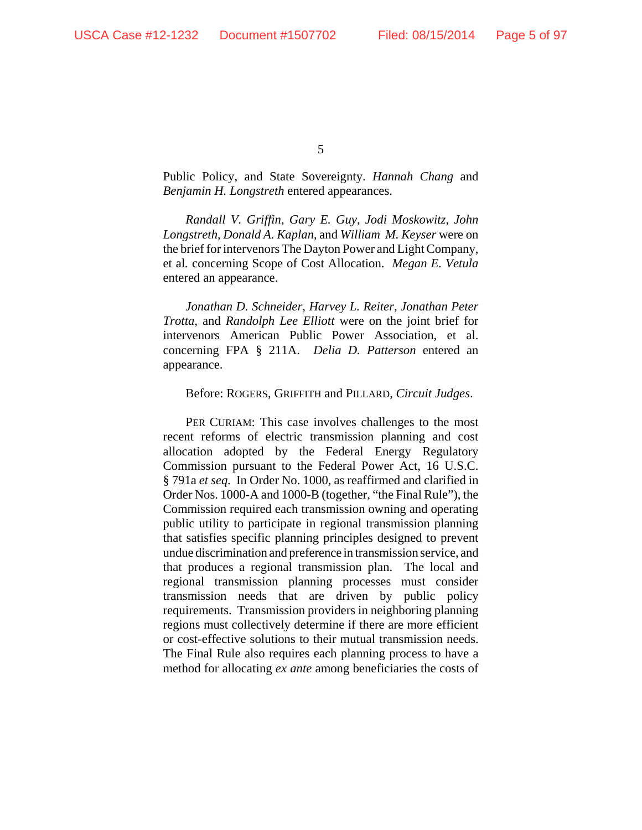Public Policy, and State Sovereignty. *Hannah Chang* and *Benjamin H. Longstreth* entered appearances.

*Randall V. Griffin*, *Gary E. Guy*, *Jodi Moskowitz*, *John Longstreth*, *Donald A. Kaplan*, and *William M. Keyser* were on the brief for intervenors The Dayton Power and Light Company, et al*.* concerning Scope of Cost Allocation. *Megan E. Vetula* entered an appearance.

*Jonathan D. Schneider*, *Harvey L. Reiter*, *Jonathan Peter Trotta*, and *Randolph Lee Elliott* were on the joint brief for intervenors American Public Power Association, et al. concerning FPA § 211A. *Delia D. Patterson* entered an appearance.

#### Before: ROGERS, GRIFFITH and PILLARD, *Circuit Judges*.

PER CURIAM: This case involves challenges to the most recent reforms of electric transmission planning and cost allocation adopted by the Federal Energy Regulatory Commission pursuant to the Federal Power Act, 16 U.S.C. § 791a *et seq.* In Order No. 1000, as reaffirmed and clarified in Order Nos. 1000-A and 1000-B (together, "the Final Rule"), the Commission required each transmission owning and operating public utility to participate in regional transmission planning that satisfies specific planning principles designed to prevent undue discrimination and preference in transmission service, and that produces a regional transmission plan. The local and regional transmission planning processes must consider transmission needs that are driven by public policy requirements. Transmission providers in neighboring planning regions must collectively determine if there are more efficient or cost-effective solutions to their mutual transmission needs. The Final Rule also requires each planning process to have a method for allocating *ex ante* among beneficiaries the costs of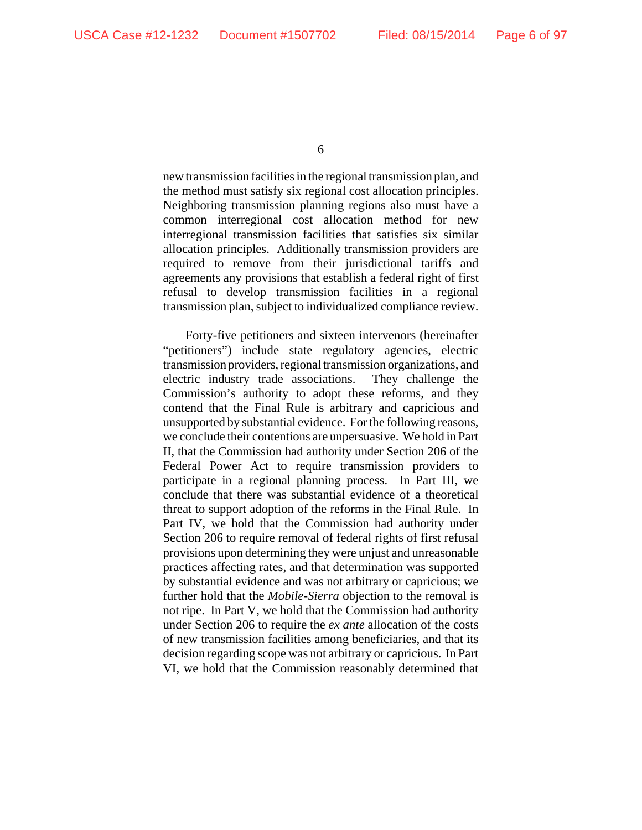new transmission facilities in the regional transmission plan, and the method must satisfy six regional cost allocation principles. Neighboring transmission planning regions also must have a common interregional cost allocation method for new interregional transmission facilities that satisfies six similar allocation principles. Additionally transmission providers are required to remove from their jurisdictional tariffs and agreements any provisions that establish a federal right of first refusal to develop transmission facilities in a regional transmission plan, subject to individualized compliance review.

Forty-five petitioners and sixteen intervenors (hereinafter "petitioners") include state regulatory agencies, electric transmission providers, regional transmission organizations, and electric industry trade associations. They challenge the Commission's authority to adopt these reforms, and they contend that the Final Rule is arbitrary and capricious and unsupported by substantial evidence. For the following reasons, we conclude their contentions are unpersuasive. We hold in Part II, that the Commission had authority under Section 206 of the Federal Power Act to require transmission providers to participate in a regional planning process. In Part III, we conclude that there was substantial evidence of a theoretical threat to support adoption of the reforms in the Final Rule. In Part IV, we hold that the Commission had authority under Section 206 to require removal of federal rights of first refusal provisions upon determining they were unjust and unreasonable practices affecting rates, and that determination was supported by substantial evidence and was not arbitrary or capricious; we further hold that the *Mobile-Sierra* objection to the removal is not ripe. In Part V, we hold that the Commission had authority under Section 206 to require the *ex ante* allocation of the costs of new transmission facilities among beneficiaries, and that its decision regarding scope was not arbitrary or capricious. In Part VI, we hold that the Commission reasonably determined that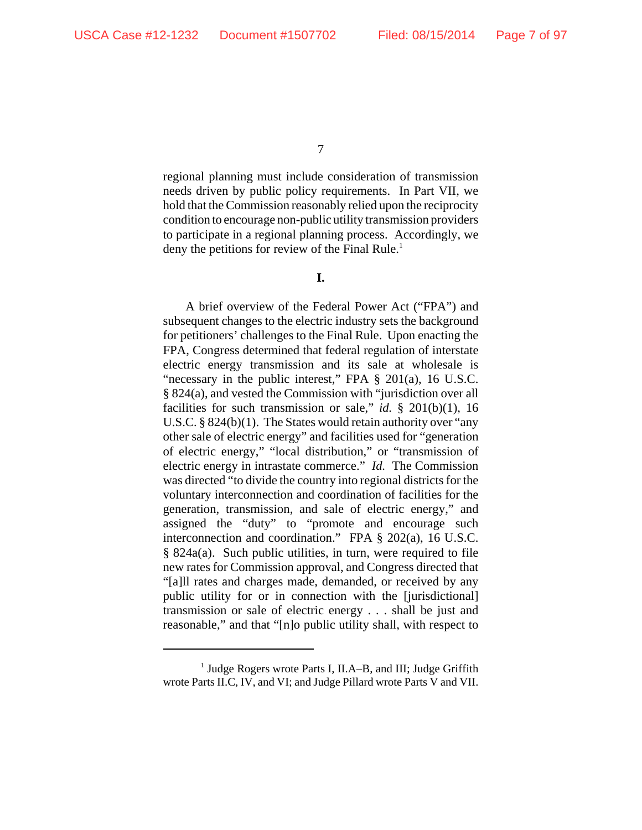regional planning must include consideration of transmission needs driven by public policy requirements. In Part VII, we hold that the Commission reasonably relied upon the reciprocity condition to encourage non-public utility transmission providers to participate in a regional planning process. Accordingly, we deny the petitions for review of the Final Rule.<sup>1</sup>

**I.**

A brief overview of the Federal Power Act ("FPA") and subsequent changes to the electric industry sets the background for petitioners' challenges to the Final Rule. Upon enacting the FPA, Congress determined that federal regulation of interstate electric energy transmission and its sale at wholesale is "necessary in the public interest," FPA § 201(a), 16 U.S.C. § 824(a), and vested the Commission with "jurisdiction over all facilities for such transmission or sale," *id.*  $\S$  201(b)(1), 16 U.S.C. § 824(b)(1). The States would retain authority over "any other sale of electric energy" and facilities used for "generation of electric energy," "local distribution," or "transmission of electric energy in intrastate commerce." *Id.* The Commission was directed "to divide the country into regional districts for the voluntary interconnection and coordination of facilities for the generation, transmission, and sale of electric energy," and assigned the "duty" to "promote and encourage such interconnection and coordination." FPA § 202(a), 16 U.S.C. § 824a(a). Such public utilities, in turn, were required to file new rates for Commission approval, and Congress directed that "[a]ll rates and charges made, demanded, or received by any public utility for or in connection with the [jurisdictional] transmission or sale of electric energy . . . shall be just and reasonable," and that "[n]o public utility shall, with respect to

<sup>&</sup>lt;sup>1</sup> Judge Rogers wrote Parts I, II.A–B, and III; Judge Griffith wrote Parts II.C, IV, and VI; and Judge Pillard wrote Parts V and VII.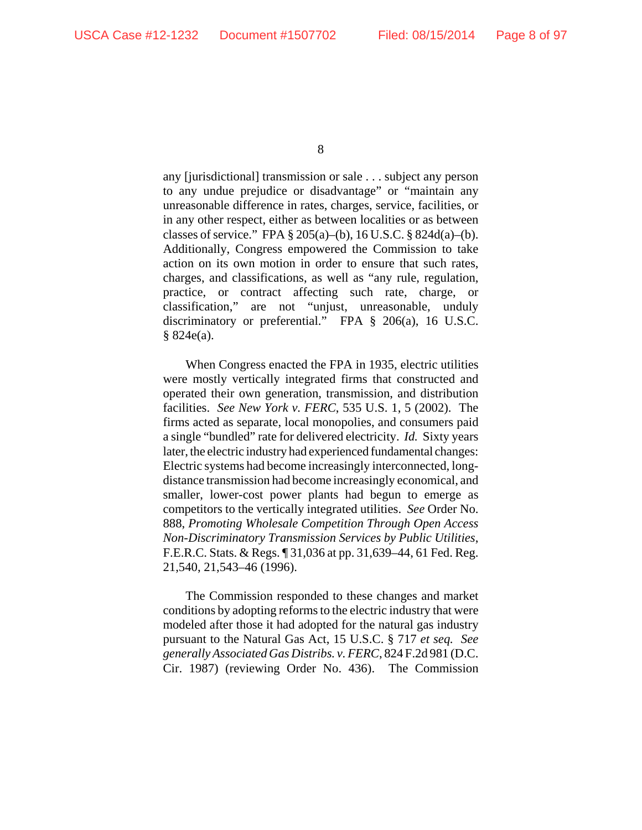any [jurisdictional] transmission or sale . . . subject any person to any undue prejudice or disadvantage" or "maintain any unreasonable difference in rates, charges, service, facilities, or in any other respect, either as between localities or as between classes of service." FPA  $\S 205(a)$ –(b), 16 U.S.C.  $\S 824d(a)$ –(b). Additionally, Congress empowered the Commission to take action on its own motion in order to ensure that such rates, charges, and classifications, as well as "any rule, regulation, practice, or contract affecting such rate, charge, or classification," are not "unjust, unreasonable, unduly discriminatory or preferential." FPA § 206(a), 16 U.S.C. § 824e(a).

When Congress enacted the FPA in 1935, electric utilities were mostly vertically integrated firms that constructed and operated their own generation, transmission, and distribution facilities. *See New York v. FERC*, 535 U.S. 1, 5 (2002). The firms acted as separate, local monopolies, and consumers paid a single "bundled" rate for delivered electricity. *Id.* Sixty years later, the electric industry had experienced fundamental changes: Electric systems had become increasingly interconnected, longdistance transmission had become increasingly economical, and smaller, lower-cost power plants had begun to emerge as competitors to the vertically integrated utilities. *See* Order No. 888, *Promoting Wholesale Competition Through Open Access Non-Discriminatory Transmission Services by Public Utilities*, F.E.R.C. Stats. & Regs. ¶ 31,036 at pp. 31,639–44, 61 Fed. Reg. 21,540, 21,543–46 (1996).

The Commission responded to these changes and market conditions by adopting reforms to the electric industry that were modeled after those it had adopted for the natural gas industry pursuant to the Natural Gas Act, 15 U.S.C. § 717 *et seq. See generally Associated Gas Distribs. v. FERC*, 824 F.2d 981 (D.C. Cir. 1987) (reviewing Order No. 436). The Commission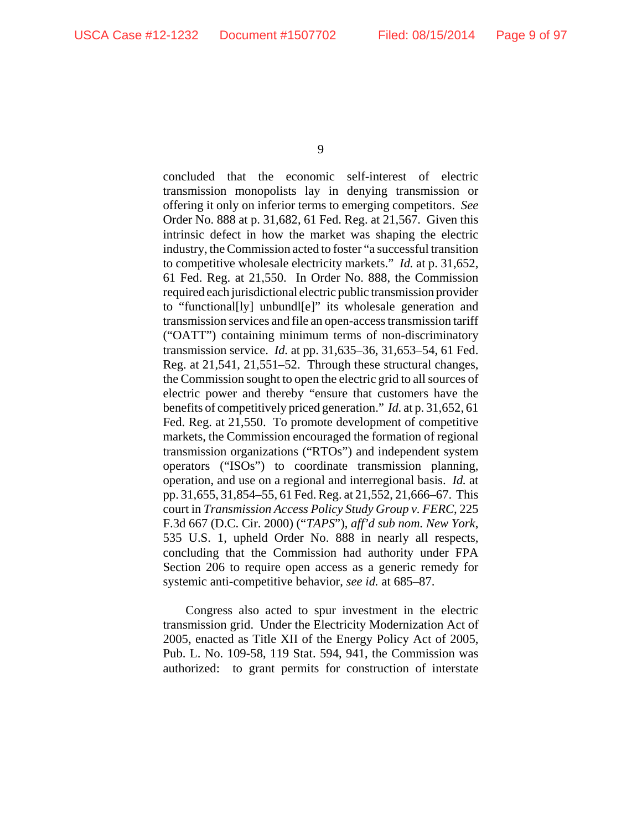concluded that the economic self-interest of electric transmission monopolists lay in denying transmission or offering it only on inferior terms to emerging competitors. *See* Order No. 888 at p. 31,682, 61 Fed. Reg. at 21,567. Given this intrinsic defect in how the market was shaping the electric industry, the Commission acted to foster "a successful transition to competitive wholesale electricity markets." *Id.* at p. 31,652, 61 Fed. Reg. at 21,550. In Order No. 888, the Commission required each jurisdictional electric public transmission provider to "functional[ly] unbundl[e]" its wholesale generation and transmission services and file an open-access transmission tariff ("OATT") containing minimum terms of non-discriminatory transmission service. *Id.* at pp. 31,635–36, 31,653–54, 61 Fed. Reg. at 21,541, 21,551–52. Through these structural changes, the Commission sought to open the electric grid to all sources of electric power and thereby "ensure that customers have the benefits of competitively priced generation." *Id.* at p. 31,652, 61 Fed. Reg. at 21,550. To promote development of competitive markets, the Commission encouraged the formation of regional transmission organizations ("RTOs") and independent system operators ("ISOs") to coordinate transmission planning, operation, and use on a regional and interregional basis. *Id.* at pp. 31,655, 31,854–55, 61 Fed. Reg. at 21,552, 21,666–67. This court in *Transmission Access Policy Study Group v. FERC*, 225 F.3d 667 (D.C. Cir. 2000) ("*TAPS*"), *aff'd sub nom. New York*, 535 U.S. 1, upheld Order No. 888 in nearly all respects, concluding that the Commission had authority under FPA Section 206 to require open access as a generic remedy for systemic anti-competitive behavior, *see id.* at 685–87.

Congress also acted to spur investment in the electric transmission grid. Under the Electricity Modernization Act of 2005, enacted as Title XII of the Energy Policy Act of 2005, Pub. L. No. 109-58, 119 Stat. 594, 941, the Commission was authorized: to grant permits for construction of interstate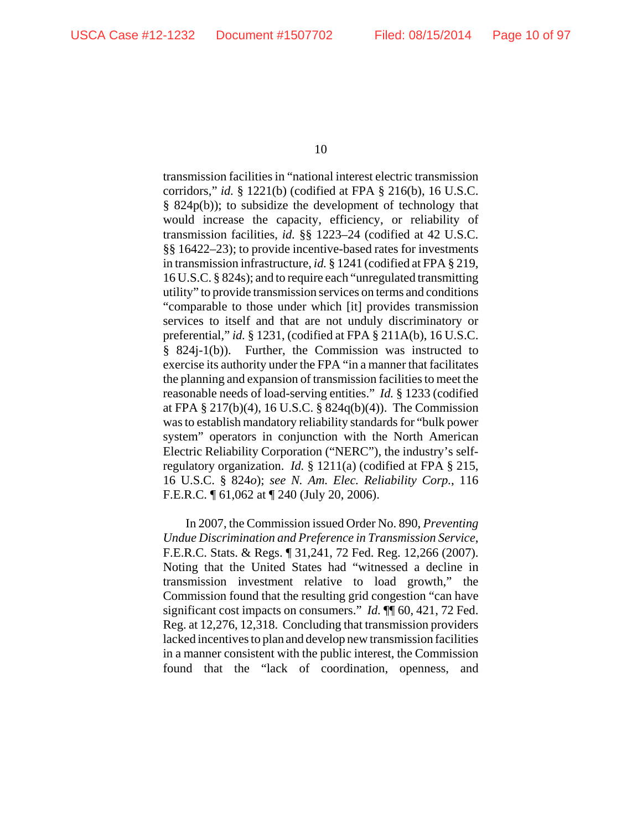transmission facilities in "national interest electric transmission corridors," *id.* § 1221(b) (codified at FPA § 216(b), 16 U.S.C. § 824p(b)); to subsidize the development of technology that would increase the capacity, efficiency, or reliability of transmission facilities, *id.* §§ 1223–24 (codified at 42 U.S.C. §§ 16422–23); to provide incentive-based rates for investments in transmission infrastructure, *id.* § 1241 (codified at FPA § 219, 16 U.S.C. § 824s); and to require each "unregulated transmitting utility" to provide transmission services on terms and conditions "comparable to those under which [it] provides transmission services to itself and that are not unduly discriminatory or preferential," *id.* § 1231, (codified at FPA § 211A(b), 16 U.S.C. § 824j-1(b)). Further, the Commission was instructed to exercise its authority under the FPA "in a manner that facilitates the planning and expansion of transmission facilities to meet the reasonable needs of load-serving entities." *Id.* § 1233 (codified at FPA § 217(b)(4), 16 U.S.C. § 824q(b)(4)). The Commission was to establish mandatory reliability standards for "bulk power system" operators in conjunction with the North American Electric Reliability Corporation ("NERC"), the industry's selfregulatory organization. *Id.* § 1211(a) (codified at FPA § 215, 16 U.S.C. § 824*o*); *see N. Am. Elec. Reliability Corp.*, 116 F.E.R.C. ¶ 61,062 at ¶ 240 (July 20, 2006).

In 2007, the Commission issued Order No. 890, *Preventing Undue Discrimination and Preference in Transmission Service*, F.E.R.C. Stats. & Regs. ¶ 31,241, 72 Fed. Reg. 12,266 (2007). Noting that the United States had "witnessed a decline in transmission investment relative to load growth," the Commission found that the resulting grid congestion "can have significant cost impacts on consumers." *Id.* ¶¶ 60, 421, 72 Fed. Reg. at 12,276, 12,318. Concluding that transmission providers lacked incentives to plan and develop new transmission facilities in a manner consistent with the public interest, the Commission found that the "lack of coordination, openness, and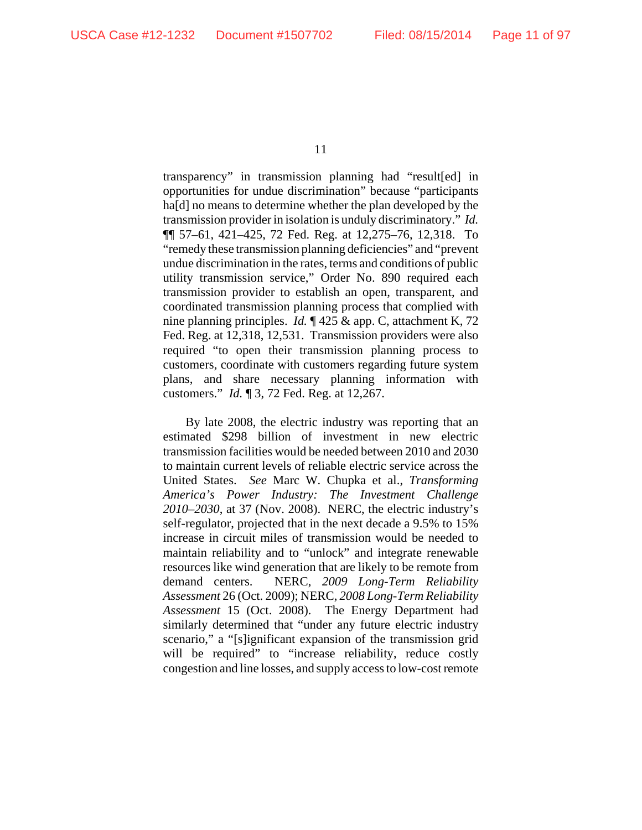transparency" in transmission planning had "result[ed] in opportunities for undue discrimination" because "participants ha<sup>[d]</sup> no means to determine whether the plan developed by the transmission provider in isolation is unduly discriminatory." *Id.* ¶¶ 57–61, 421–425, 72 Fed. Reg. at 12,275–76, 12,318. To "remedy these transmission planning deficiencies" and "prevent undue discrimination in the rates, terms and conditions of public utility transmission service," Order No. 890 required each transmission provider to establish an open, transparent, and coordinated transmission planning process that complied with nine planning principles. *Id.* ¶ 425 & app. C, attachment K, 72 Fed. Reg. at 12,318, 12,531. Transmission providers were also required "to open their transmission planning process to customers, coordinate with customers regarding future system plans, and share necessary planning information with customers." *Id.* ¶ 3, 72 Fed. Reg. at 12,267.

By late 2008, the electric industry was reporting that an estimated \$298 billion of investment in new electric transmission facilities would be needed between 2010 and 2030 to maintain current levels of reliable electric service across the United States. *See* Marc W. Chupka et al., *Transforming America's Power Industry: The Investment Challenge 2010–2030*, at 37 (Nov. 2008). NERC, the electric industry's self-regulator, projected that in the next decade a 9.5% to 15% increase in circuit miles of transmission would be needed to maintain reliability and to "unlock" and integrate renewable resources like wind generation that are likely to be remote from demand centers. NERC, *2009 Long-Term Reliability Assessment* 26 (Oct. 2009); NERC, *2008 Long-Term Reliability Assessment* 15 (Oct. 2008). The Energy Department had similarly determined that "under any future electric industry scenario," a "[s]ignificant expansion of the transmission grid will be required" to "increase reliability, reduce costly congestion and line losses, and supply access to low-cost remote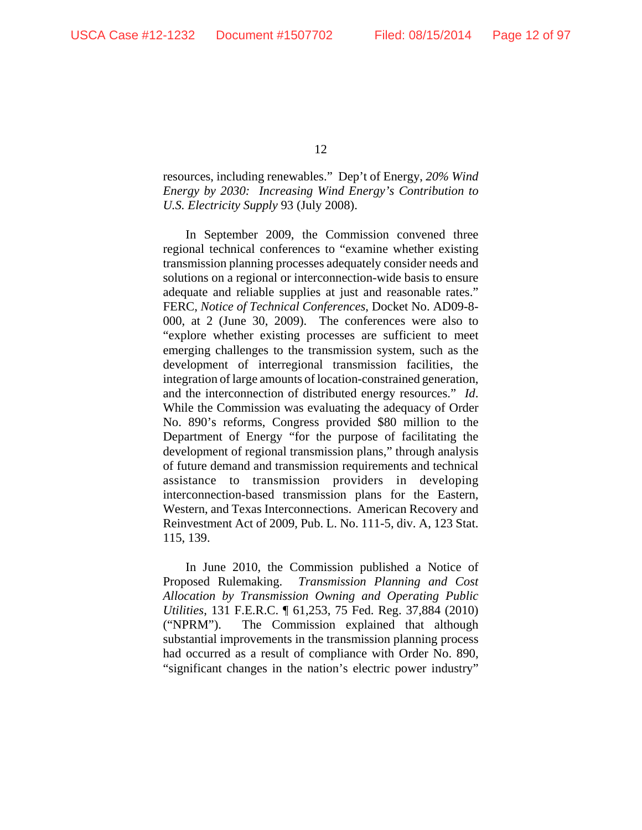resources, including renewables." Dep't of Energy, *20% Wind Energy by 2030: Increasing Wind Energy's Contribution to U.S. Electricity Supply* 93 (July 2008).

In September 2009, the Commission convened three regional technical conferences to "examine whether existing transmission planning processes adequately consider needs and solutions on a regional or interconnection-wide basis to ensure adequate and reliable supplies at just and reasonable rates." FERC, *Notice of Technical Conferences*, Docket No. AD09-8- 000, at 2 (June 30, 2009). The conferences were also to "explore whether existing processes are sufficient to meet emerging challenges to the transmission system, such as the development of interregional transmission facilities, the integration of large amounts of location-constrained generation, and the interconnection of distributed energy resources." *Id*. While the Commission was evaluating the adequacy of Order No. 890's reforms, Congress provided \$80 million to the Department of Energy "for the purpose of facilitating the development of regional transmission plans," through analysis of future demand and transmission requirements and technical assistance to transmission providers in developing interconnection-based transmission plans for the Eastern, Western, and Texas Interconnections. American Recovery and Reinvestment Act of 2009, Pub. L. No. 111-5, div. A, 123 Stat. 115, 139.

In June 2010, the Commission published a Notice of Proposed Rulemaking. *Transmission Planning and Cost Allocation by Transmission Owning and Operating Public Utilities*, 131 F.E.R.C. ¶ 61,253, 75 Fed. Reg. 37,884 (2010) ("NPRM"). The Commission explained that although substantial improvements in the transmission planning process had occurred as a result of compliance with Order No. 890, "significant changes in the nation's electric power industry"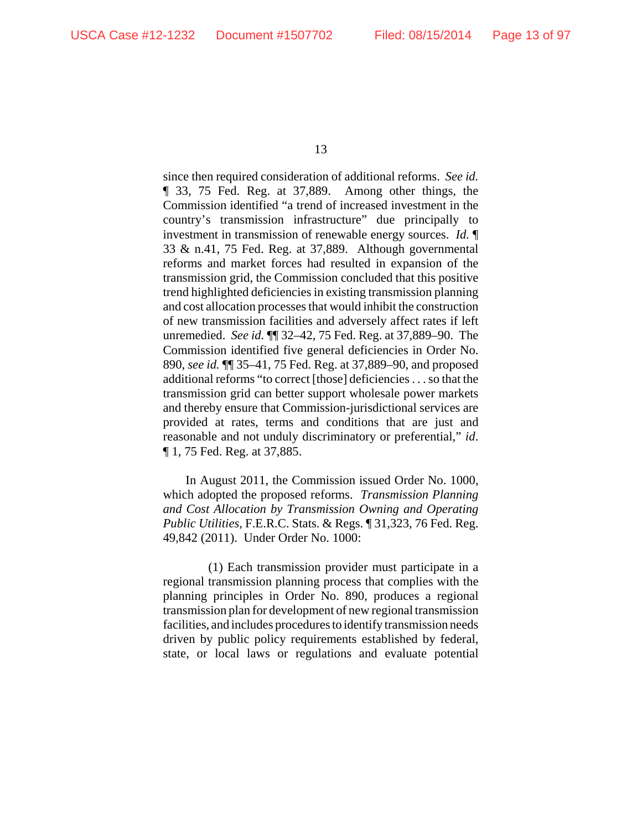since then required consideration of additional reforms. *See id.* ¶ 33, 75 Fed. Reg. at 37,889. Among other things, the Commission identified "a trend of increased investment in the country's transmission infrastructure" due principally to investment in transmission of renewable energy sources. *Id.* ¶ 33 & n.41, 75 Fed. Reg. at 37,889. Although governmental reforms and market forces had resulted in expansion of the transmission grid, the Commission concluded that this positive trend highlighted deficiencies in existing transmission planning and cost allocation processes that would inhibit the construction of new transmission facilities and adversely affect rates if left unremedied. *See id.* ¶¶ 32–42, 75 Fed. Reg. at 37,889–90. The Commission identified five general deficiencies in Order No. 890, *see id.* ¶¶ 35–41, 75 Fed. Reg. at 37,889–90, and proposed additional reforms "to correct [those] deficiencies . . . so that the transmission grid can better support wholesale power markets and thereby ensure that Commission-jurisdictional services are provided at rates, terms and conditions that are just and reasonable and not unduly discriminatory or preferential," *id*. ¶ 1, 75 Fed. Reg. at 37,885.

In August 2011, the Commission issued Order No. 1000, which adopted the proposed reforms. *Transmission Planning and Cost Allocation by Transmission Owning and Operating Public Utilities*, F.E.R.C. Stats. & Regs. ¶ 31,323, 76 Fed. Reg. 49,842 (2011). Under Order No. 1000:

(1) Each transmission provider must participate in a regional transmission planning process that complies with the planning principles in Order No. 890, produces a regional transmission plan for development of new regional transmission facilities, and includes procedures to identify transmission needs driven by public policy requirements established by federal, state, or local laws or regulations and evaluate potential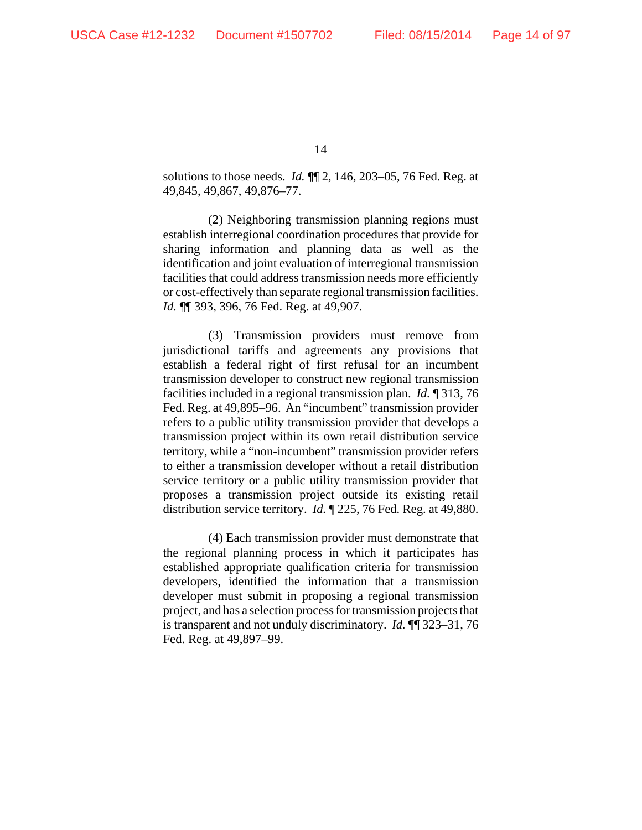solutions to those needs. *Id.* ¶¶ 2, 146, 203–05, 76 Fed. Reg. at 49,845, 49,867, 49,876–77.

(2) Neighboring transmission planning regions must establish interregional coordination procedures that provide for sharing information and planning data as well as the identification and joint evaluation of interregional transmission facilities that could address transmission needs more efficiently or cost-effectively than separate regional transmission facilities. *Id.* ¶¶ 393, 396, 76 Fed. Reg. at 49,907.

(3) Transmission providers must remove from jurisdictional tariffs and agreements any provisions that establish a federal right of first refusal for an incumbent transmission developer to construct new regional transmission facilities included in a regional transmission plan. *Id.* ¶ 313, 76 Fed. Reg. at 49,895–96. An "incumbent" transmission provider refers to a public utility transmission provider that develops a transmission project within its own retail distribution service territory, while a "non-incumbent" transmission provider refers to either a transmission developer without a retail distribution service territory or a public utility transmission provider that proposes a transmission project outside its existing retail distribution service territory. *Id.* ¶ 225, 76 Fed. Reg. at 49,880.

(4) Each transmission provider must demonstrate that the regional planning process in which it participates has established appropriate qualification criteria for transmission developers, identified the information that a transmission developer must submit in proposing a regional transmission project, and has a selection process for transmission projects that is transparent and not unduly discriminatory. *Id.* ¶¶ 323–31, 76 Fed. Reg. at 49,897–99.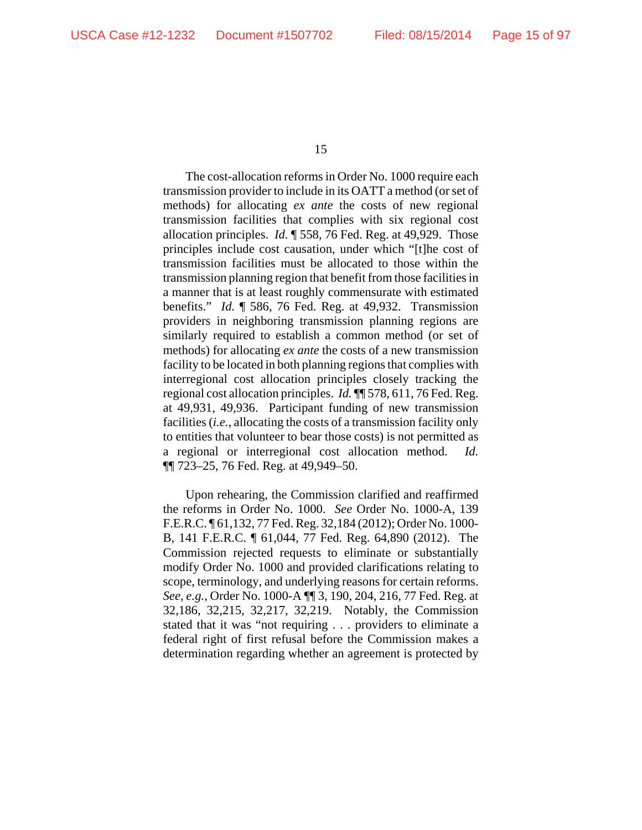The cost-allocation reforms in Order No. 1000 require each transmission provider to include in its OATT a method (or set of methods) for allocating *ex ante* the costs of new regional transmission facilities that complies with six regional cost allocation principles. *Id.* ¶ 558, 76 Fed. Reg. at 49,929. Those principles include cost causation, under which "[t]he cost of transmission facilities must be allocated to those within the transmission planning region that benefit from those facilities in a manner that is at least roughly commensurate with estimated benefits." *Id.* ¶ 586, 76 Fed. Reg. at 49,932. Transmission providers in neighboring transmission planning regions are similarly required to establish a common method (or set of methods) for allocating *ex ante* the costs of a new transmission facility to be located in both planning regions that complies with interregional cost allocation principles closely tracking the regional cost allocation principles. *Id.* ¶¶ 578, 611, 76 Fed. Reg. at 49,931, 49,936. Participant funding of new transmission facilities (*i.e.*, allocating the costs of a transmission facility only to entities that volunteer to bear those costs) is not permitted as a regional or interregional cost allocation method. *Id.* ¶¶ 723–25, 76 Fed. Reg. at 49,949–50.

Upon rehearing, the Commission clarified and reaffirmed the reforms in Order No. 1000. *See* Order No. 1000-A, 139 F.E.R.C. ¶ 61,132, 77 Fed. Reg. 32,184 (2012); Order No. 1000- B, 141 F.E.R.C. ¶ 61,044, 77 Fed. Reg. 64,890 (2012). The Commission rejected requests to eliminate or substantially modify Order No. 1000 and provided clarifications relating to scope, terminology, and underlying reasons for certain reforms. *See, e.g.*, Order No. 1000-A ¶¶ 3, 190, 204, 216, 77 Fed. Reg. at 32,186, 32,215, 32,217, 32,219. Notably, the Commission stated that it was "not requiring . . . providers to eliminate a federal right of first refusal before the Commission makes a determination regarding whether an agreement is protected by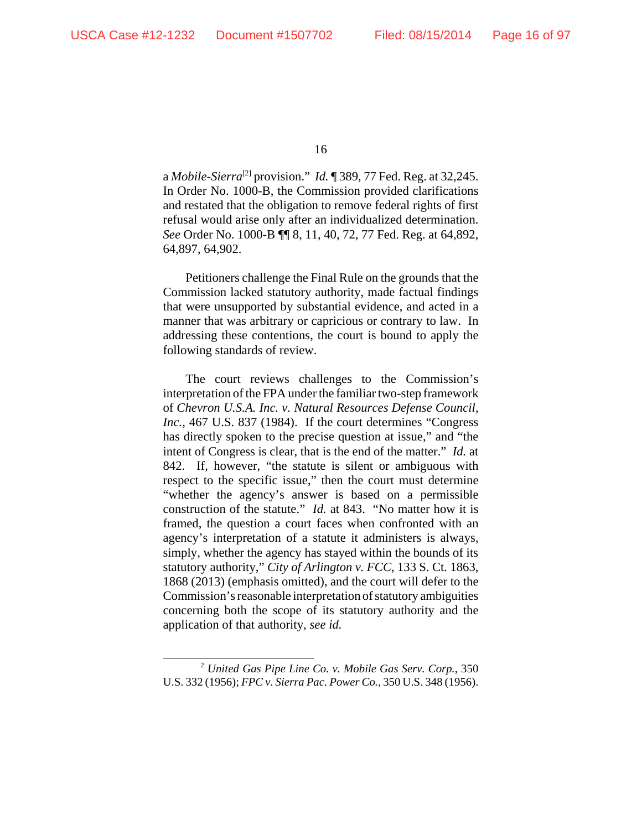a *Mobile-Sierra*[2] provision." *Id.* ¶ 389, 77 Fed. Reg. at 32,245. In Order No. 1000-B, the Commission provided clarifications and restated that the obligation to remove federal rights of first refusal would arise only after an individualized determination. *See* Order No. 1000-B ¶¶ 8, 11, 40, 72, 77 Fed. Reg. at 64,892, 64,897, 64,902.

Petitioners challenge the Final Rule on the grounds that the Commission lacked statutory authority, made factual findings that were unsupported by substantial evidence, and acted in a manner that was arbitrary or capricious or contrary to law. In addressing these contentions, the court is bound to apply the following standards of review.

The court reviews challenges to the Commission's interpretation of the FPA under the familiar two-step framework of *Chevron U.S.A. Inc. v. Natural Resources Defense Council, Inc.*, 467 U.S. 837 (1984). If the court determines "Congress has directly spoken to the precise question at issue," and "the intent of Congress is clear, that is the end of the matter." *Id.* at 842. If, however, "the statute is silent or ambiguous with respect to the specific issue," then the court must determine "whether the agency's answer is based on a permissible construction of the statute." *Id.* at 843. "No matter how it is framed, the question a court faces when confronted with an agency's interpretation of a statute it administers is always, simply, whether the agency has stayed within the bounds of its statutory authority," *City of Arlington v. FCC*, 133 S. Ct. 1863, 1868 (2013) (emphasis omitted), and the court will defer to the Commission's reasonable interpretation of statutory ambiguities concerning both the scope of its statutory authority and the application of that authority, *see id.*

<sup>2</sup> *United Gas Pipe Line Co. v. Mobile Gas Serv. Corp.*, 350 U.S. 332 (1956); *FPC v. Sierra Pac. Power Co.*, 350 U.S. 348 (1956).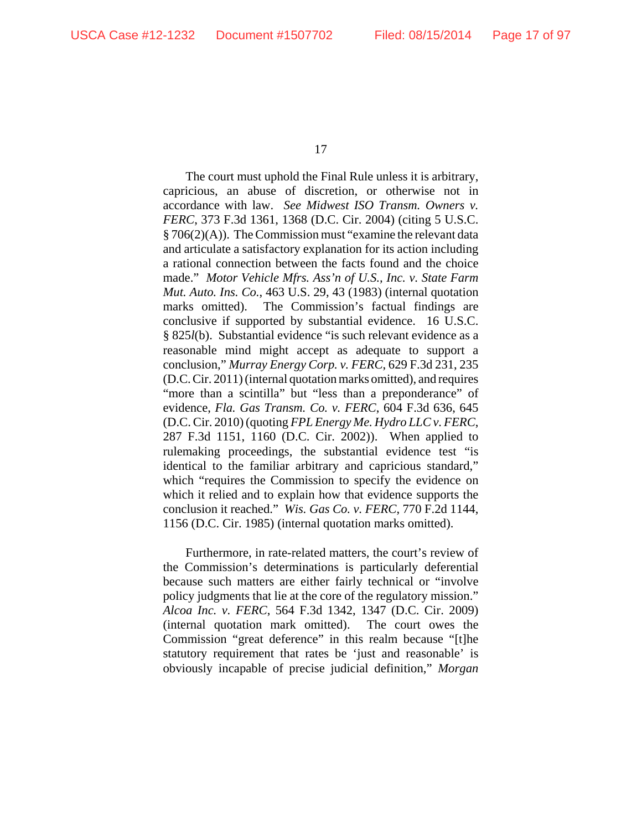The court must uphold the Final Rule unless it is arbitrary, capricious, an abuse of discretion, or otherwise not in accordance with law. *See Midwest ISO Transm. Owners v. FERC*, 373 F.3d 1361, 1368 (D.C. Cir. 2004) (citing 5 U.S.C. § 706(2)(A)). The Commission must "examine the relevant data and articulate a satisfactory explanation for its action including a rational connection between the facts found and the choice made." *Motor Vehicle Mfrs. Ass'n of U.S., Inc. v. State Farm Mut. Auto. Ins. Co.*, 463 U.S. 29, 43 (1983) (internal quotation marks omitted). The Commission's factual findings are conclusive if supported by substantial evidence. 16 U.S.C. § 825*l*(b). Substantial evidence "is such relevant evidence as a reasonable mind might accept as adequate to support a conclusion," *Murray Energy Corp. v. FERC*, 629 F.3d 231, 235 (D.C. Cir. 2011) (internal quotation marks omitted), and requires "more than a scintilla" but "less than a preponderance" of evidence, *Fla. Gas Transm. Co. v. FERC*, 604 F.3d 636, 645 (D.C. Cir. 2010) (quoting *FPL Energy Me. Hydro LLC v. FERC*, 287 F.3d 1151, 1160 (D.C. Cir. 2002)). When applied to rulemaking proceedings, the substantial evidence test "is identical to the familiar arbitrary and capricious standard," which "requires the Commission to specify the evidence on which it relied and to explain how that evidence supports the conclusion it reached." *Wis. Gas Co. v. FERC*, 770 F.2d 1144, 1156 (D.C. Cir. 1985) (internal quotation marks omitted).

Furthermore, in rate-related matters, the court's review of the Commission's determinations is particularly deferential because such matters are either fairly technical or "involve policy judgments that lie at the core of the regulatory mission." *Alcoa Inc. v. FERC*, 564 F.3d 1342, 1347 (D.C. Cir. 2009) (internal quotation mark omitted). The court owes the Commission "great deference" in this realm because "[t]he statutory requirement that rates be 'just and reasonable' is obviously incapable of precise judicial definition," *Morgan*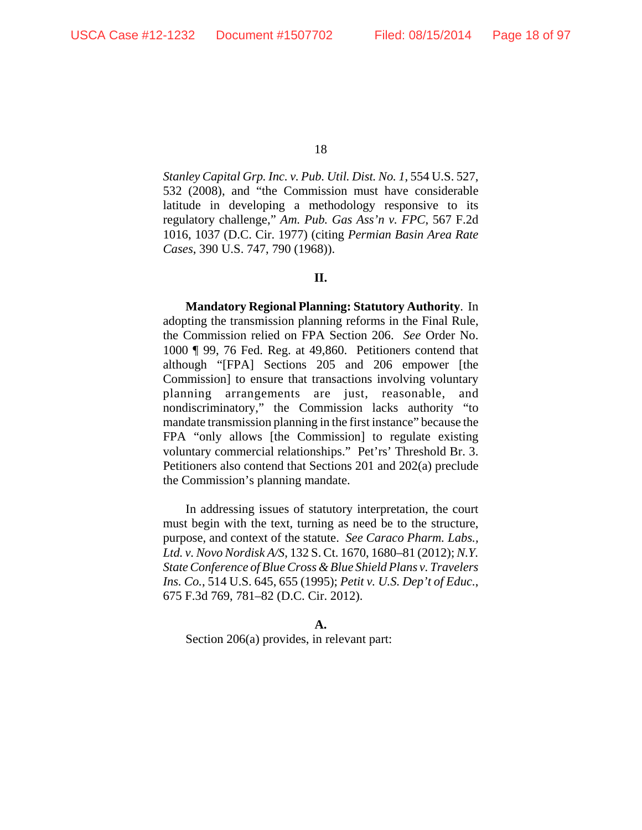*Stanley Capital Grp. Inc. v. Pub. Util. Dist. No. 1*, 554 U.S. 527, 532 (2008), and "the Commission must have considerable latitude in developing a methodology responsive to its regulatory challenge," *Am. Pub. Gas Ass'n v. FPC*, 567 F.2d 1016, 1037 (D.C. Cir. 1977) (citing *Permian Basin Area Rate Cases*, 390 U.S. 747, 790 (1968)).

#### **II.**

**Mandatory Regional Planning: Statutory Authority**. In adopting the transmission planning reforms in the Final Rule, the Commission relied on FPA Section 206. *See* Order No. 1000 ¶ 99, 76 Fed. Reg. at 49,860. Petitioners contend that although "[FPA] Sections 205 and 206 empower [the Commission] to ensure that transactions involving voluntary planning arrangements are just, reasonable, and nondiscriminatory," the Commission lacks authority "to mandate transmission planning in the first instance" because the FPA "only allows [the Commission] to regulate existing voluntary commercial relationships." Pet'rs' Threshold Br. 3. Petitioners also contend that Sections 201 and 202(a) preclude the Commission's planning mandate.

In addressing issues of statutory interpretation, the court must begin with the text, turning as need be to the structure, purpose, and context of the statute. *See Caraco Pharm. Labs., Ltd. v. Novo Nordisk A/S*, 132 S. Ct. 1670, 1680–81 (2012); *N.Y. State Conference of Blue Cross & Blue Shield Plans v. Travelers Ins. Co.*, 514 U.S. 645, 655 (1995); *Petit v. U.S. Dep't of Educ.*, 675 F.3d 769, 781–82 (D.C. Cir. 2012).

Section 206(a) provides, in relevant part: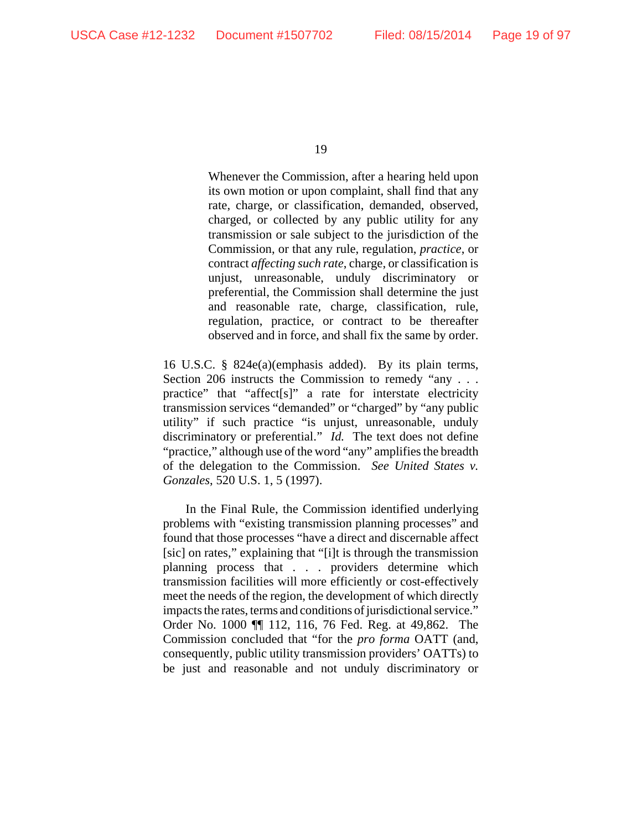Whenever the Commission, after a hearing held upon its own motion or upon complaint, shall find that any rate, charge, or classification, demanded, observed, charged, or collected by any public utility for any transmission or sale subject to the jurisdiction of the Commission, or that any rule, regulation, *practice*, or contract *affecting such rate*, charge, or classification is unjust, unreasonable, unduly discriminatory or preferential, the Commission shall determine the just and reasonable rate, charge, classification, rule, regulation, practice, or contract to be thereafter observed and in force, and shall fix the same by order.

16 U.S.C. § 824e(a)(emphasis added). By its plain terms, Section 206 instructs the Commission to remedy "any . . . practice" that "affect[s]" a rate for interstate electricity transmission services "demanded" or "charged" by "any public utility" if such practice "is unjust, unreasonable, unduly discriminatory or preferential." *Id.* The text does not define "practice," although use of the word "any" amplifies the breadth of the delegation to the Commission. *See United States v. Gonzales*, 520 U.S. 1, 5 (1997).

In the Final Rule, the Commission identified underlying problems with "existing transmission planning processes" and found that those processes "have a direct and discernable affect [sic] on rates," explaining that "[i]t is through the transmission planning process that . . . providers determine which transmission facilities will more efficiently or cost-effectively meet the needs of the region, the development of which directly impacts the rates, terms and conditions of jurisdictional service." Order No. 1000 ¶¶ 112, 116, 76 Fed. Reg. at 49,862. The Commission concluded that "for the *pro forma* OATT (and, consequently, public utility transmission providers' OATTs) to be just and reasonable and not unduly discriminatory or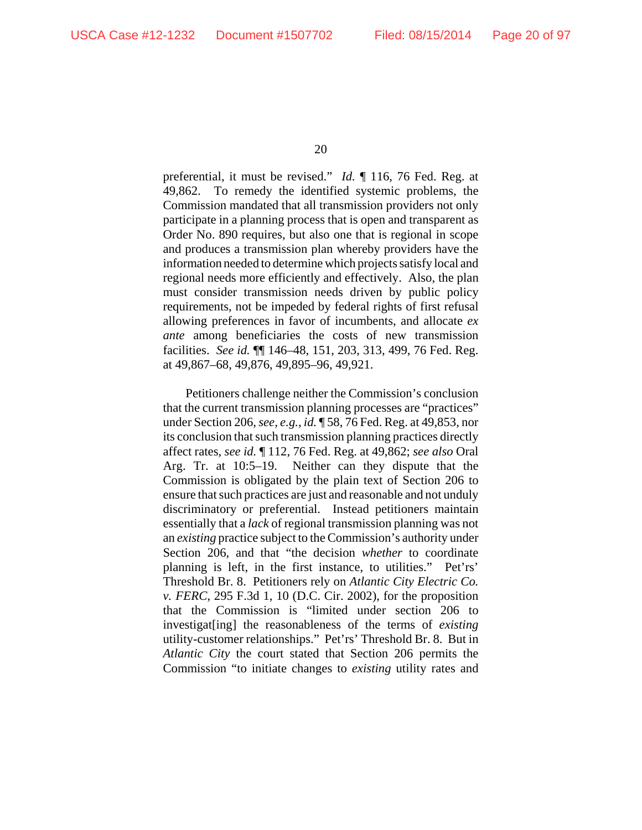preferential, it must be revised." *Id.* ¶ 116, 76 Fed. Reg. at 49,862. To remedy the identified systemic problems, the Commission mandated that all transmission providers not only participate in a planning process that is open and transparent as Order No. 890 requires, but also one that is regional in scope and produces a transmission plan whereby providers have the information needed to determine which projects satisfy local and regional needs more efficiently and effectively. Also, the plan must consider transmission needs driven by public policy requirements, not be impeded by federal rights of first refusal allowing preferences in favor of incumbents, and allocate *ex ante* among beneficiaries the costs of new transmission facilities. *See id.* ¶¶ 146–48, 151, 203, 313, 499, 76 Fed. Reg. at 49,867–68, 49,876, 49,895–96, 49,921.

Petitioners challenge neither the Commission's conclusion that the current transmission planning processes are "practices" under Section 206, *see, e.g.*, *id.* ¶ 58, 76 Fed. Reg. at 49,853, nor its conclusion that such transmission planning practices directly affect rates, *see id.* ¶ 112, 76 Fed. Reg. at 49,862; *see also* Oral Arg. Tr. at 10:5–19. Neither can they dispute that the Commission is obligated by the plain text of Section 206 to ensure that such practices are just and reasonable and not unduly discriminatory or preferential. Instead petitioners maintain essentially that a *lack* of regional transmission planning was not an *existing* practice subject to the Commission's authority under Section 206, and that "the decision *whether* to coordinate planning is left, in the first instance, to utilities." Pet'rs' Threshold Br. 8. Petitioners rely on *Atlantic City Electric Co. v. FERC*, 295 F.3d 1, 10 (D.C. Cir. 2002), for the proposition that the Commission is "limited under section 206 to investigat[ing] the reasonableness of the terms of *existing* utility-customer relationships." Pet'rs' Threshold Br. 8. But in *Atlantic City* the court stated that Section 206 permits the Commission "to initiate changes to *existing* utility rates and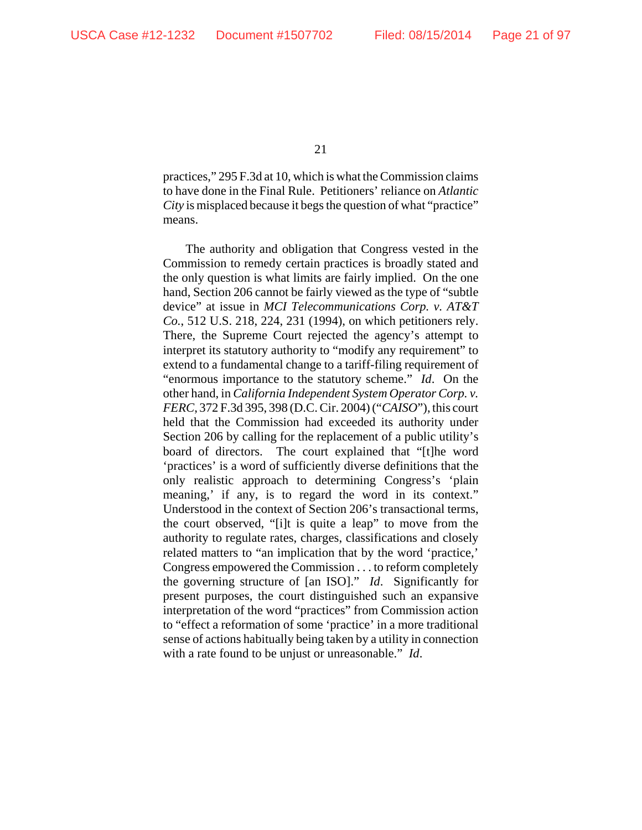practices," 295 F.3d at 10, which is what the Commission claims to have done in the Final Rule. Petitioners' reliance on *Atlantic City* is misplaced because it begs the question of what "practice" means.

The authority and obligation that Congress vested in the Commission to remedy certain practices is broadly stated and the only question is what limits are fairly implied. On the one hand, Section 206 cannot be fairly viewed as the type of "subtle device" at issue in *MCI Telecommunications Corp. v. AT&T Co.*, 512 U.S. 218, 224, 231 (1994), on which petitioners rely. There, the Supreme Court rejected the agency's attempt to interpret its statutory authority to "modify any requirement" to extend to a fundamental change to a tariff-filing requirement of "enormous importance to the statutory scheme." *Id*. On the other hand, in *California Independent System Operator Corp. v. FERC*, 372 F.3d 395, 398 (D.C. Cir. 2004) ("*CAISO*"), this court held that the Commission had exceeded its authority under Section 206 by calling for the replacement of a public utility's board of directors. The court explained that "[t]he word 'practices' is a word of sufficiently diverse definitions that the only realistic approach to determining Congress's 'plain meaning,' if any, is to regard the word in its context." Understood in the context of Section 206's transactional terms, the court observed, "[i]t is quite a leap" to move from the authority to regulate rates, charges, classifications and closely related matters to "an implication that by the word 'practice,' Congress empowered the Commission . . . to reform completely the governing structure of [an ISO]." *Id*. Significantly for present purposes, the court distinguished such an expansive interpretation of the word "practices" from Commission action to "effect a reformation of some 'practice' in a more traditional sense of actions habitually being taken by a utility in connection with a rate found to be unjust or unreasonable." *Id*.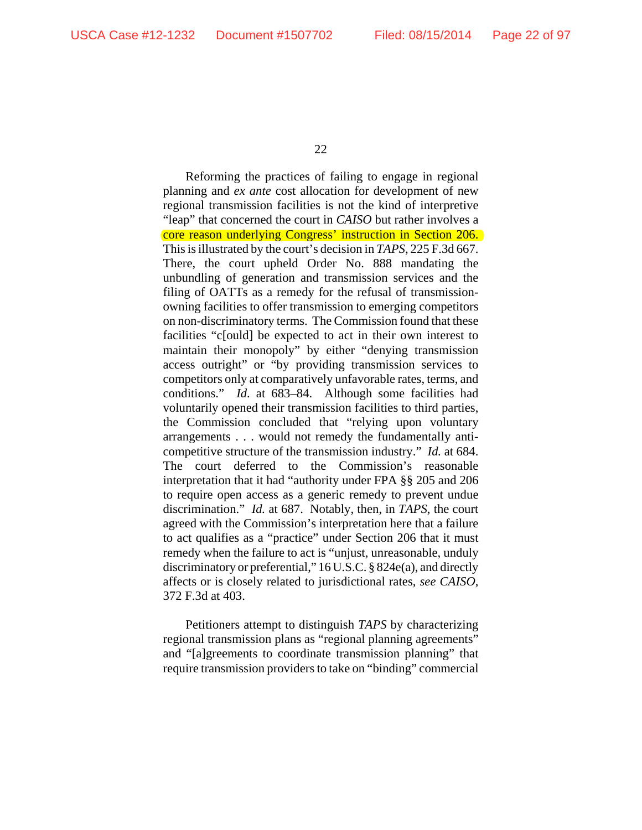Reforming the practices of failing to engage in regional planning and *ex ante* cost allocation for development of new regional transmission facilities is not the kind of interpretive "leap" that concerned the court in *CAISO* but rather involves a core reason underlying Congress' instruction in Section 206. This is illustrated by the court's decision in *TAPS*, 225 F.3d 667. There, the court upheld Order No. 888 mandating the unbundling of generation and transmission services and the filing of OATTs as a remedy for the refusal of transmissionowning facilities to offer transmission to emerging competitors on non-discriminatory terms. The Commission found that these facilities "c[ould] be expected to act in their own interest to maintain their monopoly" by either "denying transmission access outright" or "by providing transmission services to competitors only at comparatively unfavorable rates, terms, and conditions." *Id*. at 683–84. Although some facilities had voluntarily opened their transmission facilities to third parties, the Commission concluded that "relying upon voluntary arrangements . . . would not remedy the fundamentally anticompetitive structure of the transmission industry." *Id.* at 684. The court deferred to the Commission's reasonable interpretation that it had "authority under FPA §§ 205 and 206 to require open access as a generic remedy to prevent undue discrimination." *Id.* at 687. Notably, then, in *TAPS*, the court agreed with the Commission's interpretation here that a failure to act qualifies as a "practice" under Section 206 that it must remedy when the failure to act is "unjust, unreasonable, unduly discriminatory or preferential," 16 U.S.C. § 824e(a), and directly affects or is closely related to jurisdictional rates, *see CAISO*, 372 F.3d at 403.

Petitioners attempt to distinguish *TAPS* by characterizing regional transmission plans as "regional planning agreements" and "[a]greements to coordinate transmission planning" that require transmission providers to take on "binding" commercial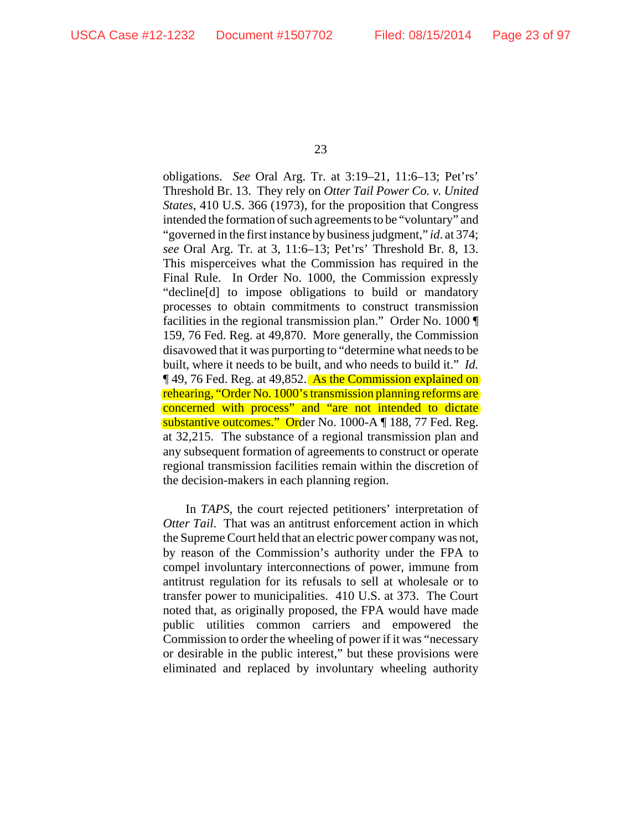obligations. *See* Oral Arg. Tr. at 3:19–21, 11:6–13; Pet'rs' Threshold Br. 13. They rely on *Otter Tail Power Co. v. United States*, 410 U.S. 366 (1973), for the proposition that Congress intended the formation of such agreements to be "voluntary" and "governed in the first instance by business judgment," *id*. at 374; *see* Oral Arg. Tr. at 3, 11:6–13; Pet'rs' Threshold Br. 8, 13. This misperceives what the Commission has required in the Final Rule. In Order No. 1000, the Commission expressly "decline[d] to impose obligations to build or mandatory processes to obtain commitments to construct transmission facilities in the regional transmission plan." Order No. 1000 159, 76 Fed. Reg. at 49,870. More generally, the Commission disavowed that it was purporting to "determine what needs to be built, where it needs to be built, and who needs to build it." *Id.* **[49, 76 Fed. Reg. at 49,852.** As the Commission explained on rehearing, "Order No. 1000's transmission planning reforms are concerned with process" and "are not intended to dictate substantive outcomes." Order No. 1000-A ¶ 188, 77 Fed. Reg. at 32,215. The substance of a regional transmission plan and any subsequent formation of agreements to construct or operate regional transmission facilities remain within the discretion of the decision-makers in each planning region.

In *TAPS*, the court rejected petitioners' interpretation of *Otter Tail*. That was an antitrust enforcement action in which the Supreme Court held that an electric power company was not, by reason of the Commission's authority under the FPA to compel involuntary interconnections of power, immune from antitrust regulation for its refusals to sell at wholesale or to transfer power to municipalities. 410 U.S. at 373. The Court noted that, as originally proposed, the FPA would have made public utilities common carriers and empowered the Commission to order the wheeling of power if it was "necessary or desirable in the public interest," but these provisions were eliminated and replaced by involuntary wheeling authority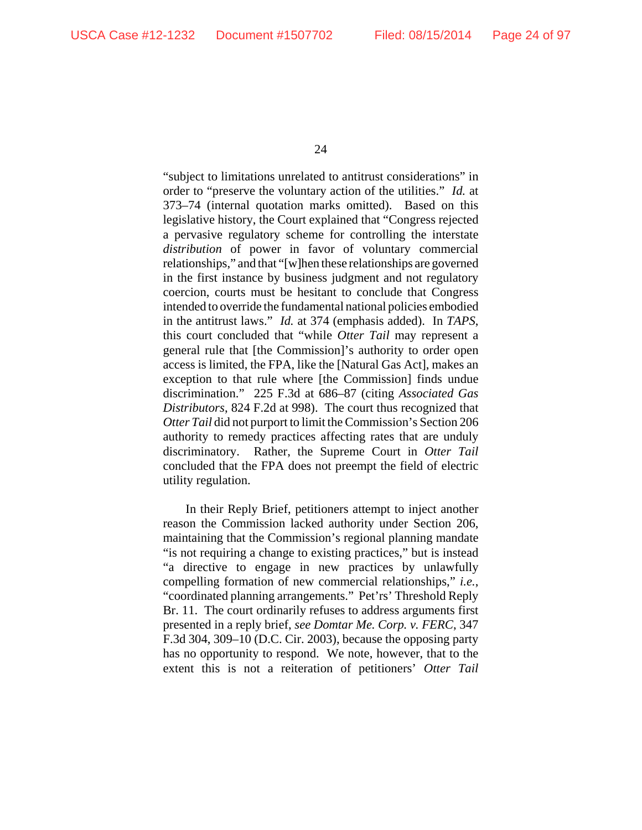"subject to limitations unrelated to antitrust considerations" in order to "preserve the voluntary action of the utilities." *Id.* at 373–74 (internal quotation marks omitted). Based on this legislative history, the Court explained that "Congress rejected a pervasive regulatory scheme for controlling the interstate *distribution* of power in favor of voluntary commercial relationships," and that "[w]hen these relationships are governed in the first instance by business judgment and not regulatory coercion, courts must be hesitant to conclude that Congress intended to override the fundamental national policies embodied in the antitrust laws." *Id.* at 374 (emphasis added). In *TAPS*, this court concluded that "while *Otter Tail* may represent a general rule that [the Commission]'s authority to order open access is limited, the FPA, like the [Natural Gas Act], makes an exception to that rule where [the Commission] finds undue discrimination." 225 F.3d at 686–87 (citing *Associated Gas Distributors*, 824 F.2d at 998). The court thus recognized that *Otter Tail* did not purport to limit the Commission's Section 206 authority to remedy practices affecting rates that are unduly discriminatory. Rather, the Supreme Court in *Otter Tail* concluded that the FPA does not preempt the field of electric utility regulation.

In their Reply Brief, petitioners attempt to inject another reason the Commission lacked authority under Section 206, maintaining that the Commission's regional planning mandate "is not requiring a change to existing practices," but is instead "a directive to engage in new practices by unlawfully compelling formation of new commercial relationships," *i.e.*, "coordinated planning arrangements." Pet'rs' Threshold Reply Br. 11. The court ordinarily refuses to address arguments first presented in a reply brief, *see Domtar Me. Corp. v. FERC*, 347 F.3d 304, 309–10 (D.C. Cir. 2003), because the opposing party has no opportunity to respond. We note, however, that to the extent this is not a reiteration of petitioners' *Otter Tail*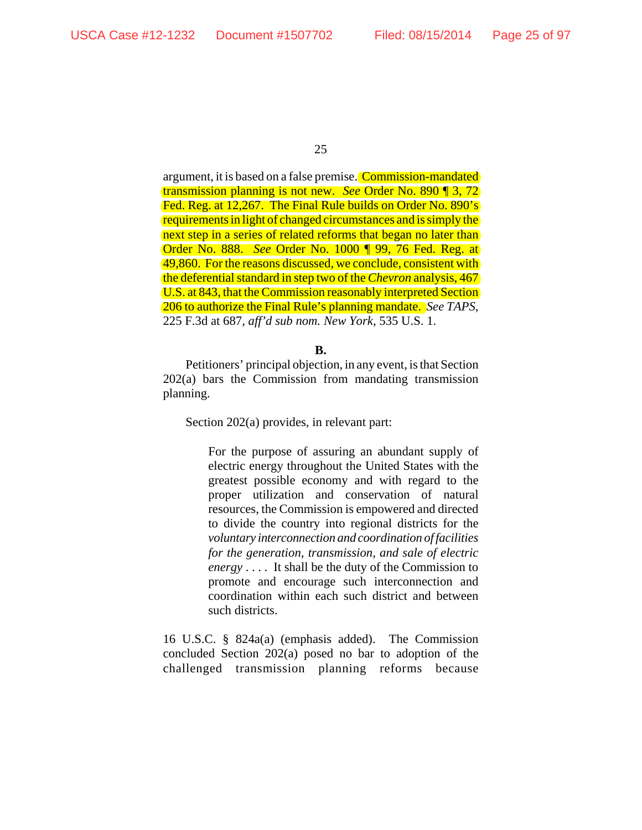argument, it is based on a false premise. Commission-mandated transmission planning is not new. *See* Order No. 890 ¶ 3, 72 Fed. Reg. at 12,267. The Final Rule builds on Order No. 890's requirements in light of changed circumstances and is simply the next step in a series of related reforms that began no later than Order No. 888. *See* Order No. 1000 ¶ 99, 76 Fed. Reg. at 49,860. For the reasons discussed, we conclude, consistent with the deferential standard in step two of the *Chevron* analysis, 467 U.S. at 843, that the Commission reasonably interpreted Section 206 to authorize the Final Rule's planning mandate. *See TAPS*, 225 F.3d at 687, *aff'd sub nom. New York*, 535 U.S. 1.

**B.**

Petitioners' principal objection, in any event, is that Section 202(a) bars the Commission from mandating transmission planning.

Section 202(a) provides, in relevant part:

For the purpose of assuring an abundant supply of electric energy throughout the United States with the greatest possible economy and with regard to the proper utilization and conservation of natural resources, the Commission is empowered and directed to divide the country into regional districts for the *voluntary interconnection and coordination of facilities for the generation, transmission, and sale of electric energy* . . . . It shall be the duty of the Commission to promote and encourage such interconnection and coordination within each such district and between such districts.

16 U.S.C. § 824a(a) (emphasis added). The Commission concluded Section 202(a) posed no bar to adoption of the challenged transmission planning reforms because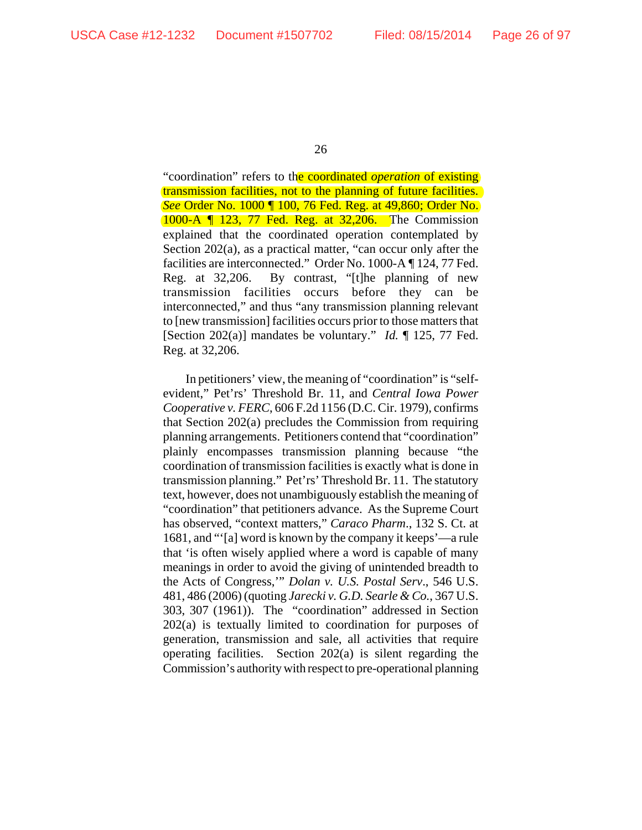"coordination" refers to the coordinated *operation* of existing transmission facilities, not to the planning of future facilities. *See* Order No. 1000 ¶ 100, 76 Fed. Reg. at 49,860; Order No. 1000-A ¶ 123, 77 Fed. Reg. at 32,206. The Commission explained that the coordinated operation contemplated by Section 202(a), as a practical matter, "can occur only after the facilities are interconnected." Order No. 1000-A ¶ 124, 77 Fed. Reg. at 32,206. By contrast, "[t]he planning of new transmission facilities occurs before they can be interconnected," and thus "any transmission planning relevant to [new transmission] facilities occurs prior to those matters that [Section 202(a)] mandates be voluntary." *Id.* ¶ 125, 77 Fed. Reg. at 32,206.

In petitioners' view, the meaning of "coordination" is "selfevident," Pet'rs' Threshold Br. 11, and *Central Iowa Power Cooperative v. FERC*, 606 F.2d 1156 (D.C. Cir. 1979), confirms that Section 202(a) precludes the Commission from requiring planning arrangements. Petitioners contend that "coordination" plainly encompasses transmission planning because "the coordination of transmission facilities is exactly what is done in transmission planning." Pet'rs' Threshold Br. 11. The statutory text, however, does not unambiguously establish the meaning of "coordination" that petitioners advance. As the Supreme Court has observed, "context matters," *Caraco Pharm*., 132 S. Ct. at 1681, and "'[a] word is known by the company it keeps'—a rule that 'is often wisely applied where a word is capable of many meanings in order to avoid the giving of unintended breadth to the Acts of Congress,'" *Dolan v. U.S. Postal Serv*., 546 U.S. 481, 486 (2006) (quoting *Jarecki v. G.D. Searle & Co.*, 367 U.S. 303, 307 (1961)). The "coordination" addressed in Section 202(a) is textually limited to coordination for purposes of generation, transmission and sale, all activities that require operating facilities. Section 202(a) is silent regarding the Commission's authority with respect to pre-operational planning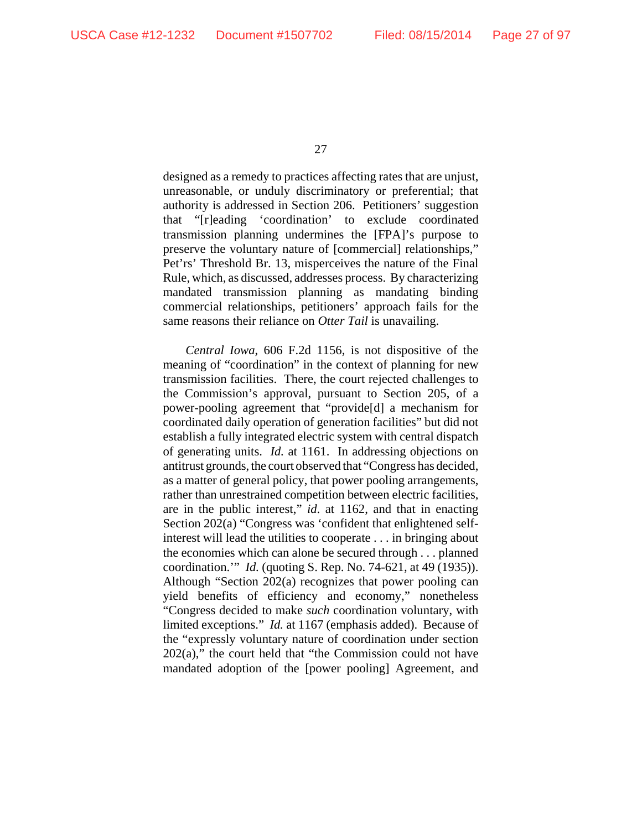designed as a remedy to practices affecting rates that are unjust, unreasonable, or unduly discriminatory or preferential; that authority is addressed in Section 206. Petitioners' suggestion that "[r]eading 'coordination' to exclude coordinated transmission planning undermines the [FPA]'s purpose to preserve the voluntary nature of [commercial] relationships," Pet'rs' Threshold Br. 13, misperceives the nature of the Final Rule, which, as discussed, addresses process. By characterizing mandated transmission planning as mandating binding commercial relationships, petitioners' approach fails for the same reasons their reliance on *Otter Tail* is unavailing.

*Central Iowa*, 606 F.2d 1156, is not dispositive of the meaning of "coordination" in the context of planning for new transmission facilities. There, the court rejected challenges to the Commission's approval, pursuant to Section 205, of a power-pooling agreement that "provide[d] a mechanism for coordinated daily operation of generation facilities" but did not establish a fully integrated electric system with central dispatch of generating units. *Id.* at 1161. In addressing objections on antitrust grounds, the court observed that "Congress has decided, as a matter of general policy, that power pooling arrangements, rather than unrestrained competition between electric facilities, are in the public interest," *id*. at 1162, and that in enacting Section 202(a) "Congress was 'confident that enlightened selfinterest will lead the utilities to cooperate . . . in bringing about the economies which can alone be secured through . . . planned coordination.'" *Id.* (quoting S. Rep. No. 74-621, at 49 (1935)). Although "Section 202(a) recognizes that power pooling can yield benefits of efficiency and economy," nonetheless "Congress decided to make *such* coordination voluntary, with limited exceptions." *Id.* at 1167 (emphasis added). Because of the "expressly voluntary nature of coordination under section 202(a)," the court held that "the Commission could not have mandated adoption of the [power pooling] Agreement, and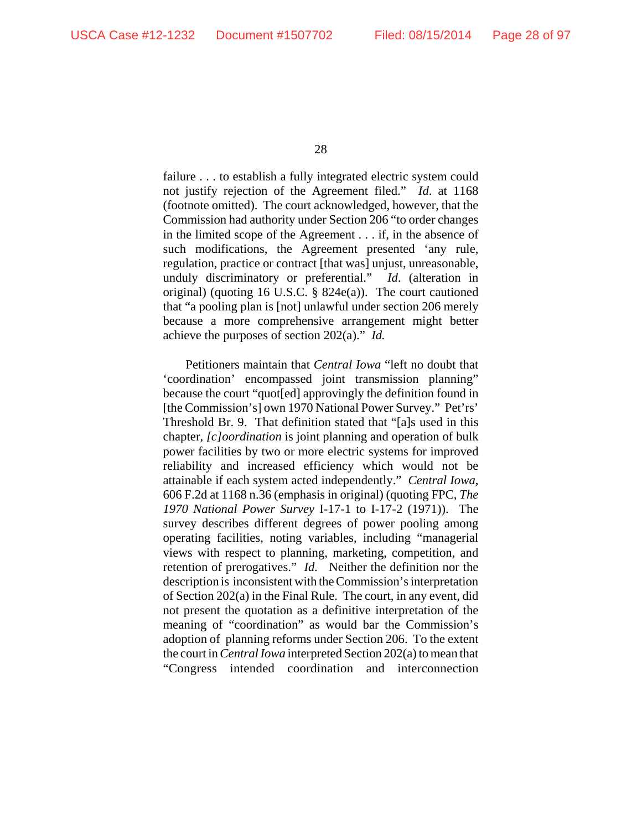failure . . . to establish a fully integrated electric system could not justify rejection of the Agreement filed." *Id*. at 1168 (footnote omitted). The court acknowledged, however, that the Commission had authority under Section 206 "to order changes in the limited scope of the Agreement . . . if, in the absence of such modifications, the Agreement presented 'any rule, regulation, practice or contract [that was] unjust, unreasonable, unduly discriminatory or preferential." *Id*. (alteration in original) (quoting 16 U.S.C. § 824e(a)). The court cautioned that "a pooling plan is [not] unlawful under section 206 merely because a more comprehensive arrangement might better achieve the purposes of section 202(a)." *Id.*

Petitioners maintain that *Central Iowa* "left no doubt that 'coordination' encompassed joint transmission planning" because the court "quot[ed] approvingly the definition found in [the Commission's] own 1970 National Power Survey." Pet'rs' Threshold Br. 9. That definition stated that "[a]s used in this chapter, *[c]oordination* is joint planning and operation of bulk power facilities by two or more electric systems for improved reliability and increased efficiency which would not be attainable if each system acted independently." *Central Iowa*, 606 F.2d at 1168 n.36 (emphasis in original) (quoting FPC, *The 1970 National Power Survey* I-17-1 to I-17-2 (1971)). The survey describes different degrees of power pooling among operating facilities, noting variables, including "managerial views with respect to planning, marketing, competition, and retention of prerogatives." *Id.* Neither the definition nor the description is inconsistent with the Commission's interpretation of Section 202(a) in the Final Rule. The court, in any event, did not present the quotation as a definitive interpretation of the meaning of "coordination" as would bar the Commission's adoption of planning reforms under Section 206. To the extent the court in *Central Iowa* interpreted Section 202(a) to mean that "Congress intended coordination and interconnection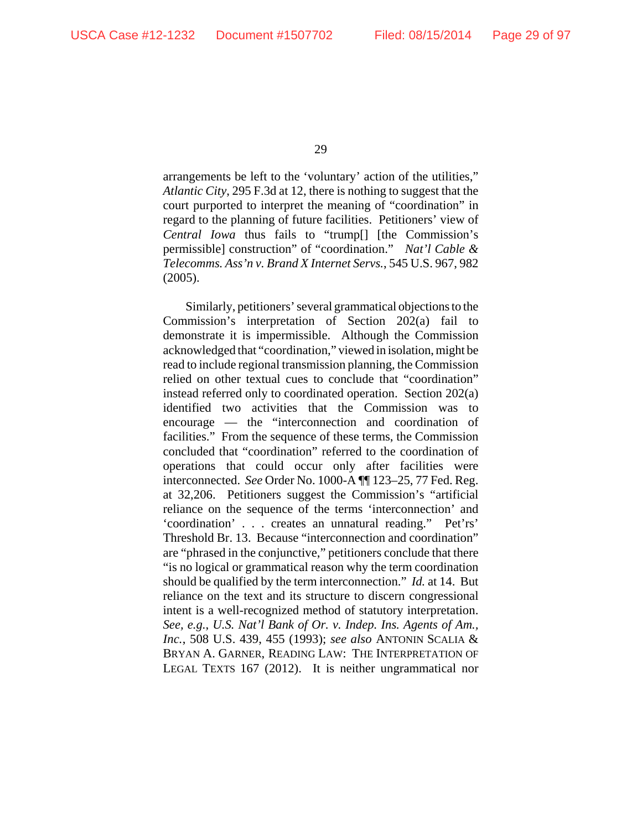arrangements be left to the 'voluntary' action of the utilities," *Atlantic City*, 295 F.3d at 12, there is nothing to suggest that the court purported to interpret the meaning of "coordination" in regard to the planning of future facilities. Petitioners' view of *Central Iowa* thus fails to "trump[] [the Commission's permissible] construction" of "coordination." *Nat'l Cable & Telecomms. Ass'n v. Brand X Internet Servs.*, 545 U.S. 967, 982 (2005).

Similarly, petitioners' several grammatical objections to the Commission's interpretation of Section 202(a) fail to demonstrate it is impermissible. Although the Commission acknowledged that "coordination," viewed in isolation, might be read to include regional transmission planning, the Commission relied on other textual cues to conclude that "coordination" instead referred only to coordinated operation. Section 202(a) identified two activities that the Commission was to encourage — the "interconnection and coordination of facilities." From the sequence of these terms, the Commission concluded that "coordination" referred to the coordination of operations that could occur only after facilities were interconnected. *See* Order No. 1000-A ¶¶ 123–25, 77 Fed. Reg. at 32,206. Petitioners suggest the Commission's "artificial reliance on the sequence of the terms 'interconnection' and 'coordination' . . . creates an unnatural reading." Pet'rs' Threshold Br. 13. Because "interconnection and coordination" are "phrased in the conjunctive," petitioners conclude that there "is no logical or grammatical reason why the term coordination should be qualified by the term interconnection." *Id.* at 14. But reliance on the text and its structure to discern congressional intent is a well-recognized method of statutory interpretation. *See, e.g.*, *U.S. Nat'l Bank of Or. v. Indep. Ins. Agents of Am., Inc.*, 508 U.S. 439, 455 (1993); *see also* ANTONIN SCALIA & BRYAN A. GARNER, READING LAW: THE INTERPRETATION OF LEGAL TEXTS 167 (2012). It is neither ungrammatical nor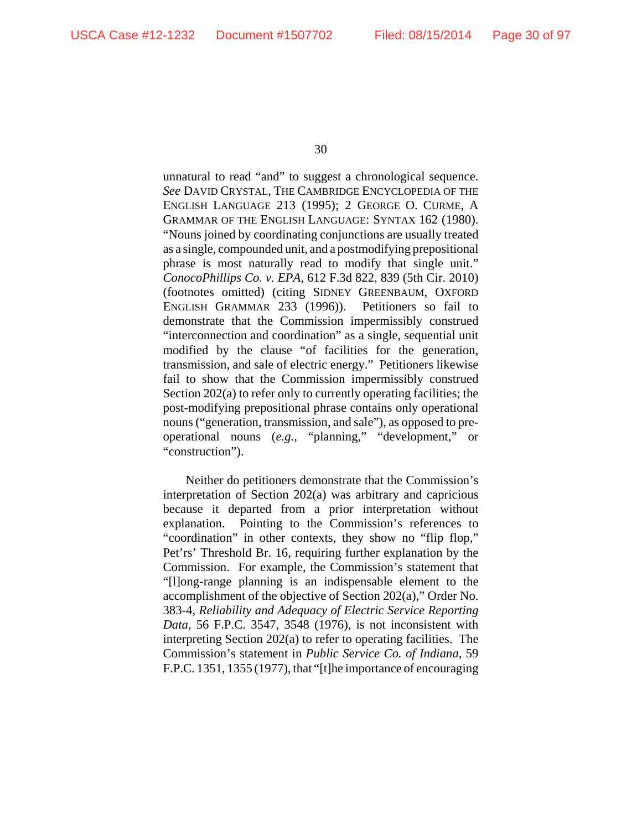unnatural to read "and" to suggest a chronological sequence. *See* DAVID CRYSTAL, THE CAMBRIDGE ENCYCLOPEDIA OF THE ENGLISH LANGUAGE 213 (1995); 2 GEORGE O. CURME, A GRAMMAR OF THE ENGLISH LANGUAGE: SYNTAX 162 (1980). "Nouns joined by coordinating conjunctions are usually treated as a single, compounded unit, and a postmodifying prepositional phrase is most naturally read to modify that single unit." *ConocoPhillips Co. v. EPA*, 612 F.3d 822, 839 (5th Cir. 2010) (footnotes omitted) (citing SIDNEY GREENBAUM, OXFORD ENGLISH GRAMMAR 233 (1996)). Petitioners so fail to demonstrate that the Commission impermissibly construed "interconnection and coordination" as a single, sequential unit modified by the clause "of facilities for the generation, transmission, and sale of electric energy." Petitioners likewise fail to show that the Commission impermissibly construed Section 202(a) to refer only to currently operating facilities; the post-modifying prepositional phrase contains only operational nouns ("generation, transmission, and sale"), as opposed to preoperational nouns (*e.g.*, "planning," "development," or "construction").

Neither do petitioners demonstrate that the Commission's interpretation of Section 202(a) was arbitrary and capricious because it departed from a prior interpretation without explanation. Pointing to the Commission's references to "coordination" in other contexts, they show no "flip flop," Pet'rs' Threshold Br. 16, requiring further explanation by the Commission. For example, the Commission's statement that "[l]ong-range planning is an indispensable element to the accomplishment of the objective of Section 202(a)," Order No. 383-4, *Reliability and Adequacy of Electric Service Reporting Data*, 56 F.P.C. 3547, 3548 (1976), is not inconsistent with interpreting Section 202(a) to refer to operating facilities. The Commission's statement in *Public Service Co. of Indiana*, 59 F.P.C. 1351, 1355 (1977), that "[t]he importance of encouraging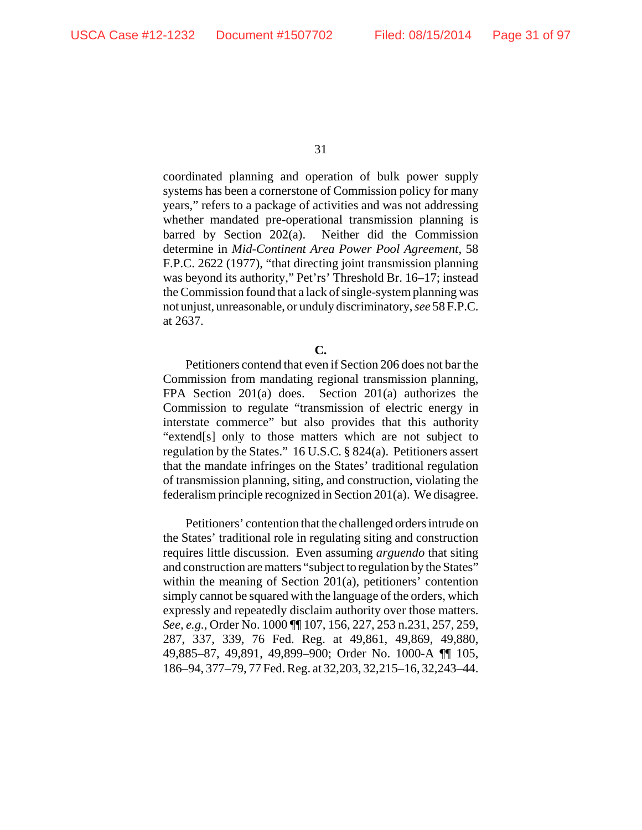coordinated planning and operation of bulk power supply systems has been a cornerstone of Commission policy for many years," refers to a package of activities and was not addressing whether mandated pre-operational transmission planning is barred by Section 202(a). Neither did the Commission determine in *Mid-Continent Area Power Pool Agreement*, 58 F.P.C. 2622 (1977), "that directing joint transmission planning was beyond its authority," Pet'rs' Threshold Br. 16–17; instead the Commission found that a lack of single-system planning was not unjust, unreasonable, or unduly discriminatory, *see* 58 F.P.C. at 2637.

Petitioners contend that even if Section 206 does not bar the Commission from mandating regional transmission planning, FPA Section 201(a) does. Section 201(a) authorizes the Commission to regulate "transmission of electric energy in interstate commerce" but also provides that this authority "extend[s] only to those matters which are not subject to regulation by the States." 16 U.S.C. § 824(a). Petitioners assert that the mandate infringes on the States' traditional regulation of transmission planning, siting, and construction, violating the federalism principle recognized in Section 201(a). We disagree.

Petitioners' contention that the challenged orders intrude on the States' traditional role in regulating siting and construction requires little discussion. Even assuming *arguendo* that siting and construction are matters "subject to regulation by the States" within the meaning of Section 201(a), petitioners' contention simply cannot be squared with the language of the orders, which expressly and repeatedly disclaim authority over those matters. *See, e.g.*, Order No. 1000 ¶¶ 107, 156, 227, 253 n.231, 257, 259, 287, 337, 339, 76 Fed. Reg. at 49,861, 49,869, 49,880, 49,885–87, 49,891, 49,899–900; Order No. 1000-A ¶¶ 105, 186–94, 377–79, 77 Fed. Reg. at 32,203, 32,215–16, 32,243–44.

**C.**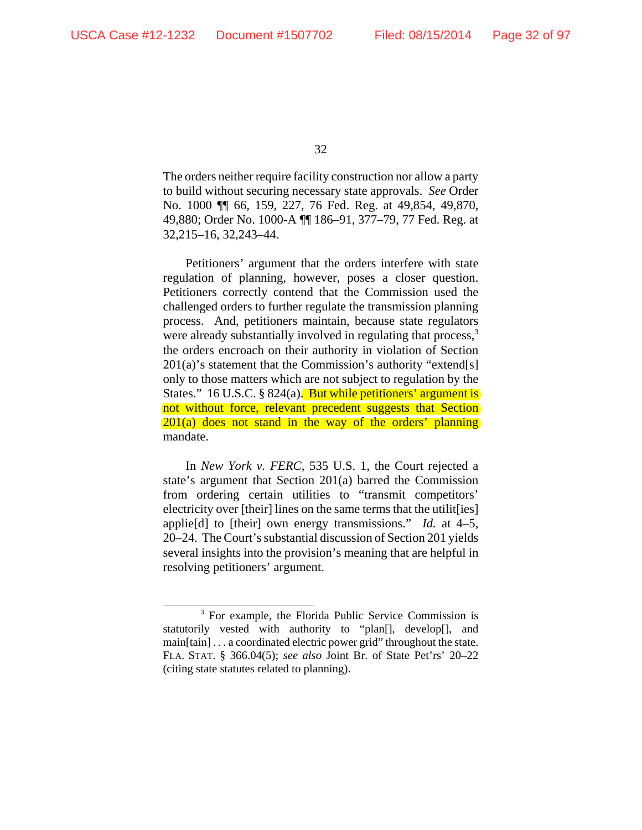The orders neither require facility construction nor allow a party to build without securing necessary state approvals. *See* Order No. 1000 ¶¶ 66, 159, 227, 76 Fed. Reg. at 49,854, 49,870, 49,880; Order No. 1000-A ¶¶ 186–91, 377–79, 77 Fed. Reg. at 32,215–16, 32,243–44.

Petitioners' argument that the orders interfere with state regulation of planning, however, poses a closer question. Petitioners correctly contend that the Commission used the challenged orders to further regulate the transmission planning process. And, petitioners maintain, because state regulators were already substantially involved in regulating that process,<sup>3</sup> the orders encroach on their authority in violation of Section  $201(a)$ 's statement that the Commission's authority "extend[s] only to those matters which are not subject to regulation by the States." 16 U.S.C. § 824(a). But while petitioners' argument is not without force, relevant precedent suggests that Section  $201(a)$  does not stand in the way of the orders' planning mandate.

In *New York v. FERC*, 535 U.S. 1, the Court rejected a state's argument that Section 201(a) barred the Commission from ordering certain utilities to "transmit competitors' electricity over [their] lines on the same terms that the utilit [ies] applie[d] to [their] own energy transmissions." *Id.* at 4–5, 20–24. The Court's substantial discussion of Section 201 yields several insights into the provision's meaning that are helpful in resolving petitioners' argument.

<sup>&</sup>lt;sup>3</sup> For example, the Florida Public Service Commission is statutorily vested with authority to "plan[], develop[], and main[tain] . . . a coordinated electric power grid" throughout the state. FLA. STAT. § 366.04(5); *see also* Joint Br. of State Pet'rs' 20–22 (citing state statutes related to planning).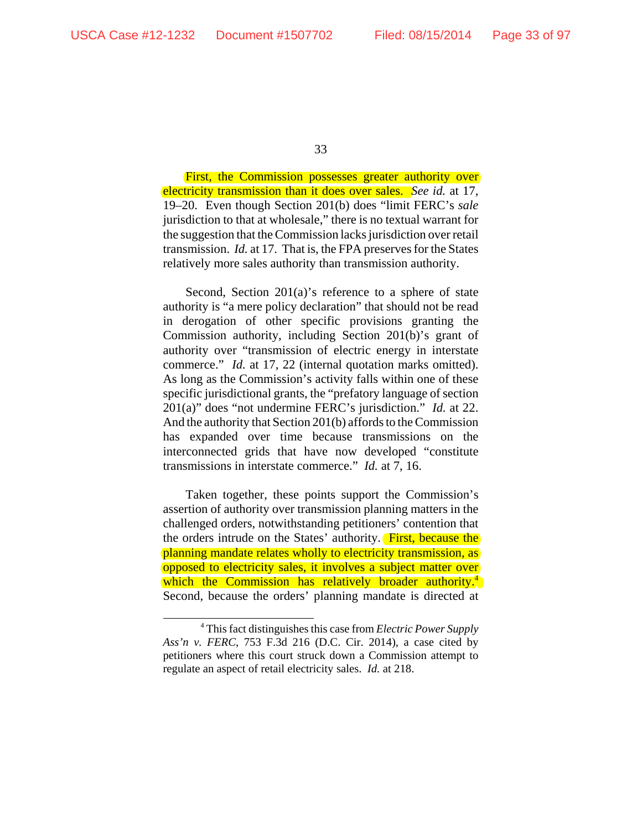First, the Commission possesses greater authority over electricity transmission than it does over sales. *See id.* at 17, 19–20. Even though Section 201(b) does "limit FERC's *sale* jurisdiction to that at wholesale," there is no textual warrant for the suggestion that the Commission lacks jurisdiction over retail transmission. *Id.* at 17. That is, the FPA preserves for the States relatively more sales authority than transmission authority.

Second, Section 201(a)'s reference to a sphere of state authority is "a mere policy declaration" that should not be read in derogation of other specific provisions granting the Commission authority, including Section 201(b)'s grant of authority over "transmission of electric energy in interstate commerce." *Id.* at 17, 22 (internal quotation marks omitted). As long as the Commission's activity falls within one of these specific jurisdictional grants, the "prefatory language of section 201(a)" does "not undermine FERC's jurisdiction." *Id.* at 22. And the authority that Section 201(b) affords to the Commission has expanded over time because transmissions on the interconnected grids that have now developed "constitute transmissions in interstate commerce." *Id.* at 7, 16.

Taken together, these points support the Commission's assertion of authority over transmission planning matters in the challenged orders, notwithstanding petitioners' contention that the orders intrude on the States' authority. First, because the planning mandate relates wholly to electricity transmission, as opposed to electricity sales, it involves a subject matter over which the Commission has relatively broader authority.<sup>4</sup> Second, because the orders' planning mandate is directed at

<sup>4</sup> This fact distinguishes this case from *Electric Power Supply Ass'n v. FERC*, 753 F.3d 216 (D.C. Cir. 2014), a case cited by petitioners where this court struck down a Commission attempt to regulate an aspect of retail electricity sales. *Id.* at 218.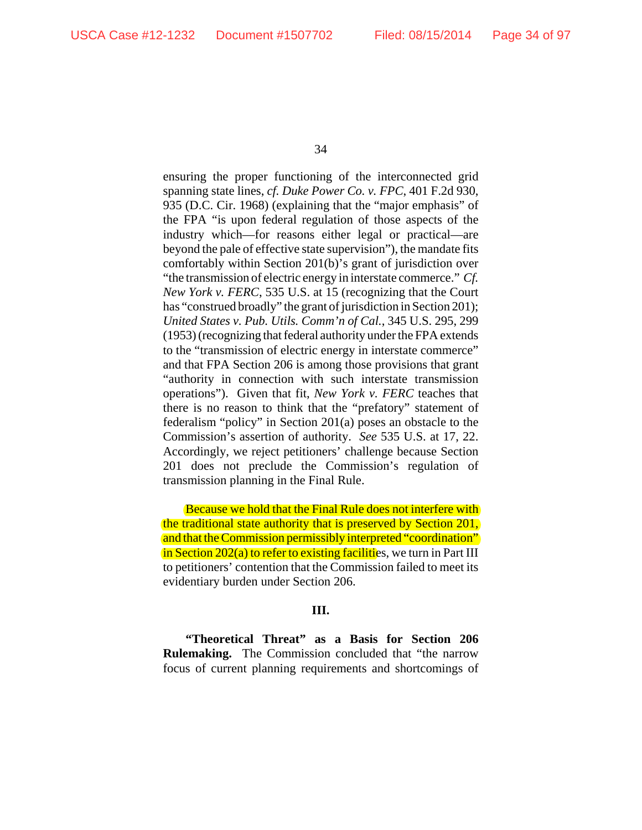ensuring the proper functioning of the interconnected grid spanning state lines, *cf. Duke Power Co. v. FPC*, 401 F.2d 930, 935 (D.C. Cir. 1968) (explaining that the "major emphasis" of the FPA "is upon federal regulation of those aspects of the industry which—for reasons either legal or practical—are beyond the pale of effective state supervision"), the mandate fits comfortably within Section 201(b)'s grant of jurisdiction over "the transmission of electric energy in interstate commerce." *Cf. New York v. FERC*, 535 U.S. at 15 (recognizing that the Court has "construed broadly" the grant of jurisdiction in Section 201); *United States v. Pub. Utils. Comm'n of Cal.*, 345 U.S. 295, 299 (1953) (recognizing that federal authority under the FPA extends to the "transmission of electric energy in interstate commerce" and that FPA Section 206 is among those provisions that grant "authority in connection with such interstate transmission operations"). Given that fit, *New York v. FERC* teaches that there is no reason to think that the "prefatory" statement of federalism "policy" in Section 201(a) poses an obstacle to the Commission's assertion of authority. *See* 535 U.S. at 17, 22. Accordingly, we reject petitioners' challenge because Section 201 does not preclude the Commission's regulation of transmission planning in the Final Rule.

Because we hold that the Final Rule does not interfere with the traditional state authority that is preserved by Section 201, and that the Commission permissibly interpreted "coordination" in Section 202(a) to refer to existing facilities, we turn in Part III to petitioners' contention that the Commission failed to meet its evidentiary burden under Section 206.

### **III.**

**"Theoretical Threat" as a Basis for Section 206 Rulemaking.** The Commission concluded that "the narrow focus of current planning requirements and shortcomings of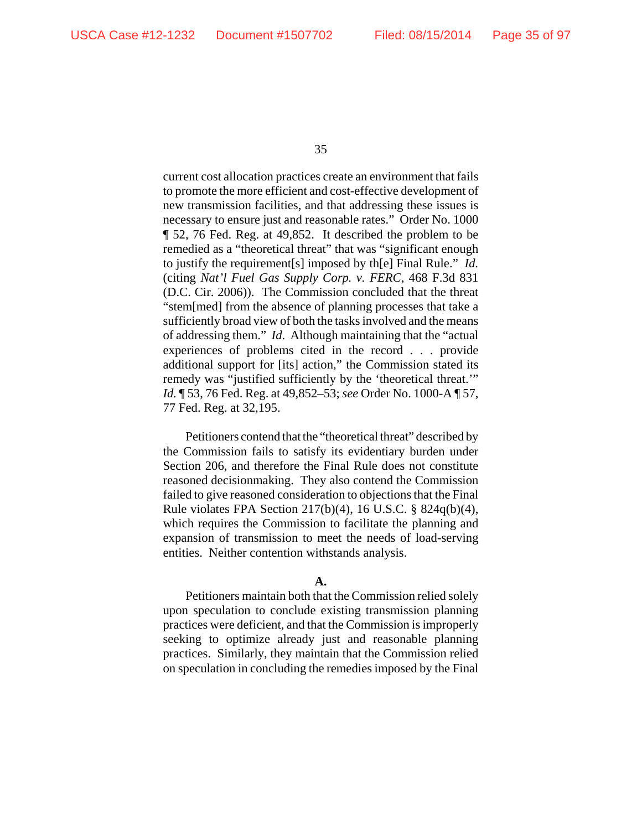current cost allocation practices create an environment that fails to promote the more efficient and cost-effective development of new transmission facilities, and that addressing these issues is necessary to ensure just and reasonable rates." Order No. 1000 ¶ 52, 76 Fed. Reg. at 49,852. It described the problem to be remedied as a "theoretical threat" that was "significant enough to justify the requirement[s] imposed by th[e] Final Rule." *Id.* (citing *Nat'l Fuel Gas Supply Corp. v. FERC*, 468 F.3d 831 (D.C. Cir. 2006)). The Commission concluded that the threat "stem[med] from the absence of planning processes that take a sufficiently broad view of both the tasks involved and the means of addressing them." *Id*. Although maintaining that the "actual experiences of problems cited in the record . . . provide additional support for [its] action," the Commission stated its remedy was "justified sufficiently by the 'theoretical threat.'" *Id.* ¶ 53, 76 Fed. Reg. at 49,852–53; *see* Order No. 1000-A ¶ 57, 77 Fed. Reg. at 32,195.

Petitioners contend that the "theoretical threat" described by the Commission fails to satisfy its evidentiary burden under Section 206, and therefore the Final Rule does not constitute reasoned decisionmaking. They also contend the Commission failed to give reasoned consideration to objections that the Final Rule violates FPA Section 217(b)(4), 16 U.S.C. § 824q(b)(4), which requires the Commission to facilitate the planning and expansion of transmission to meet the needs of load-serving entities. Neither contention withstands analysis.

### **A.**

Petitioners maintain both that the Commission relied solely upon speculation to conclude existing transmission planning practices were deficient, and that the Commission is improperly seeking to optimize already just and reasonable planning practices. Similarly, they maintain that the Commission relied on speculation in concluding the remedies imposed by the Final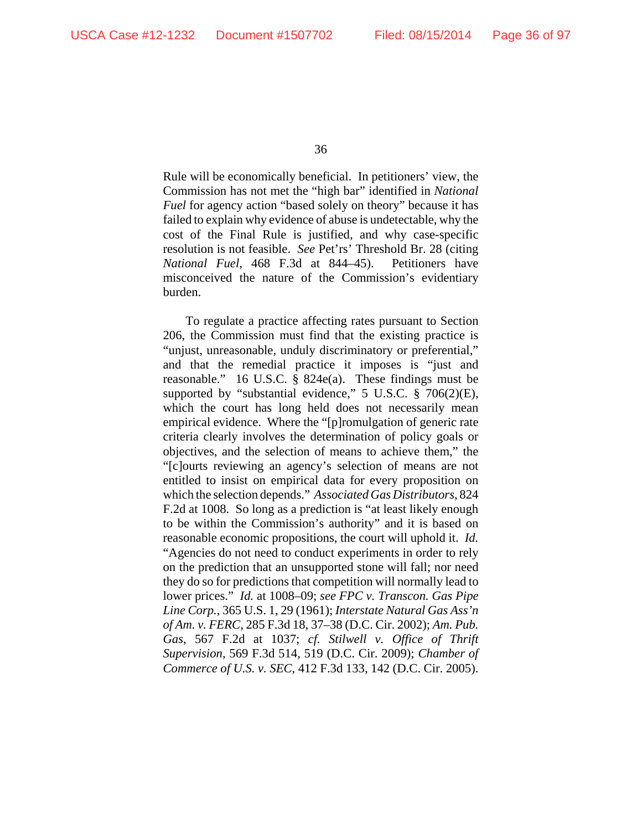Rule will be economically beneficial. In petitioners' view, the Commission has not met the "high bar" identified in *National Fuel* for agency action "based solely on theory" because it has failed to explain why evidence of abuse is undetectable, why the cost of the Final Rule is justified, and why case-specific resolution is not feasible. *See* Pet'rs' Threshold Br. 28 (citing *National Fuel*, 468 F.3d at 844–45). Petitioners have misconceived the nature of the Commission's evidentiary burden.

To regulate a practice affecting rates pursuant to Section 206, the Commission must find that the existing practice is "unjust, unreasonable, unduly discriminatory or preferential," and that the remedial practice it imposes is "just and reasonable." 16 U.S.C. § 824e(a). These findings must be supported by "substantial evidence," 5 U.S.C. § 706(2)(E), which the court has long held does not necessarily mean empirical evidence. Where the "[p]romulgation of generic rate criteria clearly involves the determination of policy goals or objectives, and the selection of means to achieve them," the "[c]ourts reviewing an agency's selection of means are not entitled to insist on empirical data for every proposition on which the selection depends." *Associated Gas Distributors*, 824 F.2d at 1008. So long as a prediction is "at least likely enough to be within the Commission's authority" and it is based on reasonable economic propositions, the court will uphold it. *Id.* "Agencies do not need to conduct experiments in order to rely on the prediction that an unsupported stone will fall; nor need they do so for predictions that competition will normally lead to lower prices." *Id.* at 1008–09; *see FPC v. Transcon. Gas Pipe Line Corp.*, 365 U.S. 1, 29 (1961); *Interstate Natural Gas Ass'n of Am. v. FERC*, 285 F.3d 18, 37–38 (D.C. Cir. 2002); *Am. Pub. Gas*, 567 F.2d at 1037; *cf. Stilwell v. Office of Thrift Supervision*, 569 F.3d 514, 519 (D.C. Cir. 2009); *Chamber of Commerce of U.S. v. SEC*, 412 F.3d 133, 142 (D.C. Cir. 2005).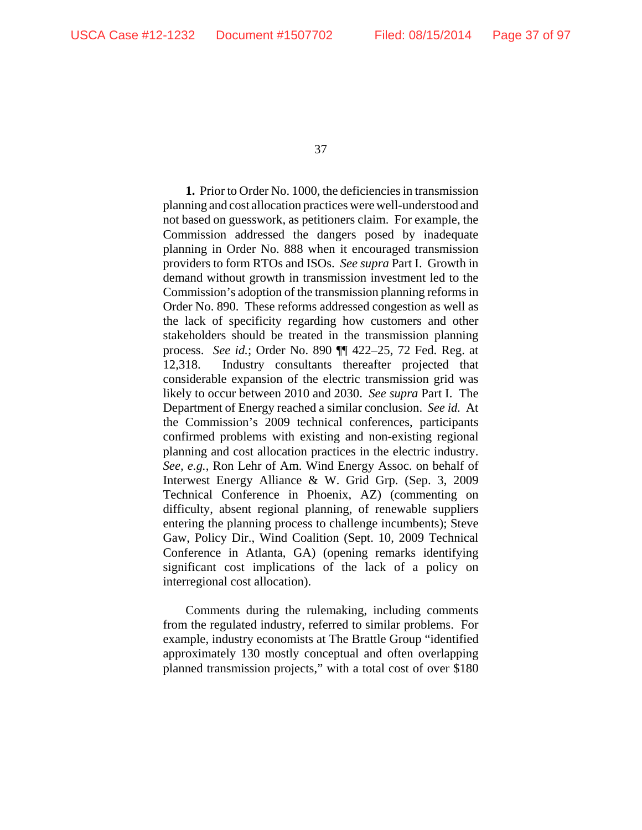**1.** Prior to Order No. 1000, the deficiencies in transmission planning and cost allocation practices were well-understood and not based on guesswork, as petitioners claim. For example, the Commission addressed the dangers posed by inadequate planning in Order No. 888 when it encouraged transmission providers to form RTOs and ISOs. *See supra* Part I. Growth in demand without growth in transmission investment led to the Commission's adoption of the transmission planning reforms in Order No. 890. These reforms addressed congestion as well as the lack of specificity regarding how customers and other stakeholders should be treated in the transmission planning process. *See id.*; Order No. 890 ¶¶ 422–25, 72 Fed. Reg. at 12,318. Industry consultants thereafter projected that considerable expansion of the electric transmission grid was likely to occur between 2010 and 2030. *See supra* Part I. The Department of Energy reached a similar conclusion. *See id.* At the Commission's 2009 technical conferences, participants confirmed problems with existing and non-existing regional planning and cost allocation practices in the electric industry. *See, e.g.*, Ron Lehr of Am. Wind Energy Assoc. on behalf of Interwest Energy Alliance & W. Grid Grp. (Sep. 3, 2009 Technical Conference in Phoenix, AZ) (commenting on difficulty, absent regional planning, of renewable suppliers entering the planning process to challenge incumbents); Steve Gaw, Policy Dir., Wind Coalition (Sept. 10, 2009 Technical Conference in Atlanta, GA) (opening remarks identifying significant cost implications of the lack of a policy on interregional cost allocation).

Comments during the rulemaking, including comments from the regulated industry, referred to similar problems. For example, industry economists at The Brattle Group "identified approximately 130 mostly conceptual and often overlapping planned transmission projects," with a total cost of over \$180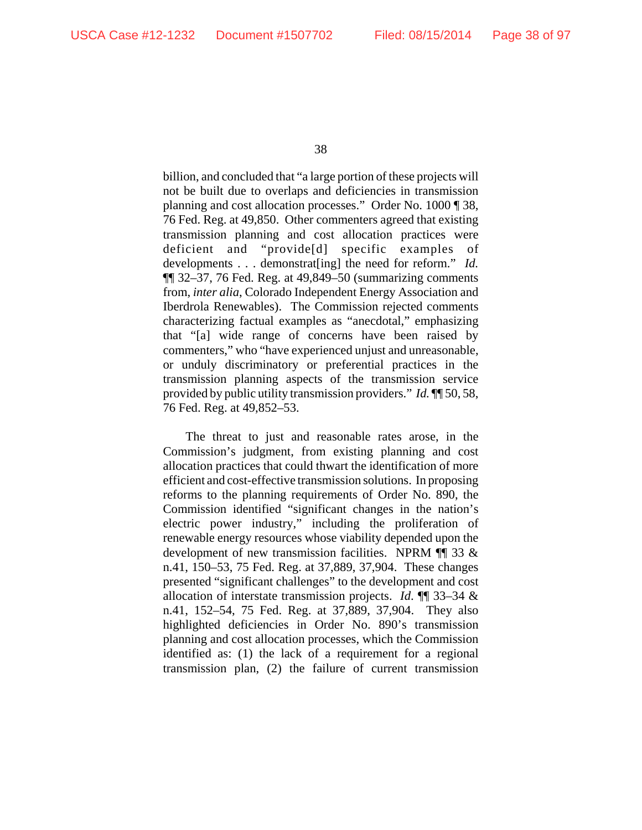billion, and concluded that "a large portion of these projects will not be built due to overlaps and deficiencies in transmission planning and cost allocation processes." Order No. 1000 ¶ 38, 76 Fed. Reg. at 49,850. Other commenters agreed that existing transmission planning and cost allocation practices were deficient and "provide[d] specific examples of developments . . . demonstrat[ing] the need for reform." *Id.* ¶¶ 32–37, 76 Fed. Reg. at 49,849–50 (summarizing comments from, *inter alia*, Colorado Independent Energy Association and Iberdrola Renewables). The Commission rejected comments characterizing factual examples as "anecdotal," emphasizing that "[a] wide range of concerns have been raised by commenters," who "have experienced unjust and unreasonable, or unduly discriminatory or preferential practices in the transmission planning aspects of the transmission service provided by public utility transmission providers." *Id.* ¶¶ 50, 58, 76 Fed. Reg. at 49,852–53.

The threat to just and reasonable rates arose, in the Commission's judgment, from existing planning and cost allocation practices that could thwart the identification of more efficient and cost-effective transmission solutions. In proposing reforms to the planning requirements of Order No. 890, the Commission identified "significant changes in the nation's electric power industry," including the proliferation of renewable energy resources whose viability depended upon the development of new transmission facilities. NPRM ¶¶ 33 & n.41, 150–53, 75 Fed. Reg. at 37,889, 37,904. These changes presented "significant challenges" to the development and cost allocation of interstate transmission projects. *Id*. ¶¶ 33–34 & n.41, 152–54, 75 Fed. Reg. at 37,889, 37,904. They also highlighted deficiencies in Order No. 890's transmission planning and cost allocation processes, which the Commission identified as: (1) the lack of a requirement for a regional transmission plan, (2) the failure of current transmission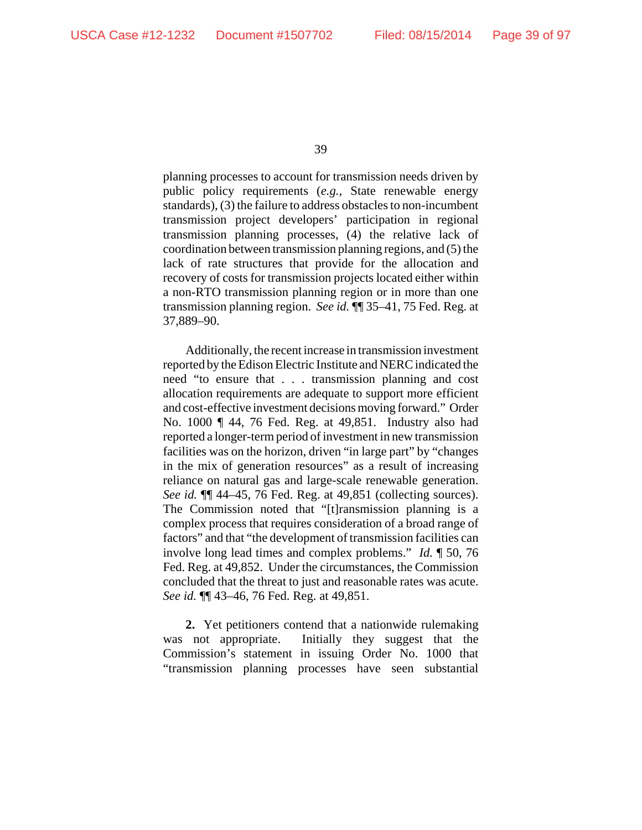planning processes to account for transmission needs driven by public policy requirements (*e.g.*, State renewable energy standards), (3) the failure to address obstacles to non-incumbent transmission project developers' participation in regional transmission planning processes, (4) the relative lack of coordination between transmission planning regions, and (5) the lack of rate structures that provide for the allocation and recovery of costs for transmission projects located either within a non-RTO transmission planning region or in more than one transmission planning region. *See id.* ¶¶ 35–41, 75 Fed. Reg. at 37,889–90.

Additionally, the recent increase in transmission investment reported by the Edison Electric Institute and NERC indicated the need "to ensure that . . . transmission planning and cost allocation requirements are adequate to support more efficient and cost-effective investment decisions moving forward." Order No. 1000 ¶ 44, 76 Fed. Reg. at 49,851. Industry also had reported a longer-term period of investment in new transmission facilities was on the horizon, driven "in large part" by "changes in the mix of generation resources" as a result of increasing reliance on natural gas and large-scale renewable generation. *See id.* ¶¶ 44–45, 76 Fed. Reg. at 49,851 (collecting sources). The Commission noted that "[t]ransmission planning is a complex process that requires consideration of a broad range of factors" and that "the development of transmission facilities can involve long lead times and complex problems." *Id.* ¶ 50, 76 Fed. Reg. at 49,852. Under the circumstances, the Commission concluded that the threat to just and reasonable rates was acute. *See id.* ¶¶ 43–46, 76 Fed. Reg. at 49,851.

**2.** Yet petitioners contend that a nationwide rulemaking was not appropriate. Initially they suggest that the Commission's statement in issuing Order No. 1000 that "transmission planning processes have seen substantial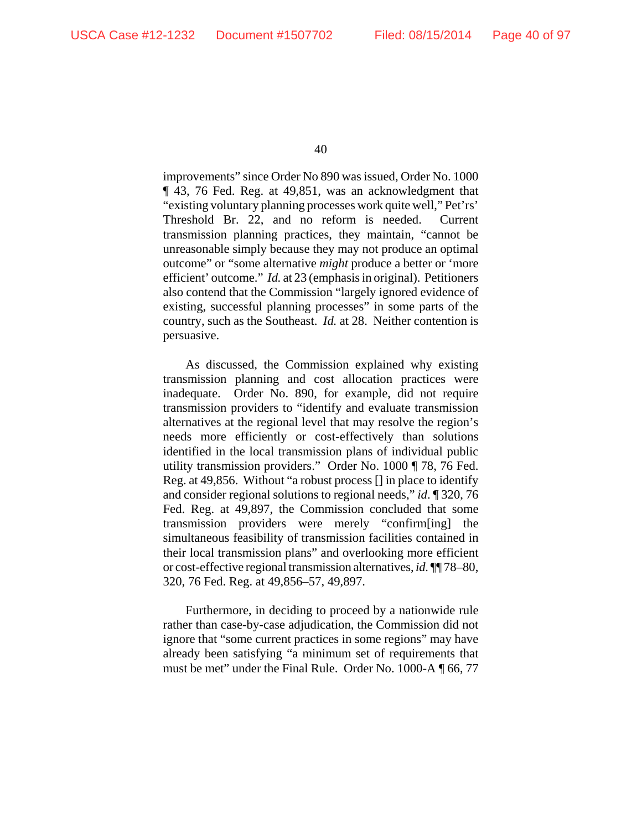improvements" since Order No 890 was issued, Order No. 1000 ¶ 43, 76 Fed. Reg. at 49,851, was an acknowledgment that "existing voluntary planning processes work quite well," Pet'rs' Threshold Br. 22, and no reform is needed. Current transmission planning practices, they maintain, "cannot be unreasonable simply because they may not produce an optimal outcome" or "some alternative *might* produce a better or 'more efficient' outcome." *Id.* at 23 (emphasis in original). Petitioners also contend that the Commission "largely ignored evidence of existing, successful planning processes" in some parts of the country, such as the Southeast. *Id.* at 28. Neither contention is persuasive.

As discussed, the Commission explained why existing transmission planning and cost allocation practices were inadequate. Order No. 890, for example, did not require transmission providers to "identify and evaluate transmission alternatives at the regional level that may resolve the region's needs more efficiently or cost-effectively than solutions identified in the local transmission plans of individual public utility transmission providers." Order No. 1000 ¶ 78, 76 Fed. Reg. at 49,856. Without "a robust process [] in place to identify and consider regional solutions to regional needs," *id*. ¶ 320, 76 Fed. Reg. at 49,897, the Commission concluded that some transmission providers were merely "confirm[ing] simultaneous feasibility of transmission facilities contained in their local transmission plans" and overlooking more efficient or cost-effective regional transmission alternatives, *id.* ¶¶ 78–80, 320, 76 Fed. Reg. at 49,856–57, 49,897.

Furthermore, in deciding to proceed by a nationwide rule rather than case-by-case adjudication, the Commission did not ignore that "some current practices in some regions" may have already been satisfying "a minimum set of requirements that must be met" under the Final Rule. Order No. 1000-A ¶ 66, 77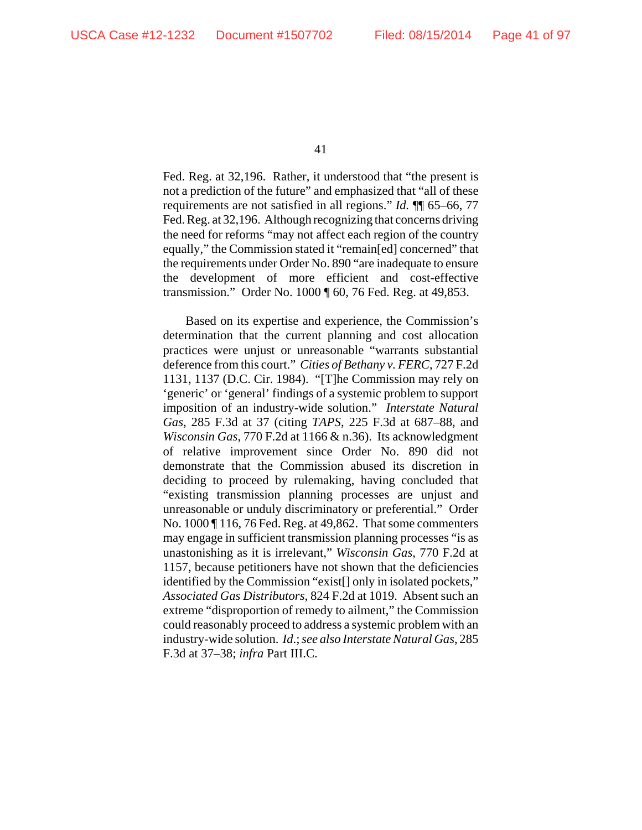Fed. Reg. at 32,196. Rather, it understood that "the present is not a prediction of the future" and emphasized that "all of these requirements are not satisfied in all regions." *Id.* ¶¶ 65–66, 77 Fed. Reg. at 32,196. Although recognizing that concerns driving the need for reforms "may not affect each region of the country equally," the Commission stated it "remain[ed] concerned" that the requirements under Order No. 890 "are inadequate to ensure the development of more efficient and cost-effective transmission." Order No. 1000 ¶ 60, 76 Fed. Reg. at 49,853.

Based on its expertise and experience, the Commission's determination that the current planning and cost allocation practices were unjust or unreasonable "warrants substantial deference from this court." *Cities of Bethany v. FERC*, 727 F.2d 1131, 1137 (D.C. Cir. 1984). "[T]he Commission may rely on 'generic' or 'general' findings of a systemic problem to support imposition of an industry-wide solution." *Interstate Natural Gas*, 285 F.3d at 37 (citing *TAPS*, 225 F.3d at 687–88, and *Wisconsin Gas*, 770 F.2d at 1166 & n.36). Its acknowledgment of relative improvement since Order No. 890 did not demonstrate that the Commission abused its discretion in deciding to proceed by rulemaking, having concluded that "existing transmission planning processes are unjust and unreasonable or unduly discriminatory or preferential." Order No. 1000 ¶ 116, 76 Fed. Reg. at 49,862. That some commenters may engage in sufficient transmission planning processes "is as unastonishing as it is irrelevant," *Wisconsin Gas*, 770 F.2d at 1157, because petitioners have not shown that the deficiencies identified by the Commission "exist[] only in isolated pockets," *Associated Gas Distributors*, 824 F.2d at 1019. Absent such an extreme "disproportion of remedy to ailment," the Commission could reasonably proceed to address a systemic problem with an industry-wide solution. *Id*.; *see also Interstate Natural Gas*, 285 F.3d at 37–38; *infra* Part III.C.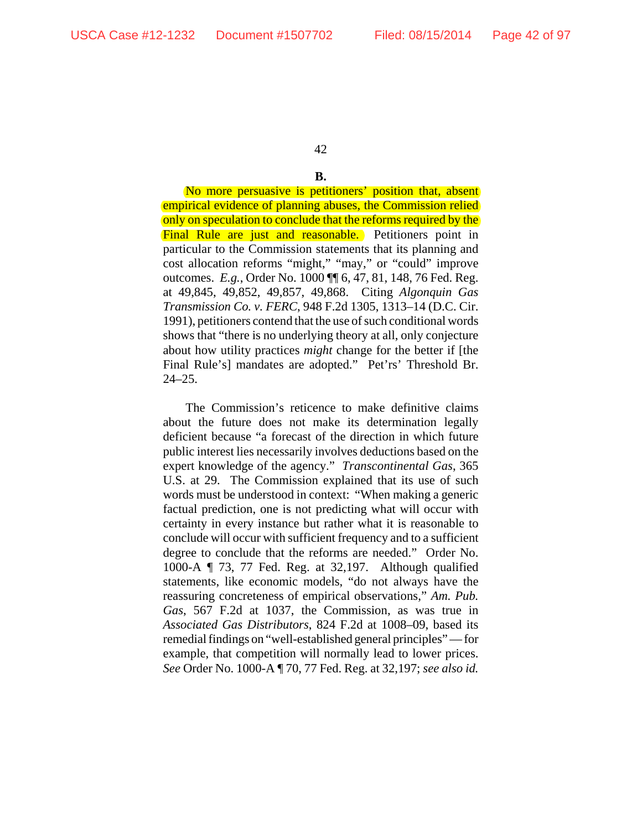### **B.**

No more persuasive is petitioners' position that, absent empirical evidence of planning abuses, the Commission relied only on speculation to conclude that the reforms required by the Final Rule are just and reasonable. Petitioners point in particular to the Commission statements that its planning and cost allocation reforms "might," "may," or "could" improve outcomes. *E.g.*, Order No. 1000 ¶¶ 6, 47, 81, 148, 76 Fed. Reg. at 49,845, 49,852, 49,857, 49,868. Citing *Algonquin Gas Transmission Co. v. FERC*, 948 F.2d 1305, 1313–14 (D.C. Cir. 1991), petitioners contend that the use of such conditional words shows that "there is no underlying theory at all, only conjecture about how utility practices *might* change for the better if [the Final Rule's] mandates are adopted." Pet'rs' Threshold Br. 24–25.

The Commission's reticence to make definitive claims about the future does not make its determination legally deficient because "a forecast of the direction in which future public interest lies necessarily involves deductions based on the expert knowledge of the agency." *Transcontinental Gas*, 365 U.S. at 29. The Commission explained that its use of such words must be understood in context: "When making a generic factual prediction, one is not predicting what will occur with certainty in every instance but rather what it is reasonable to conclude will occur with sufficient frequency and to a sufficient degree to conclude that the reforms are needed." Order No. 1000-A ¶ 73, 77 Fed. Reg. at 32,197. Although qualified statements, like economic models, "do not always have the reassuring concreteness of empirical observations," *Am. Pub. Gas*, 567 F.2d at 1037, the Commission, as was true in *Associated Gas Distributors*, 824 F.2d at 1008–09, based its remedial findings on "well-established general principles" — for example, that competition will normally lead to lower prices. *See* Order No. 1000-A ¶ 70, 77 Fed. Reg. at 32,197; *see also id.*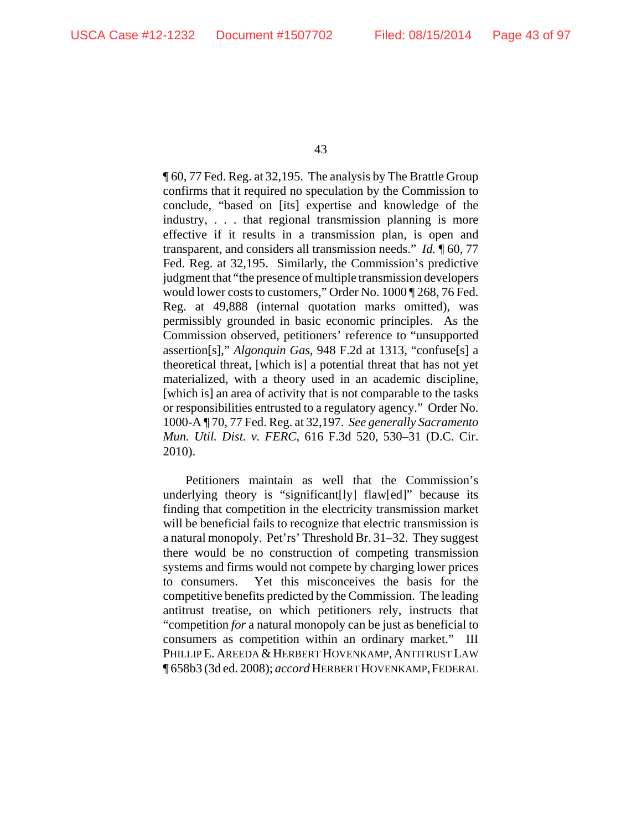¶ 60, 77 Fed. Reg. at 32,195. The analysis by The Brattle Group confirms that it required no speculation by the Commission to conclude, "based on [its] expertise and knowledge of the industry, . . . that regional transmission planning is more effective if it results in a transmission plan, is open and transparent, and considers all transmission needs." *Id.* ¶ 60, 77 Fed. Reg. at 32,195. Similarly, the Commission's predictive judgment that "the presence of multiple transmission developers would lower costs to customers," Order No. 1000 ¶ 268, 76 Fed. Reg. at 49,888 (internal quotation marks omitted), was permissibly grounded in basic economic principles. As the Commission observed, petitioners' reference to "unsupported assertion[s]," *Algonquin Gas*, 948 F.2d at 1313, "confuse[s] a theoretical threat, [which is] a potential threat that has not yet materialized, with a theory used in an academic discipline, [which is] an area of activity that is not comparable to the tasks or responsibilities entrusted to a regulatory agency." Order No. 1000-A ¶ 70, 77 Fed. Reg. at 32,197. *See generally Sacramento Mun. Util. Dist. v. FERC*, 616 F.3d 520, 530–31 (D.C. Cir. 2010).

Petitioners maintain as well that the Commission's underlying theory is "significant[ly] flaw[ed]" because its finding that competition in the electricity transmission market will be beneficial fails to recognize that electric transmission is a natural monopoly. Pet'rs' Threshold Br. 31–32. They suggest there would be no construction of competing transmission systems and firms would not compete by charging lower prices to consumers. Yet this misconceives the basis for the competitive benefits predicted by the Commission. The leading antitrust treatise, on which petitioners rely, instructs that "competition *for* a natural monopoly can be just as beneficial to consumers as competition within an ordinary market." III PHILLIP E. AREEDA & HERBERT HOVENKAMP, ANTITRUST LAW ¶ 658b3 (3d ed. 2008); *accord* HERBERT HOVENKAMP,FEDERAL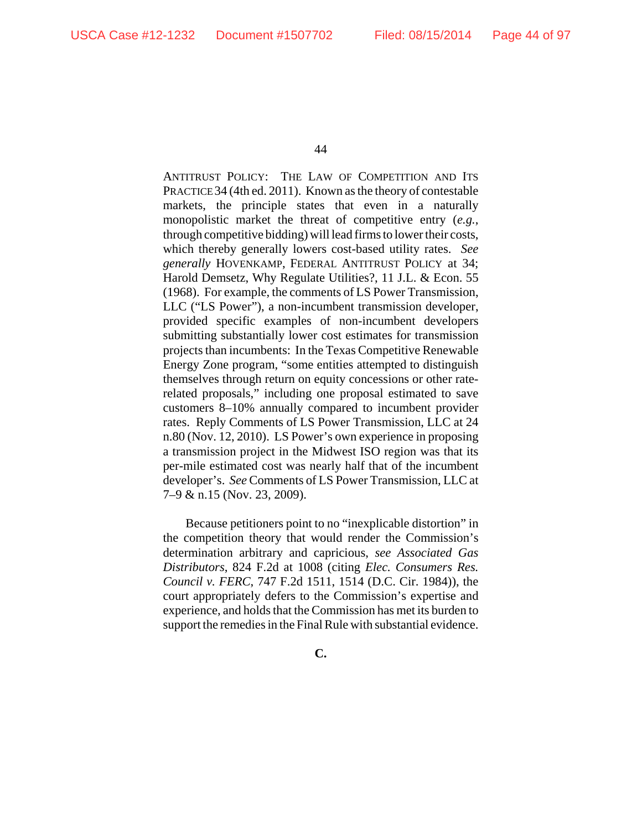ANTITRUST POLICY: THE LAW OF COMPETITION AND ITS PRACTICE 34 (4th ed. 2011). Known as the theory of contestable markets, the principle states that even in a naturally monopolistic market the threat of competitive entry (*e.g.*, through competitive bidding) will lead firms to lower their costs, which thereby generally lowers cost-based utility rates. *See generally* HOVENKAMP, FEDERAL ANTITRUST POLICY at 34; Harold Demsetz, Why Regulate Utilities?, 11 J.L. & Econ. 55 (1968). For example, the comments of LS Power Transmission, LLC ("LS Power"), a non-incumbent transmission developer, provided specific examples of non-incumbent developers submitting substantially lower cost estimates for transmission projects than incumbents: In the Texas Competitive Renewable Energy Zone program, "some entities attempted to distinguish themselves through return on equity concessions or other raterelated proposals," including one proposal estimated to save customers 8–10% annually compared to incumbent provider rates. Reply Comments of LS Power Transmission, LLC at 24 n.80 (Nov. 12, 2010). LS Power's own experience in proposing a transmission project in the Midwest ISO region was that its per-mile estimated cost was nearly half that of the incumbent developer's. *See* Comments of LS Power Transmission, LLC at 7–9 & n.15 (Nov. 23, 2009).

Because petitioners point to no "inexplicable distortion" in the competition theory that would render the Commission's determination arbitrary and capricious, *see Associated Gas Distributors*, 824 F.2d at 1008 (citing *Elec. Consumers Res. Council v. FERC*, 747 F.2d 1511, 1514 (D.C. Cir. 1984)), the court appropriately defers to the Commission's expertise and experience, and holds that the Commission has met its burden to support the remedies in the Final Rule with substantial evidence.

**C.**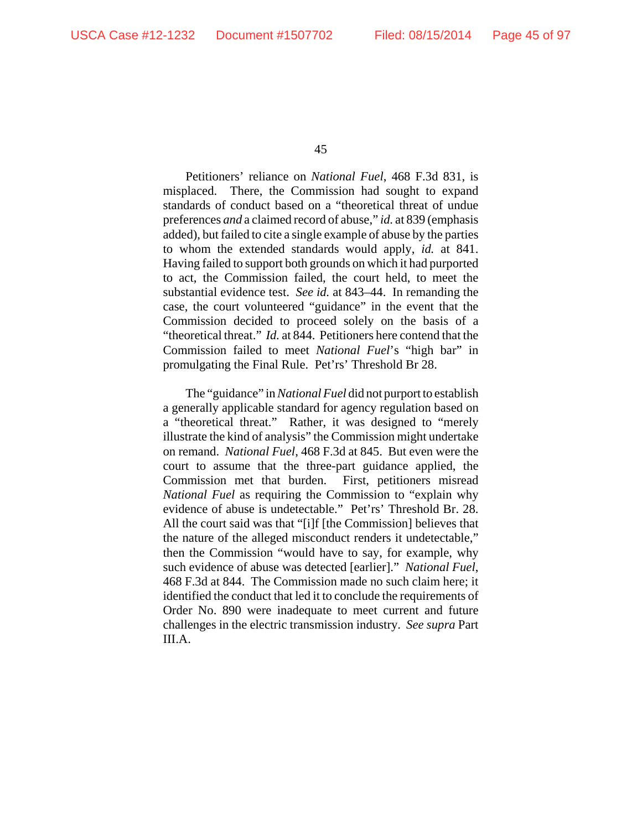Petitioners' reliance on *National Fuel*, 468 F.3d 831, is misplaced. There, the Commission had sought to expand standards of conduct based on a "theoretical threat of undue preferences *and* a claimed record of abuse," *id.* at 839 (emphasis added), but failed to cite a single example of abuse by the parties to whom the extended standards would apply, *id.* at 841. Having failed to support both grounds on which it had purported to act, the Commission failed, the court held, to meet the substantial evidence test. *See id.* at 843–44. In remanding the case, the court volunteered "guidance" in the event that the Commission decided to proceed solely on the basis of a "theoretical threat." *Id.* at 844. Petitioners here contend that the Commission failed to meet *National Fuel*'s "high bar" in promulgating the Final Rule. Pet'rs' Threshold Br 28.

The "guidance" in *National Fuel* did not purport to establish a generally applicable standard for agency regulation based on a "theoretical threat." Rather, it was designed to "merely illustrate the kind of analysis" the Commission might undertake on remand. *National Fuel*, 468 F.3d at 845. But even were the court to assume that the three-part guidance applied, the Commission met that burden. First, petitioners misread *National Fuel* as requiring the Commission to "explain why evidence of abuse is undetectable." Pet'rs' Threshold Br. 28. All the court said was that "[i]f [the Commission] believes that the nature of the alleged misconduct renders it undetectable," then the Commission "would have to say, for example, why such evidence of abuse was detected [earlier]." *National Fuel*, 468 F.3d at 844. The Commission made no such claim here; it identified the conduct that led it to conclude the requirements of Order No. 890 were inadequate to meet current and future challenges in the electric transmission industry. *See supra* Part III.A.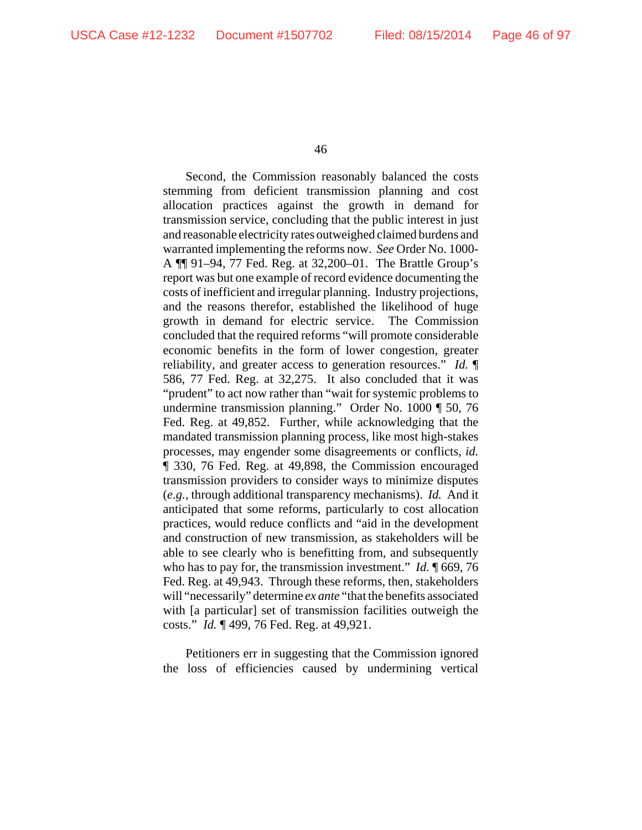Second, the Commission reasonably balanced the costs stemming from deficient transmission planning and cost allocation practices against the growth in demand for transmission service, concluding that the public interest in just and reasonable electricity rates outweighed claimed burdens and warranted implementing the reforms now. *See* Order No. 1000- A ¶¶ 91–94, 77 Fed. Reg. at 32,200–01. The Brattle Group's report was but one example of record evidence documenting the costs of inefficient and irregular planning. Industry projections, and the reasons therefor, established the likelihood of huge growth in demand for electric service. The Commission concluded that the required reforms "will promote considerable economic benefits in the form of lower congestion, greater reliability, and greater access to generation resources." *Id.* ¶ 586, 77 Fed. Reg. at 32,275. It also concluded that it was "prudent" to act now rather than "wait for systemic problems to undermine transmission planning." Order No. 1000 ¶ 50, 76 Fed. Reg. at 49,852. Further, while acknowledging that the mandated transmission planning process, like most high-stakes processes, may engender some disagreements or conflicts, *id.* ¶ 330, 76 Fed. Reg. at 49,898, the Commission encouraged transmission providers to consider ways to minimize disputes (*e.g.*, through additional transparency mechanisms). *Id.* And it anticipated that some reforms, particularly to cost allocation practices, would reduce conflicts and "aid in the development and construction of new transmission, as stakeholders will be able to see clearly who is benefitting from, and subsequently who has to pay for, the transmission investment." *Id.* ¶ 669, 76 Fed. Reg. at 49,943. Through these reforms, then, stakeholders will "necessarily" determine *ex ante* "that the benefits associated with [a particular] set of transmission facilities outweigh the costs." *Id.* ¶ 499, 76 Fed. Reg. at 49,921.

Petitioners err in suggesting that the Commission ignored the loss of efficiencies caused by undermining vertical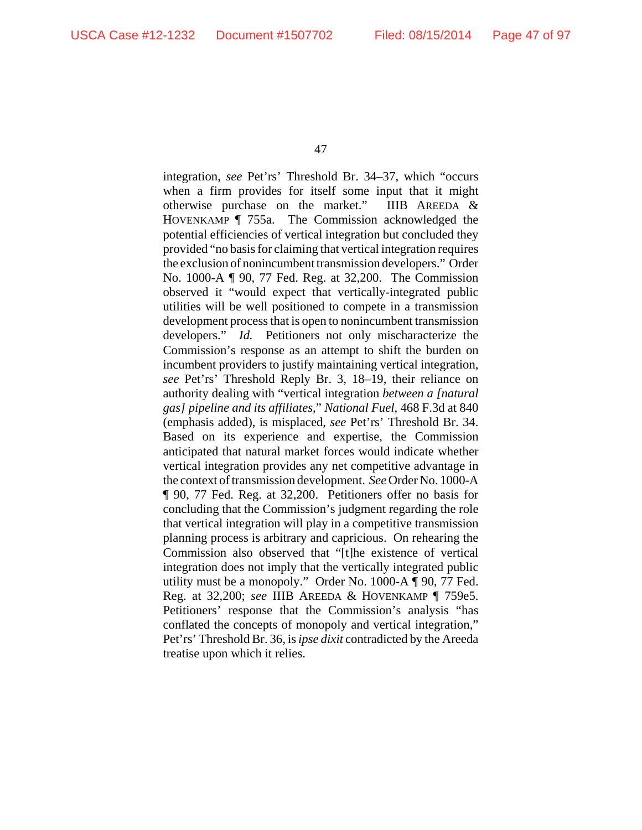integration, *see* Pet'rs' Threshold Br. 34–37, which "occurs when a firm provides for itself some input that it might otherwise purchase on the market." IIIB AREEDA & HOVENKAMP ¶ 755a. The Commission acknowledged the potential efficiencies of vertical integration but concluded they provided "no basis for claiming that vertical integration requires the exclusion of nonincumbent transmission developers." Order No. 1000-A ¶ 90, 77 Fed. Reg. at 32,200. The Commission observed it "would expect that vertically-integrated public utilities will be well positioned to compete in a transmission development process that is open to nonincumbent transmission developers." *Id.* Petitioners not only mischaracterize the Commission's response as an attempt to shift the burden on incumbent providers to justify maintaining vertical integration, *see* Pet'rs' Threshold Reply Br. 3, 18–19, their reliance on authority dealing with "vertical integration *between a [natural gas] pipeline and its affiliates*," *National Fuel*, 468 F.3d at 840 (emphasis added), is misplaced, *see* Pet'rs' Threshold Br. 34. Based on its experience and expertise, the Commission anticipated that natural market forces would indicate whether vertical integration provides any net competitive advantage in the context of transmission development. *See* Order No. 1000-A ¶ 90, 77 Fed. Reg. at 32,200. Petitioners offer no basis for concluding that the Commission's judgment regarding the role that vertical integration will play in a competitive transmission planning process is arbitrary and capricious. On rehearing the Commission also observed that "[t]he existence of vertical integration does not imply that the vertically integrated public utility must be a monopoly." Order No. 1000-A ¶ 90, 77 Fed. Reg. at 32,200; *see* IIIB AREEDA & HOVENKAMP ¶ 759e5. Petitioners' response that the Commission's analysis "has conflated the concepts of monopoly and vertical integration," Pet'rs' Threshold Br. 36, is *ipse dixit* contradicted by the Areeda treatise upon which it relies.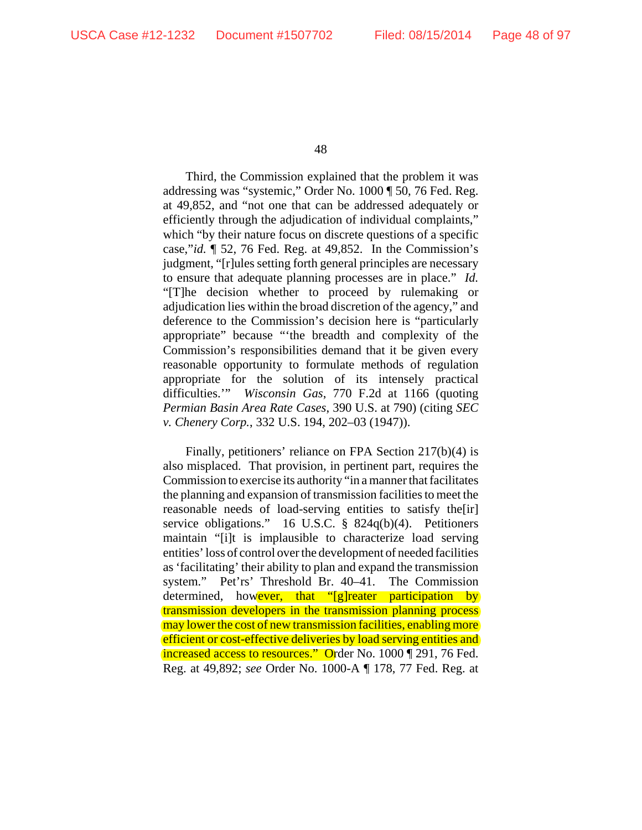Third, the Commission explained that the problem it was addressing was "systemic," Order No. 1000 ¶ 50, 76 Fed. Reg. at 49,852, and "not one that can be addressed adequately or efficiently through the adjudication of individual complaints," which "by their nature focus on discrete questions of a specific case,"*id.* ¶ 52, 76 Fed. Reg. at 49,852. In the Commission's judgment, "[r]ules setting forth general principles are necessary to ensure that adequate planning processes are in place." *Id.*  "[T]he decision whether to proceed by rulemaking or adjudication lies within the broad discretion of the agency," and deference to the Commission's decision here is "particularly appropriate" because "'the breadth and complexity of the Commission's responsibilities demand that it be given every reasonable opportunity to formulate methods of regulation appropriate for the solution of its intensely practical difficulties.'" *Wisconsin Gas*, 770 F.2d at 1166 (quoting *Permian Basin Area Rate Cases*, 390 U.S. at 790) (citing *SEC v. Chenery Corp.*, 332 U.S. 194, 202–03 (1947)).

Finally, petitioners' reliance on FPA Section 217(b)(4) is also misplaced. That provision, in pertinent part, requires the Commission to exercise its authority "in a manner that facilitates the planning and expansion of transmission facilities to meet the reasonable needs of load-serving entities to satisfy the[ir] service obligations." 16 U.S.C. § 824q(b)(4). Petitioners maintain "[i]t is implausible to characterize load serving entities' loss of control over the development of needed facilities as 'facilitating' their ability to plan and expand the transmission system." Pet'rs' Threshold Br. 40–41. The Commission determined, however, that "[g]reater participation by transmission developers in the transmission planning process may lower the cost of new transmission facilities, enabling more efficient or cost-effective deliveries by load serving entities and increased access to resources." Order No. 1000 | 291, 76 Fed. Reg. at 49,892; *see* Order No. 1000-A ¶ 178, 77 Fed. Reg. at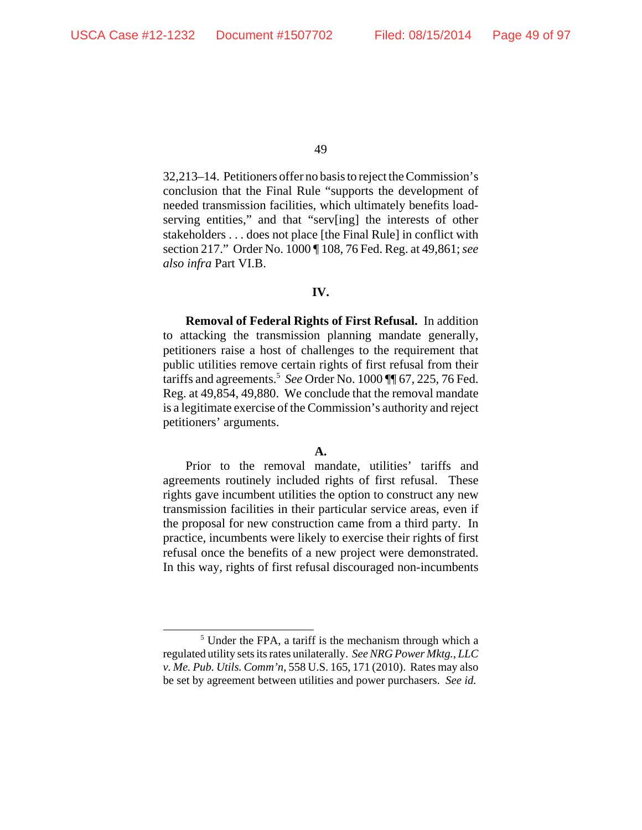32,213–14. Petitioners offer no basis to reject the Commission's conclusion that the Final Rule "supports the development of needed transmission facilities, which ultimately benefits loadserving entities," and that "serv[ing] the interests of other stakeholders . . . does not place [the Final Rule] in conflict with section 217." Order No. 1000 ¶ 108, 76 Fed. Reg. at 49,861; *see also infra* Part VI.B.

# **IV.**

**Removal of Federal Rights of First Refusal.** In addition to attacking the transmission planning mandate generally, petitioners raise a host of challenges to the requirement that public utilities remove certain rights of first refusal from their tariffs and agreements.5 *See* Order No. 1000 ¶¶ 67, 225, 76 Fed. Reg. at 49,854, 49,880. We conclude that the removal mandate is a legitimate exercise of the Commission's authority and reject petitioners' arguments.

# **A.**

Prior to the removal mandate, utilities' tariffs and agreements routinely included rights of first refusal. These rights gave incumbent utilities the option to construct any new transmission facilities in their particular service areas, even if the proposal for new construction came from a third party. In practice, incumbents were likely to exercise their rights of first refusal once the benefits of a new project were demonstrated. In this way, rights of first refusal discouraged non-incumbents

<sup>&</sup>lt;sup>5</sup> Under the FPA, a tariff is the mechanism through which a regulated utility sets its rates unilaterally. *See NRG Power Mktg., LLC v. Me. Pub. Utils. Comm'n*, 558 U.S. 165, 171 (2010). Rates may also be set by agreement between utilities and power purchasers. *See id.*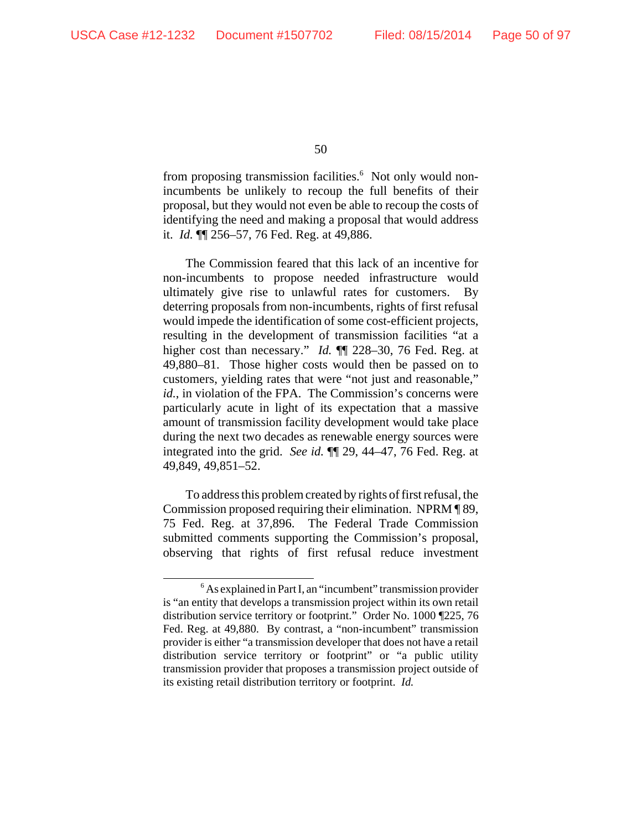from proposing transmission facilities.<sup>6</sup> Not only would nonincumbents be unlikely to recoup the full benefits of their proposal, but they would not even be able to recoup the costs of identifying the need and making a proposal that would address it. *Id.* ¶¶ 256–57, 76 Fed. Reg. at 49,886.

The Commission feared that this lack of an incentive for non-incumbents to propose needed infrastructure would ultimately give rise to unlawful rates for customers. By deterring proposals from non-incumbents, rights of first refusal would impede the identification of some cost-efficient projects, resulting in the development of transmission facilities "at a higher cost than necessary." *Id.* ¶¶ 228–30, 76 Fed. Reg. at 49,880–81. Those higher costs would then be passed on to customers, yielding rates that were "not just and reasonable," *id.*, in violation of the FPA. The Commission's concerns were particularly acute in light of its expectation that a massive amount of transmission facility development would take place during the next two decades as renewable energy sources were integrated into the grid. *See id.* ¶¶ 29, 44–47, 76 Fed. Reg. at 49,849, 49,851–52.

To address this problem created by rights of first refusal, the Commission proposed requiring their elimination. NPRM ¶ 89, 75 Fed. Reg. at 37,896. The Federal Trade Commission submitted comments supporting the Commission's proposal, observing that rights of first refusal reduce investment

<sup>&</sup>lt;sup>6</sup> As explained in Part I, an "incumbent" transmission provider is "an entity that develops a transmission project within its own retail distribution service territory or footprint." Order No. 1000 ¶225, 76 Fed. Reg. at 49,880. By contrast, a "non-incumbent" transmission provider is either "a transmission developer that does not have a retail distribution service territory or footprint" or "a public utility transmission provider that proposes a transmission project outside of its existing retail distribution territory or footprint. *Id.*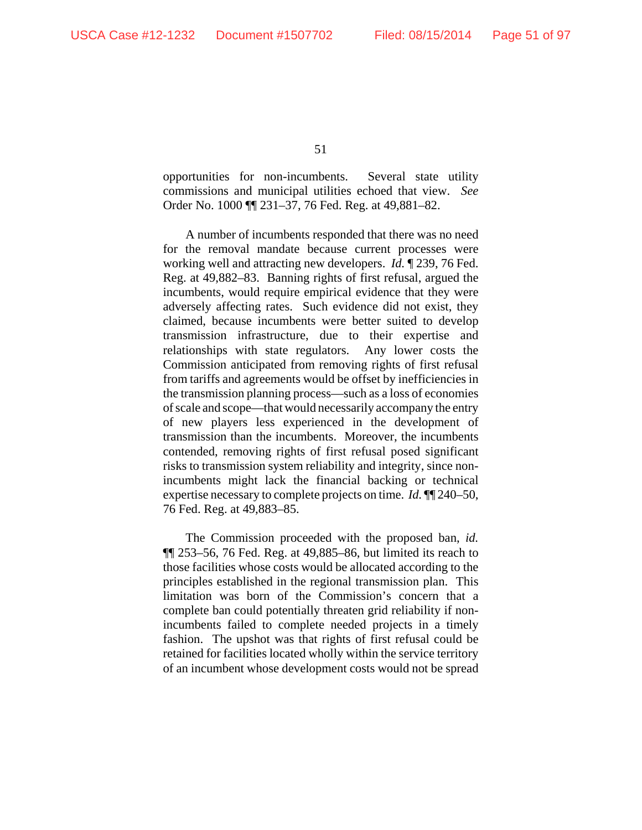opportunities for non-incumbents. Several state utility commissions and municipal utilities echoed that view. *See* Order No. 1000 ¶¶ 231–37, 76 Fed. Reg. at 49,881–82.

A number of incumbents responded that there was no need for the removal mandate because current processes were working well and attracting new developers. *Id.* ¶ 239, 76 Fed. Reg. at 49,882–83. Banning rights of first refusal, argued the incumbents, would require empirical evidence that they were adversely affecting rates. Such evidence did not exist, they claimed, because incumbents were better suited to develop transmission infrastructure, due to their expertise and relationships with state regulators. Any lower costs the Commission anticipated from removing rights of first refusal from tariffs and agreements would be offset by inefficiencies in the transmission planning process—such as a loss of economies of scale and scope—that would necessarily accompany the entry of new players less experienced in the development of transmission than the incumbents. Moreover, the incumbents contended, removing rights of first refusal posed significant risks to transmission system reliability and integrity, since nonincumbents might lack the financial backing or technical expertise necessary to complete projects on time. *Id.* ¶¶ 240–50, 76 Fed. Reg. at 49,883–85.

The Commission proceeded with the proposed ban, *id.* ¶¶ 253–56, 76 Fed. Reg. at 49,885–86, but limited its reach to those facilities whose costs would be allocated according to the principles established in the regional transmission plan. This limitation was born of the Commission's concern that a complete ban could potentially threaten grid reliability if nonincumbents failed to complete needed projects in a timely fashion. The upshot was that rights of first refusal could be retained for facilities located wholly within the service territory of an incumbent whose development costs would not be spread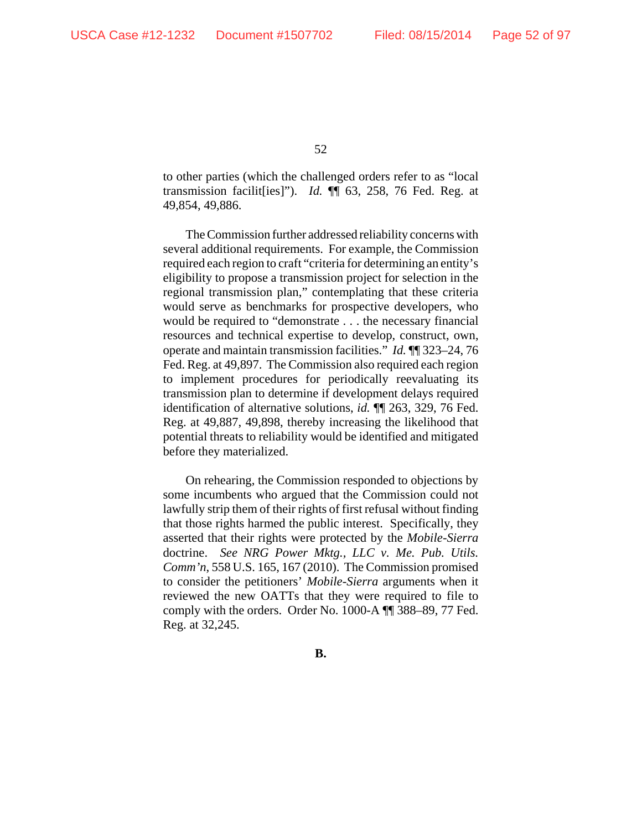to other parties (which the challenged orders refer to as "local transmission facilit[ies]"). *Id.* ¶¶ 63, 258, 76 Fed. Reg. at 49,854, 49,886.

The Commission further addressed reliability concerns with several additional requirements. For example, the Commission required each region to craft "criteria for determining an entity's eligibility to propose a transmission project for selection in the regional transmission plan," contemplating that these criteria would serve as benchmarks for prospective developers, who would be required to "demonstrate . . . the necessary financial resources and technical expertise to develop, construct, own, operate and maintain transmission facilities." *Id.* ¶¶ 323–24, 76 Fed. Reg. at 49,897. The Commission also required each region to implement procedures for periodically reevaluating its transmission plan to determine if development delays required identification of alternative solutions, *id.* ¶¶ 263, 329, 76 Fed. Reg. at 49,887, 49,898, thereby increasing the likelihood that potential threats to reliability would be identified and mitigated before they materialized.

On rehearing, the Commission responded to objections by some incumbents who argued that the Commission could not lawfully strip them of their rights of first refusal without finding that those rights harmed the public interest. Specifically, they asserted that their rights were protected by the *Mobile-Sierra* doctrine. *See NRG Power Mktg., LLC v. Me. Pub. Utils. Comm'n*, 558 U.S. 165, 167 (2010). The Commission promised to consider the petitioners' *Mobile-Sierra* arguments when it reviewed the new OATTs that they were required to file to comply with the orders. Order No. 1000-A ¶¶ 388–89, 77 Fed. Reg. at 32,245.

**B.**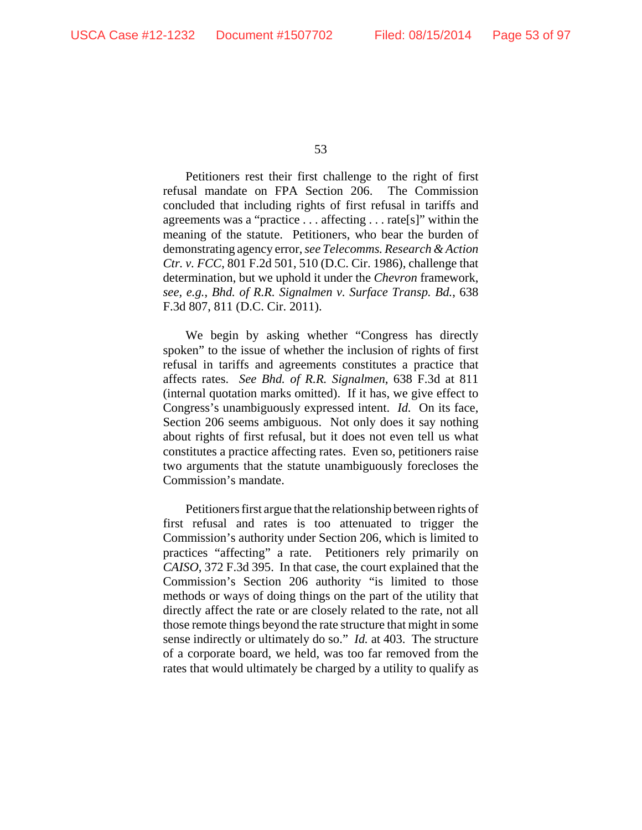Petitioners rest their first challenge to the right of first refusal mandate on FPA Section 206. The Commission concluded that including rights of first refusal in tariffs and agreements was a "practice . . . affecting . . . rate[s]" within the meaning of the statute. Petitioners, who bear the burden of demonstrating agency error, *see Telecomms. Research & Action Ctr. v. FCC*, 801 F.2d 501, 510 (D.C. Cir. 1986), challenge that determination, but we uphold it under the *Chevron* framework, *see, e.g.*, *Bhd. of R.R. Signalmen v. Surface Transp. Bd.*, 638 F.3d 807, 811 (D.C. Cir. 2011).

We begin by asking whether "Congress has directly spoken" to the issue of whether the inclusion of rights of first refusal in tariffs and agreements constitutes a practice that affects rates. *See Bhd. of R.R. Signalmen*, 638 F.3d at 811 (internal quotation marks omitted). If it has, we give effect to Congress's unambiguously expressed intent. *Id.* On its face, Section 206 seems ambiguous. Not only does it say nothing about rights of first refusal, but it does not even tell us what constitutes a practice affecting rates. Even so, petitioners raise two arguments that the statute unambiguously forecloses the Commission's mandate.

Petitioners first argue that the relationship between rights of first refusal and rates is too attenuated to trigger the Commission's authority under Section 206, which is limited to practices "affecting" a rate. Petitioners rely primarily on *CAISO*, 372 F.3d 395. In that case, the court explained that the Commission's Section 206 authority "is limited to those methods or ways of doing things on the part of the utility that directly affect the rate or are closely related to the rate, not all those remote things beyond the rate structure that might in some sense indirectly or ultimately do so." *Id.* at 403. The structure of a corporate board, we held, was too far removed from the rates that would ultimately be charged by a utility to qualify as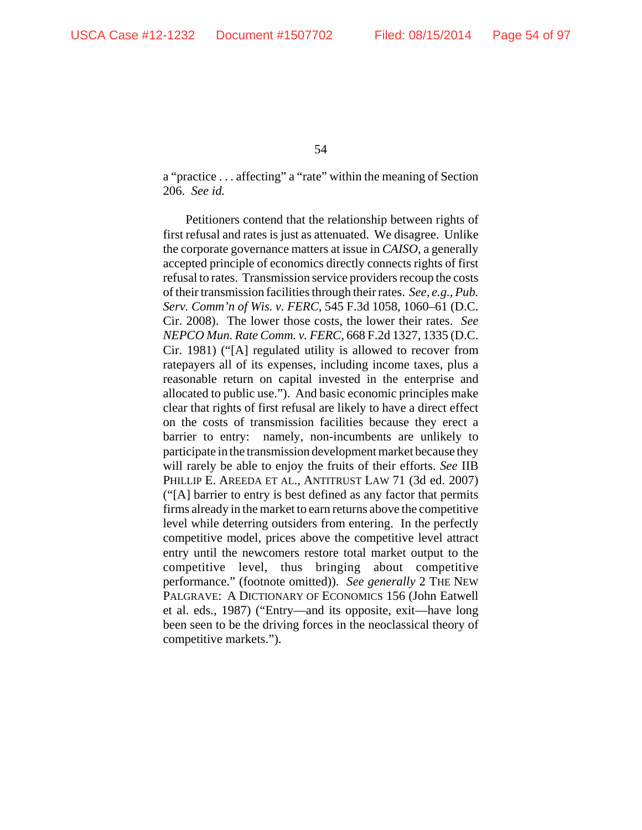a "practice . . . affecting" a "rate" within the meaning of Section 206. *See id.*

Petitioners contend that the relationship between rights of first refusal and rates is just as attenuated. We disagree. Unlike the corporate governance matters at issue in *CAISO*, a generally accepted principle of economics directly connects rights of first refusal to rates. Transmission service providers recoup the costs of their transmission facilities through their rates. *See, e.g.*, *Pub. Serv. Comm'n of Wis. v. FERC*, 545 F.3d 1058, 1060–61 (D.C. Cir. 2008). The lower those costs, the lower their rates. *See NEPCO Mun. Rate Comm. v. FERC*, 668 F.2d 1327, 1335 (D.C. Cir. 1981) ("[A] regulated utility is allowed to recover from ratepayers all of its expenses, including income taxes, plus a reasonable return on capital invested in the enterprise and allocated to public use."). And basic economic principles make clear that rights of first refusal are likely to have a direct effect on the costs of transmission facilities because they erect a barrier to entry: namely, non-incumbents are unlikely to participate in the transmission development market because they will rarely be able to enjoy the fruits of their efforts. *See* IIB PHILLIP E. AREEDA ET AL., ANTITRUST LAW 71 (3d ed. 2007) ("[A] barrier to entry is best defined as any factor that permits firms already in the market to earn returns above the competitive level while deterring outsiders from entering. In the perfectly competitive model, prices above the competitive level attract entry until the newcomers restore total market output to the competitive level, thus bringing about competitive performance." (footnote omitted)). *See generally* 2 THE NEW PALGRAVE: A DICTIONARY OF ECONOMICS 156 (John Eatwell et al. eds., 1987) ("Entry—and its opposite, exit—have long been seen to be the driving forces in the neoclassical theory of competitive markets.").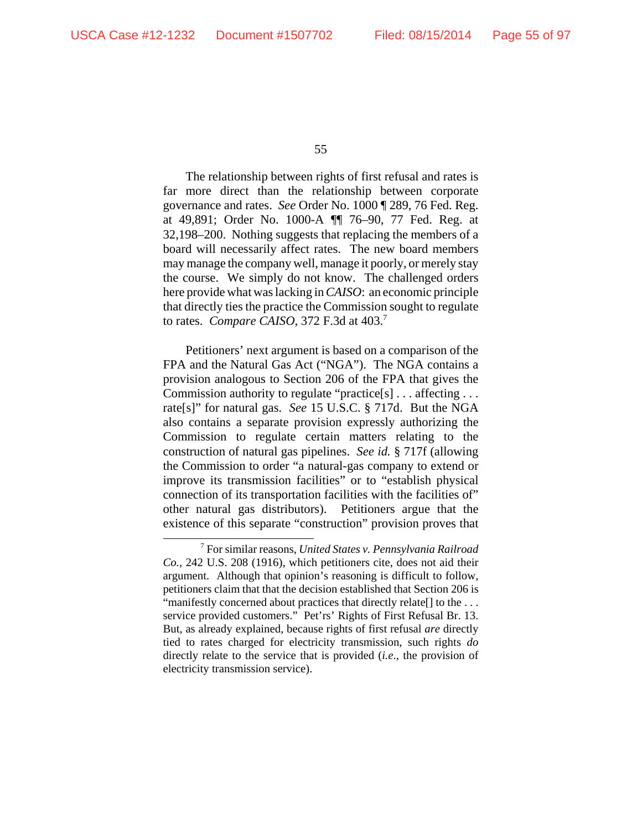The relationship between rights of first refusal and rates is far more direct than the relationship between corporate governance and rates. *See* Order No. 1000 ¶ 289, 76 Fed. Reg. at 49,891; Order No. 1000-A ¶¶ 76–90, 77 Fed. Reg. at 32,198–200. Nothing suggests that replacing the members of a board will necessarily affect rates. The new board members may manage the company well, manage it poorly, or merely stay the course. We simply do not know. The challenged orders here provide what was lacking in *CAISO*: an economic principle that directly ties the practice the Commission sought to regulate to rates. *Compare CAISO*, 372 F.3d at 403.7

Petitioners' next argument is based on a comparison of the FPA and the Natural Gas Act ("NGA"). The NGA contains a provision analogous to Section 206 of the FPA that gives the Commission authority to regulate "practice[s] . . . affecting . . . rate[s]" for natural gas. *See* 15 U.S.C. § 717d. But the NGA also contains a separate provision expressly authorizing the Commission to regulate certain matters relating to the construction of natural gas pipelines. *See id.* § 717f (allowing the Commission to order "a natural-gas company to extend or improve its transmission facilities" or to "establish physical connection of its transportation facilities with the facilities of" other natural gas distributors). Petitioners argue that the existence of this separate "construction" provision proves that

<sup>7</sup> For similar reasons, *United States v. Pennsylvania Railroad Co.*, 242 U.S. 208 (1916), which petitioners cite, does not aid their argument. Although that opinion's reasoning is difficult to follow, petitioners claim that that the decision established that Section 206 is "manifestly concerned about practices that directly relate[] to the . . . service provided customers." Pet'rs' Rights of First Refusal Br. 13. But, as already explained, because rights of first refusal *are* directly tied to rates charged for electricity transmission, such rights *do* directly relate to the service that is provided (*i.e*., the provision of electricity transmission service).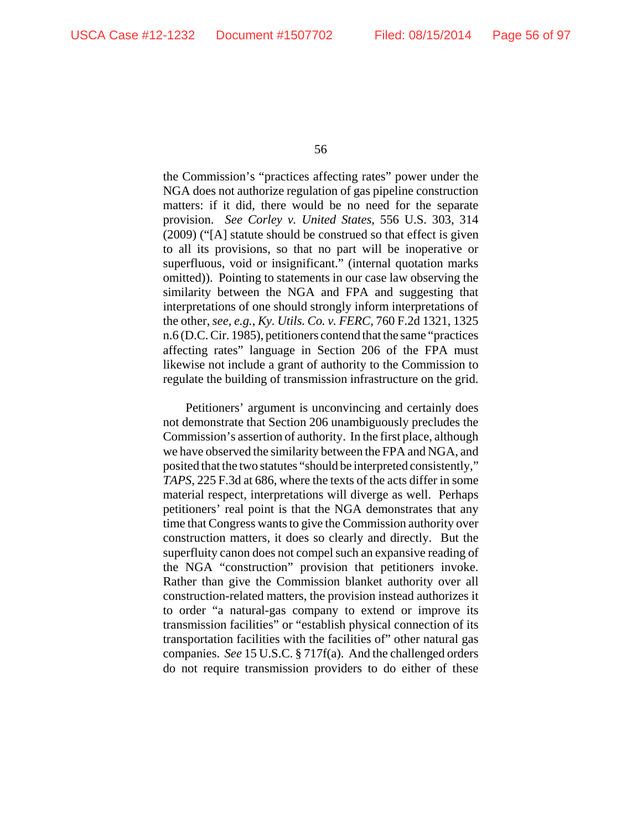the Commission's "practices affecting rates" power under the NGA does not authorize regulation of gas pipeline construction matters: if it did, there would be no need for the separate provision. *See Corley v. United States*, 556 U.S. 303, 314 (2009) ("[A] statute should be construed so that effect is given to all its provisions, so that no part will be inoperative or superfluous, void or insignificant." (internal quotation marks omitted)). Pointing to statements in our case law observing the similarity between the NGA and FPA and suggesting that interpretations of one should strongly inform interpretations of the other, *see, e.g.*, *Ky. Utils. Co. v. FERC*, 760 F.2d 1321, 1325 n.6 (D.C. Cir. 1985), petitioners contend that the same "practices affecting rates" language in Section 206 of the FPA must likewise not include a grant of authority to the Commission to regulate the building of transmission infrastructure on the grid.

Petitioners' argument is unconvincing and certainly does not demonstrate that Section 206 unambiguously precludes the Commission's assertion of authority. In the first place, although we have observed the similarity between the FPA and NGA, and posited that the two statutes "should be interpreted consistently," *TAPS*, 225 F.3d at 686, where the texts of the acts differ in some material respect, interpretations will diverge as well. Perhaps petitioners' real point is that the NGA demonstrates that any time that Congress wants to give the Commission authority over construction matters, it does so clearly and directly. But the superfluity canon does not compel such an expansive reading of the NGA "construction" provision that petitioners invoke. Rather than give the Commission blanket authority over all construction-related matters, the provision instead authorizes it to order "a natural-gas company to extend or improve its transmission facilities" or "establish physical connection of its transportation facilities with the facilities of" other natural gas companies. *See* 15 U.S.C. § 717f(a). And the challenged orders do not require transmission providers to do either of these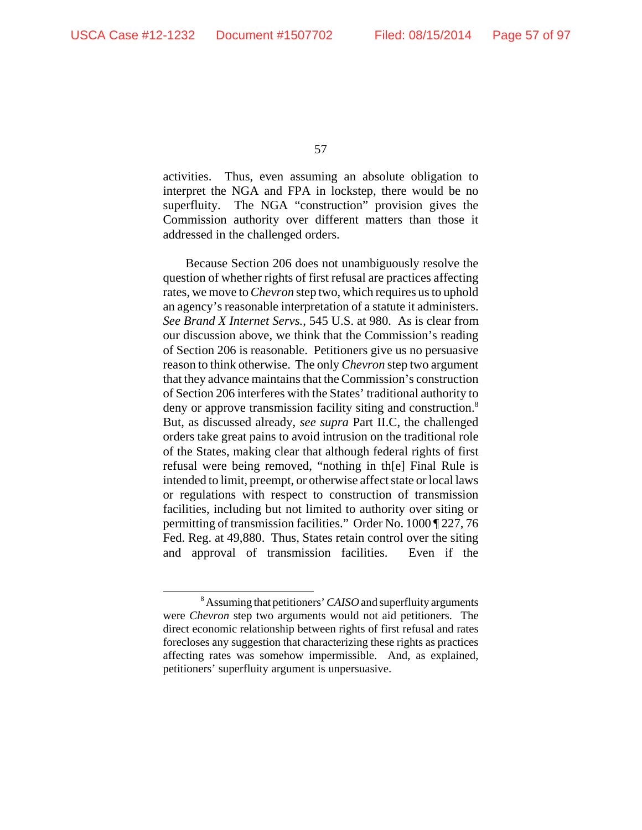activities. Thus, even assuming an absolute obligation to interpret the NGA and FPA in lockstep, there would be no superfluity. The NGA "construction" provision gives the Commission authority over different matters than those it addressed in the challenged orders.

Because Section 206 does not unambiguously resolve the question of whether rights of first refusal are practices affecting rates, we move to *Chevron* step two, which requires us to uphold an agency's reasonable interpretation of a statute it administers. *See Brand X Internet Servs.*, 545 U.S. at 980. As is clear from our discussion above, we think that the Commission's reading of Section 206 is reasonable. Petitioners give us no persuasive reason to think otherwise. The only *Chevron* step two argument that they advance maintains that the Commission's construction of Section 206 interferes with the States' traditional authority to deny or approve transmission facility siting and construction.<sup>8</sup> But, as discussed already, *see supra* Part II.C, the challenged orders take great pains to avoid intrusion on the traditional role of the States, making clear that although federal rights of first refusal were being removed, "nothing in th[e] Final Rule is intended to limit, preempt, or otherwise affect state or local laws or regulations with respect to construction of transmission facilities, including but not limited to authority over siting or permitting of transmission facilities." Order No. 1000 ¶ 227, 76 Fed. Reg. at 49,880. Thus, States retain control over the siting and approval of transmission facilities. Even if the

<sup>8</sup> Assuming that petitioners' *CAISO* and superfluity arguments were *Chevron* step two arguments would not aid petitioners. The direct economic relationship between rights of first refusal and rates forecloses any suggestion that characterizing these rights as practices affecting rates was somehow impermissible. And, as explained, petitioners' superfluity argument is unpersuasive.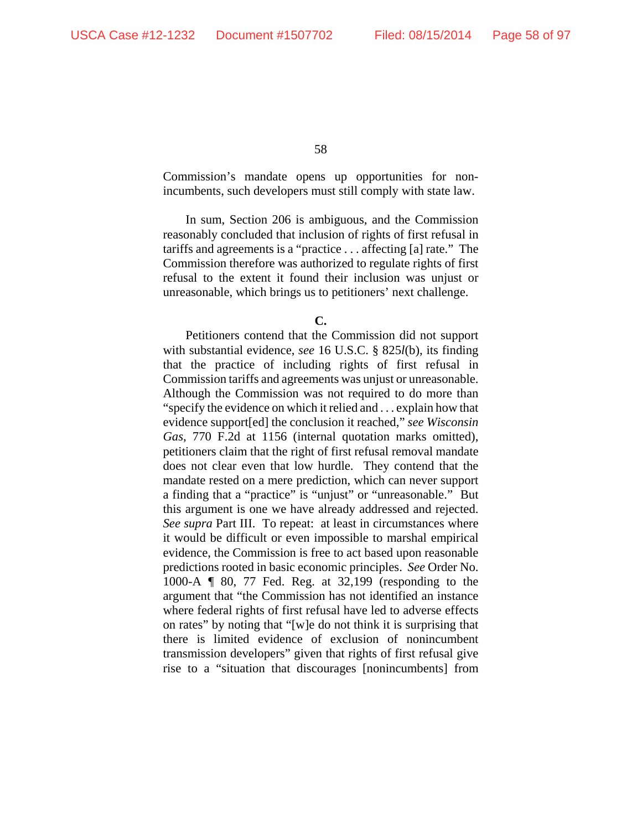Commission's mandate opens up opportunities for nonincumbents, such developers must still comply with state law.

In sum, Section 206 is ambiguous, and the Commission reasonably concluded that inclusion of rights of first refusal in tariffs and agreements is a "practice . . . affecting [a] rate." The Commission therefore was authorized to regulate rights of first refusal to the extent it found their inclusion was unjust or unreasonable, which brings us to petitioners' next challenge.

**C.**

Petitioners contend that the Commission did not support with substantial evidence, *see* 16 U.S.C. § 825*l*(b), its finding that the practice of including rights of first refusal in Commission tariffs and agreements was unjust or unreasonable. Although the Commission was not required to do more than "specify the evidence on which it relied and . . . explain how that evidence support[ed] the conclusion it reached," *see Wisconsin Gas*, 770 F.2d at 1156 (internal quotation marks omitted), petitioners claim that the right of first refusal removal mandate does not clear even that low hurdle. They contend that the mandate rested on a mere prediction, which can never support a finding that a "practice" is "unjust" or "unreasonable." But this argument is one we have already addressed and rejected. *See supra* Part III. To repeat: at least in circumstances where it would be difficult or even impossible to marshal empirical evidence, the Commission is free to act based upon reasonable predictions rooted in basic economic principles. *See* Order No. 1000-A ¶ 80, 77 Fed. Reg. at 32,199 (responding to the argument that "the Commission has not identified an instance where federal rights of first refusal have led to adverse effects on rates" by noting that "[w]e do not think it is surprising that there is limited evidence of exclusion of nonincumbent transmission developers" given that rights of first refusal give rise to a "situation that discourages [nonincumbents] from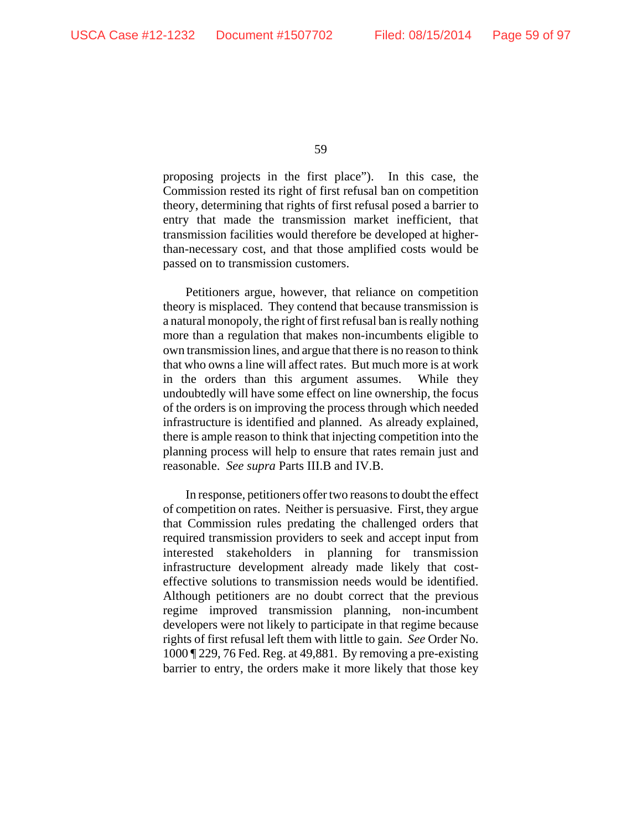proposing projects in the first place"). In this case, the Commission rested its right of first refusal ban on competition theory, determining that rights of first refusal posed a barrier to entry that made the transmission market inefficient, that transmission facilities would therefore be developed at higherthan-necessary cost, and that those amplified costs would be passed on to transmission customers.

Petitioners argue, however, that reliance on competition theory is misplaced. They contend that because transmission is a natural monopoly, the right of first refusal ban is really nothing more than a regulation that makes non-incumbents eligible to own transmission lines, and argue that there is no reason to think that who owns a line will affect rates. But much more is at work in the orders than this argument assumes. While they undoubtedly will have some effect on line ownership, the focus of the orders is on improving the process through which needed infrastructure is identified and planned. As already explained, there is ample reason to think that injecting competition into the planning process will help to ensure that rates remain just and reasonable. *See supra* Parts III.B and IV.B.

In response, petitioners offer two reasons to doubt the effect of competition on rates. Neither is persuasive. First, they argue that Commission rules predating the challenged orders that required transmission providers to seek and accept input from interested stakeholders in planning for transmission infrastructure development already made likely that costeffective solutions to transmission needs would be identified. Although petitioners are no doubt correct that the previous regime improved transmission planning, non-incumbent developers were not likely to participate in that regime because rights of first refusal left them with little to gain. *See* Order No. 1000 ¶ 229, 76 Fed. Reg. at 49,881. By removing a pre-existing barrier to entry, the orders make it more likely that those key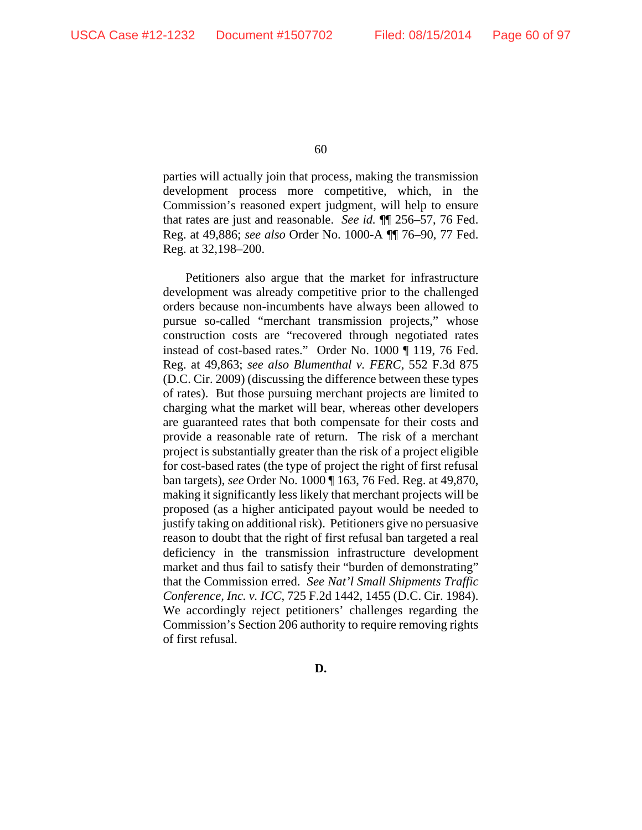parties will actually join that process, making the transmission development process more competitive, which, in the Commission's reasoned expert judgment, will help to ensure that rates are just and reasonable. *See id.* ¶¶ 256–57, 76 Fed. Reg. at 49,886; *see also* Order No. 1000-A ¶¶ 76–90, 77 Fed. Reg. at 32,198–200.

Petitioners also argue that the market for infrastructure development was already competitive prior to the challenged orders because non-incumbents have always been allowed to pursue so-called "merchant transmission projects," whose construction costs are "recovered through negotiated rates instead of cost-based rates." Order No. 1000 ¶ 119, 76 Fed. Reg. at 49,863; *see also Blumenthal v. FERC*, 552 F.3d 875 (D.C. Cir. 2009) (discussing the difference between these types of rates). But those pursuing merchant projects are limited to charging what the market will bear, whereas other developers are guaranteed rates that both compensate for their costs and provide a reasonable rate of return. The risk of a merchant project is substantially greater than the risk of a project eligible for cost-based rates (the type of project the right of first refusal ban targets), *see* Order No. 1000 ¶ 163, 76 Fed. Reg. at 49,870, making it significantly less likely that merchant projects will be proposed (as a higher anticipated payout would be needed to justify taking on additional risk). Petitioners give no persuasive reason to doubt that the right of first refusal ban targeted a real deficiency in the transmission infrastructure development market and thus fail to satisfy their "burden of demonstrating" that the Commission erred. *See Nat'l Small Shipments Traffic Conference, Inc. v. ICC*, 725 F.2d 1442, 1455 (D.C. Cir. 1984). We accordingly reject petitioners' challenges regarding the Commission's Section 206 authority to require removing rights of first refusal.

**D.**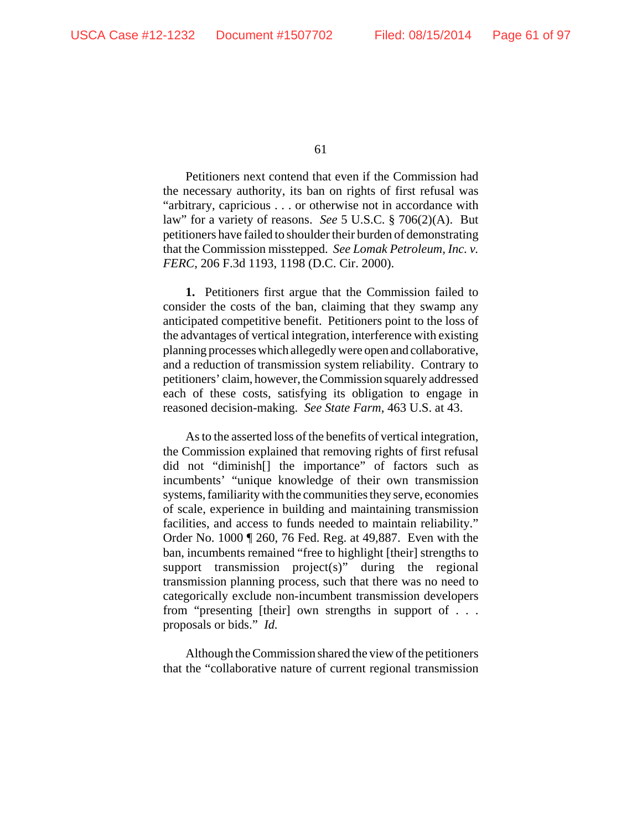Petitioners next contend that even if the Commission had the necessary authority, its ban on rights of first refusal was "arbitrary, capricious . . . or otherwise not in accordance with law" for a variety of reasons. *See* 5 U.S.C. § 706(2)(A). But petitioners have failed to shoulder their burden of demonstrating that the Commission misstepped. *See Lomak Petroleum, Inc. v. FERC*, 206 F.3d 1193, 1198 (D.C. Cir. 2000).

**1.** Petitioners first argue that the Commission failed to consider the costs of the ban, claiming that they swamp any anticipated competitive benefit. Petitioners point to the loss of the advantages of vertical integration, interference with existing planning processes which allegedly were open and collaborative, and a reduction of transmission system reliability. Contrary to petitioners' claim, however, the Commission squarely addressed each of these costs, satisfying its obligation to engage in reasoned decision-making. *See State Farm*, 463 U.S. at 43.

As to the asserted loss of the benefits of vertical integration, the Commission explained that removing rights of first refusal did not "diminish[] the importance" of factors such as incumbents' "unique knowledge of their own transmission systems, familiarity with the communities they serve, economies of scale, experience in building and maintaining transmission facilities, and access to funds needed to maintain reliability." Order No. 1000 ¶ 260, 76 Fed. Reg. at 49,887.Even with the ban, incumbents remained "free to highlight [their] strengths to support transmission project(s)" during the regional transmission planning process, such that there was no need to categorically exclude non-incumbent transmission developers from "presenting [their] own strengths in support of . . . proposals or bids." *Id.*

Although the Commission shared the view of the petitioners that the "collaborative nature of current regional transmission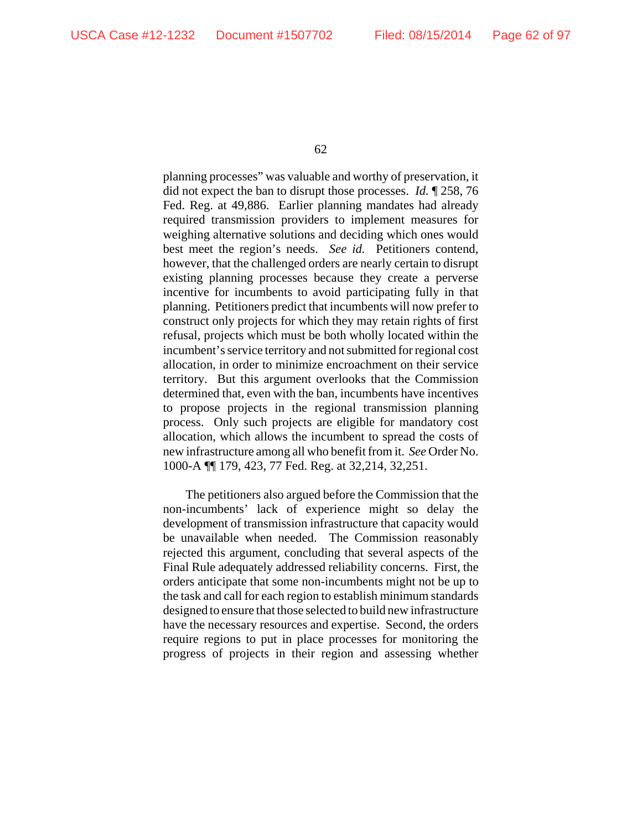planning processes" was valuable and worthy of preservation, it did not expect the ban to disrupt those processes. *Id.* ¶ 258, 76 Fed. Reg. at 49,886. Earlier planning mandates had already required transmission providers to implement measures for weighing alternative solutions and deciding which ones would best meet the region's needs. *See id.* Petitioners contend, however, that the challenged orders are nearly certain to disrupt existing planning processes because they create a perverse incentive for incumbents to avoid participating fully in that planning. Petitioners predict that incumbents will now prefer to construct only projects for which they may retain rights of first refusal, projects which must be both wholly located within the incumbent's service territory and not submitted for regional cost allocation, in order to minimize encroachment on their service territory. But this argument overlooks that the Commission determined that, even with the ban, incumbents have incentives to propose projects in the regional transmission planning process. Only such projects are eligible for mandatory cost allocation, which allows the incumbent to spread the costs of new infrastructure among all who benefit from it. *See* Order No. 1000-A ¶¶ 179, 423, 77 Fed. Reg. at 32,214, 32,251.

The petitioners also argued before the Commission that the non-incumbents' lack of experience might so delay the development of transmission infrastructure that capacity would be unavailable when needed. The Commission reasonably rejected this argument, concluding that several aspects of the Final Rule adequately addressed reliability concerns. First, the orders anticipate that some non-incumbents might not be up to the task and call for each region to establish minimum standards designed to ensure that those selected to build new infrastructure have the necessary resources and expertise. Second, the orders require regions to put in place processes for monitoring the progress of projects in their region and assessing whether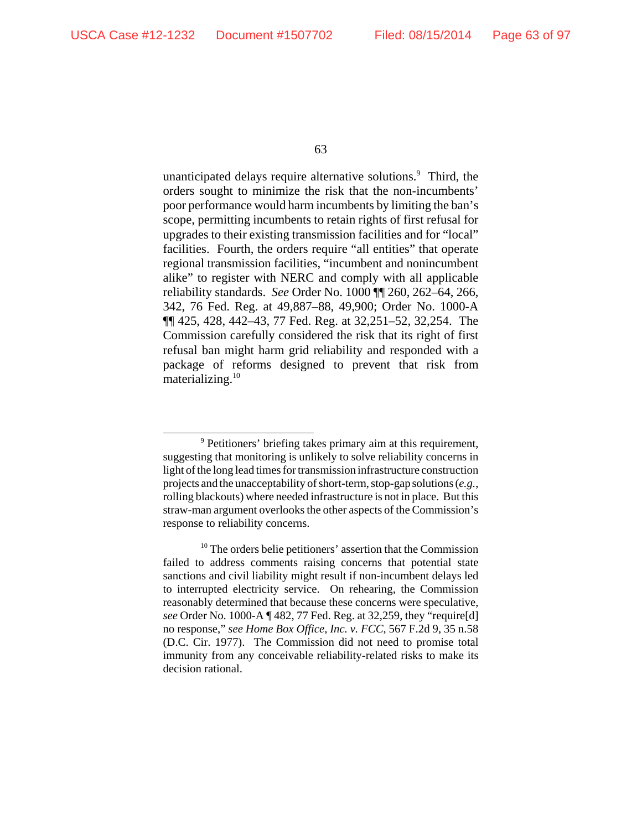unanticipated delays require alternative solutions.<sup>9</sup> Third, the orders sought to minimize the risk that the non-incumbents' poor performance would harm incumbents by limiting the ban's scope, permitting incumbents to retain rights of first refusal for upgrades to their existing transmission facilities and for "local" facilities. Fourth, the orders require "all entities" that operate regional transmission facilities, "incumbent and nonincumbent alike" to register with NERC and comply with all applicable reliability standards. *See* Order No. 1000 ¶¶ 260, 262–64, 266, 342, 76 Fed. Reg. at 49,887–88, 49,900; Order No. 1000-A ¶¶ 425, 428, 442–43, 77 Fed. Reg. at 32,251–52, 32,254. The Commission carefully considered the risk that its right of first refusal ban might harm grid reliability and responded with a package of reforms designed to prevent that risk from materializing. $10$ 

<sup>&</sup>lt;sup>9</sup> Petitioners' briefing takes primary aim at this requirement, suggesting that monitoring is unlikely to solve reliability concerns in light of the long lead times for transmission infrastructure construction projects and the unacceptability of short-term, stop-gap solutions (*e.g.*, rolling blackouts) where needed infrastructure is not in place. But this straw-man argument overlooks the other aspects of the Commission's response to reliability concerns.

<sup>&</sup>lt;sup>10</sup> The orders belie petitioners' assertion that the Commission failed to address comments raising concerns that potential state sanctions and civil liability might result if non-incumbent delays led to interrupted electricity service. On rehearing, the Commission reasonably determined that because these concerns were speculative, *see* Order No. 1000-A ¶ 482, 77 Fed. Reg. at 32,259, they "require[d] no response," *see Home Box Office, Inc. v. FCC*, 567 F.2d 9, 35 n.58 (D.C. Cir. 1977). The Commission did not need to promise total immunity from any conceivable reliability-related risks to make its decision rational.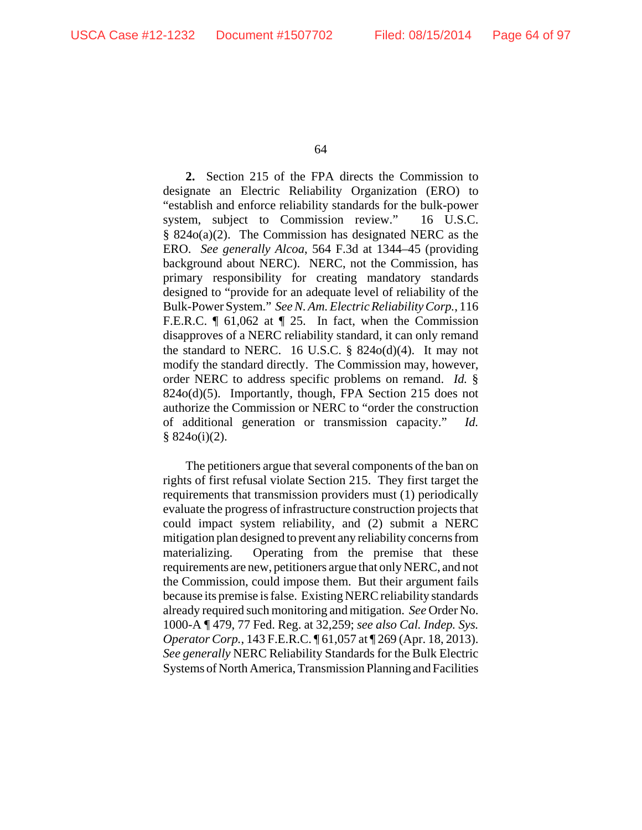**2.** Section 215 of the FPA directs the Commission to designate an Electric Reliability Organization (ERO) to "establish and enforce reliability standards for the bulk-power system, subject to Commission review." 16 U.S.C. § 824o(a)(2). The Commission has designated NERC as the ERO. *See generally Alcoa*, 564 F.3d at 1344–45 (providing background about NERC). NERC, not the Commission, has primary responsibility for creating mandatory standards designed to "provide for an adequate level of reliability of the Bulk-Power System." *See N. Am. Electric Reliability Corp.*, 116 F.E.R.C. ¶ 61,062 at ¶ 25. In fact, when the Commission disapproves of a NERC reliability standard, it can only remand the standard to NERC. 16 U.S.C.  $\S$  824o(d)(4). It may not modify the standard directly. The Commission may, however, order NERC to address specific problems on remand. *Id.* § 824o(d)(5). Importantly, though, FPA Section 215 does not authorize the Commission or NERC to "order the construction of additional generation or transmission capacity." *Id.*  $§ 824o(i)(2).$ 

The petitioners argue that several components of the ban on rights of first refusal violate Section 215. They first target the requirements that transmission providers must (1) periodically evaluate the progress of infrastructure construction projects that could impact system reliability, and (2) submit a NERC mitigation plan designed to prevent any reliability concerns from materializing. Operating from the premise that these requirements are new, petitioners argue that only NERC, and not the Commission, could impose them. But their argument fails because its premise is false. Existing NERC reliability standards already required such monitoring and mitigation. *See* Order No. 1000-A ¶ 479, 77 Fed. Reg. at 32,259; *see also Cal. Indep. Sys. Operator Corp.*, 143 F.E.R.C. ¶ 61,057 at ¶ 269 (Apr. 18, 2013). *See generally* NERC Reliability Standards for the Bulk Electric Systems of North America, Transmission Planning and Facilities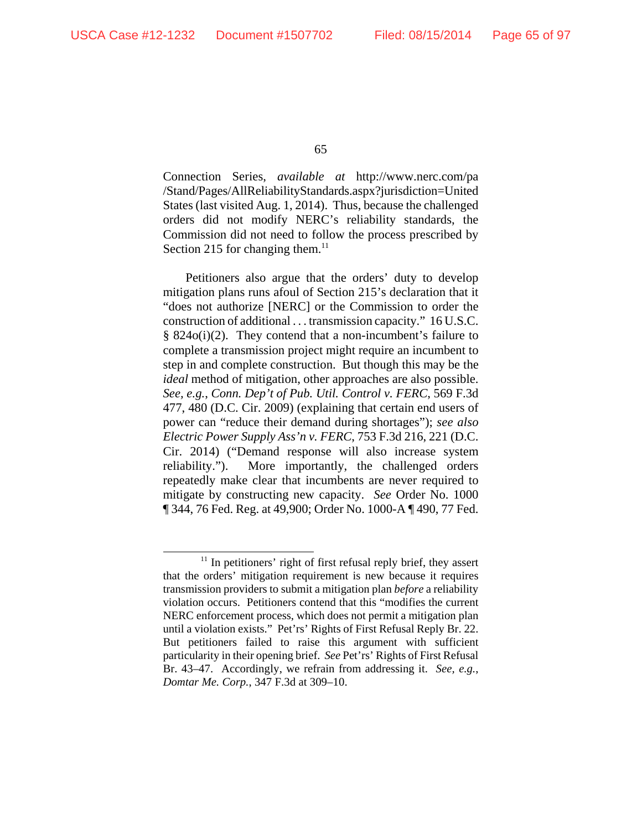Connection Series, *available at* http://www.nerc.com/pa /Stand/Pages/AllReliabilityStandards.aspx?jurisdiction=United States (last visited Aug. 1, 2014). Thus, because the challenged orders did not modify NERC's reliability standards, the Commission did not need to follow the process prescribed by Section 215 for changing them. $^{11}$ 

Petitioners also argue that the orders' duty to develop mitigation plans runs afoul of Section 215's declaration that it "does not authorize [NERC] or the Commission to order the construction of additional . . . transmission capacity." 16 U.S.C. § 824o(i)(2). They contend that a non-incumbent's failure to complete a transmission project might require an incumbent to step in and complete construction. But though this may be the *ideal* method of mitigation, other approaches are also possible. *See, e.g.*, *Conn. Dep't of Pub. Util. Control v. FERC*, 569 F.3d 477, 480 (D.C. Cir. 2009) (explaining that certain end users of power can "reduce their demand during shortages"); *see also Electric Power Supply Ass'n v. FERC*, 753 F.3d 216, 221 (D.C. Cir. 2014) ("Demand response will also increase system reliability."). More importantly, the challenged orders repeatedly make clear that incumbents are never required to mitigate by constructing new capacity. *See* Order No. 1000 ¶ 344, 76 Fed. Reg. at 49,900; Order No. 1000-A ¶ 490, 77 Fed.

 $11$  In petitioners' right of first refusal reply brief, they assert that the orders' mitigation requirement is new because it requires transmission providers to submit a mitigation plan *before* a reliability violation occurs. Petitioners contend that this "modifies the current NERC enforcement process, which does not permit a mitigation plan until a violation exists." Pet'rs' Rights of First Refusal Reply Br. 22. But petitioners failed to raise this argument with sufficient particularity in their opening brief. *See* Pet'rs' Rights of First Refusal Br. 43–47. Accordingly, we refrain from addressing it. *See, e.g.*, *Domtar Me. Corp.*, 347 F.3d at 309–10.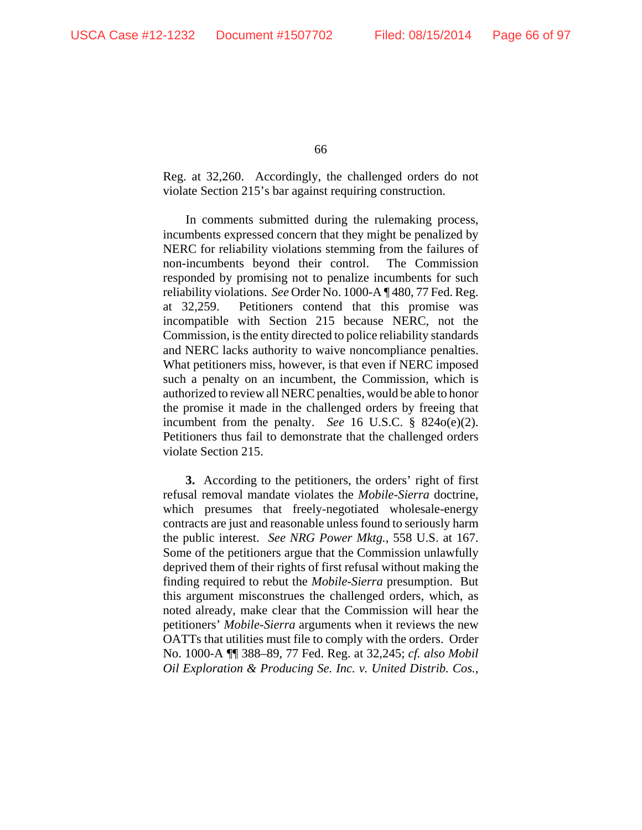Reg. at 32,260. Accordingly, the challenged orders do not violate Section 215's bar against requiring construction.

In comments submitted during the rulemaking process, incumbents expressed concern that they might be penalized by NERC for reliability violations stemming from the failures of non-incumbents beyond their control. The Commission responded by promising not to penalize incumbents for such reliability violations. *See* Order No. 1000-A ¶ 480, 77 Fed. Reg. at 32,259. Petitioners contend that this promise was incompatible with Section 215 because NERC, not the Commission, is the entity directed to police reliability standards and NERC lacks authority to waive noncompliance penalties. What petitioners miss, however, is that even if NERC imposed such a penalty on an incumbent, the Commission, which is authorized to review all NERC penalties, would be able to honor the promise it made in the challenged orders by freeing that incumbent from the penalty. *See* 16 U.S.C. § 824o(e)(2). Petitioners thus fail to demonstrate that the challenged orders violate Section 215.

**3.** According to the petitioners, the orders' right of first refusal removal mandate violates the *Mobile-Sierra* doctrine, which presumes that freely-negotiated wholesale-energy contracts are just and reasonable unless found to seriously harm the public interest. *See NRG Power Mktg.*, 558 U.S. at 167. Some of the petitioners argue that the Commission unlawfully deprived them of their rights of first refusal without making the finding required to rebut the *Mobile-Sierra* presumption. But this argument misconstrues the challenged orders, which, as noted already, make clear that the Commission will hear the petitioners' *Mobile-Sierra* arguments when it reviews the new OATTs that utilities must file to comply with the orders. Order No. 1000-A ¶¶ 388–89, 77 Fed. Reg. at 32,245; *cf. also Mobil Oil Exploration & Producing Se. Inc. v. United Distrib. Cos.*,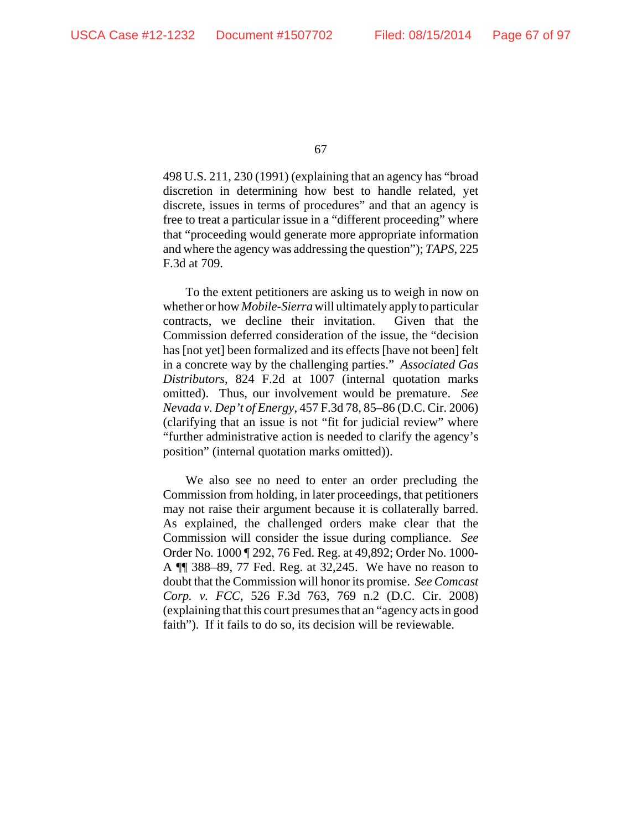498 U.S. 211, 230 (1991) (explaining that an agency has "broad discretion in determining how best to handle related, yet discrete, issues in terms of procedures" and that an agency is free to treat a particular issue in a "different proceeding" where that "proceeding would generate more appropriate information and where the agency was addressing the question"); *TAPS*, 225 F.3d at 709.

To the extent petitioners are asking us to weigh in now on whether or how *Mobile-Sierra* will ultimately apply to particular contracts, we decline their invitation. Given that the Commission deferred consideration of the issue, the "decision has [not yet] been formalized and its effects [have not been] felt in a concrete way by the challenging parties." *Associated Gas Distributors*, 824 F.2d at 1007 (internal quotation marks omitted). Thus, our involvement would be premature. *See Nevada v. Dep't of Energy*, 457 F.3d 78, 85–86 (D.C. Cir. 2006) (clarifying that an issue is not "fit for judicial review" where "further administrative action is needed to clarify the agency's position" (internal quotation marks omitted)).

We also see no need to enter an order precluding the Commission from holding, in later proceedings, that petitioners may not raise their argument because it is collaterally barred. As explained, the challenged orders make clear that the Commission will consider the issue during compliance. *See* Order No. 1000 ¶ 292, 76 Fed. Reg. at 49,892; Order No. 1000- A ¶¶ 388–89, 77 Fed. Reg. at 32,245. We have no reason to doubt that the Commission will honor its promise. *See Comcast Corp. v. FCC*, 526 F.3d 763, 769 n.2 (D.C. Cir. 2008) (explaining that this court presumes that an "agency acts in good faith"). If it fails to do so, its decision will be reviewable.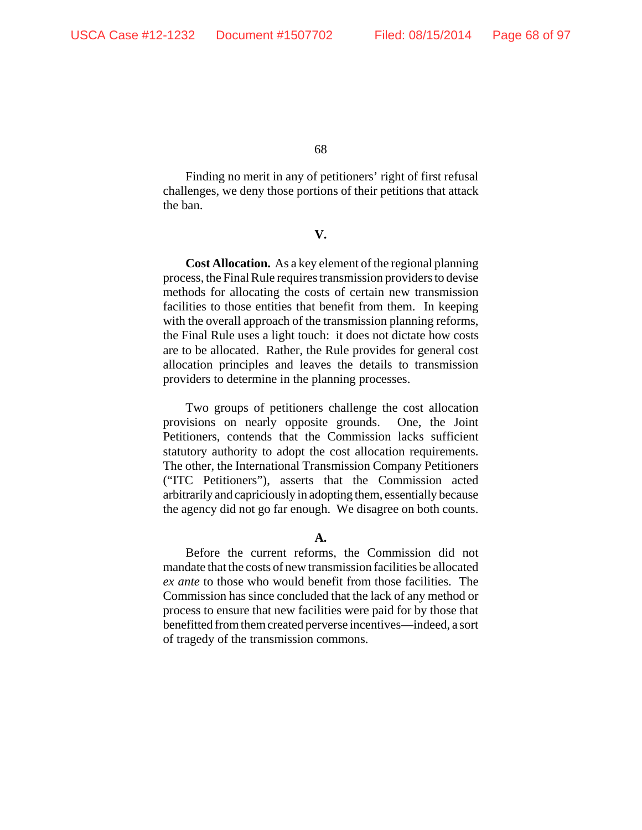Finding no merit in any of petitioners' right of first refusal challenges, we deny those portions of their petitions that attack the ban.

# **V.**

**Cost Allocation.** As a key element of the regional planning process, the Final Rule requires transmission providers to devise methods for allocating the costs of certain new transmission facilities to those entities that benefit from them. In keeping with the overall approach of the transmission planning reforms, the Final Rule uses a light touch: it does not dictate how costs are to be allocated. Rather, the Rule provides for general cost allocation principles and leaves the details to transmission providers to determine in the planning processes.

Two groups of petitioners challenge the cost allocation provisions on nearly opposite grounds. One, the Joint Petitioners, contends that the Commission lacks sufficient statutory authority to adopt the cost allocation requirements. The other, the International Transmission Company Petitioners ("ITC Petitioners"), asserts that the Commission acted arbitrarily and capriciously in adopting them, essentially because the agency did not go far enough. We disagree on both counts.

#### **A.**

Before the current reforms, the Commission did not mandate that the costs of new transmission facilities be allocated *ex ante* to those who would benefit from those facilities. The Commission has since concluded that the lack of any method or process to ensure that new facilities were paid for by those that benefitted from them created perverse incentives—indeed, a sort of tragedy of the transmission commons.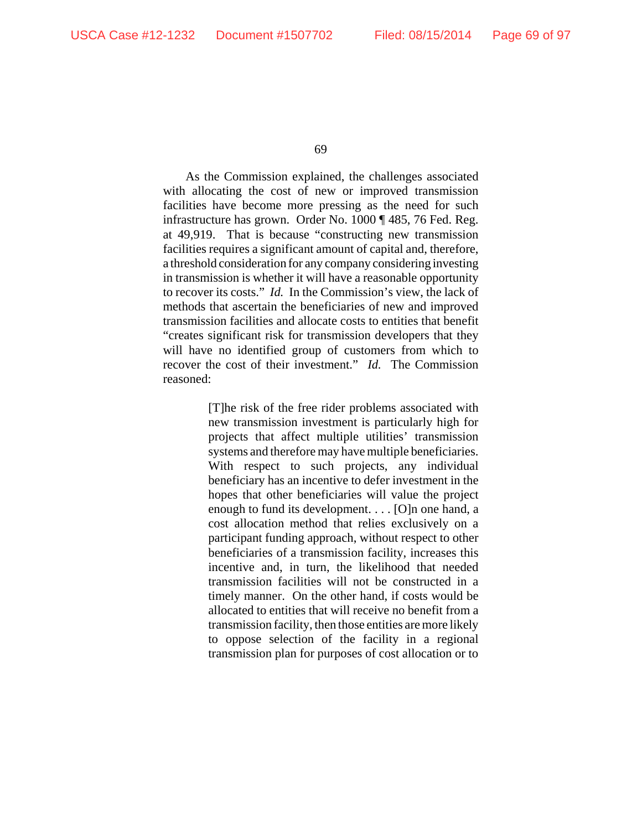As the Commission explained, the challenges associated with allocating the cost of new or improved transmission facilities have become more pressing as the need for such infrastructure has grown. Order No. 1000 ¶ 485, 76 Fed. Reg. at 49,919. That is because "constructing new transmission facilities requires a significant amount of capital and, therefore, a threshold consideration for any company considering investing in transmission is whether it will have a reasonable opportunity to recover its costs." *Id.* In the Commission's view, the lack of methods that ascertain the beneficiaries of new and improved transmission facilities and allocate costs to entities that benefit "creates significant risk for transmission developers that they will have no identified group of customers from which to recover the cost of their investment." *Id.* The Commission reasoned:

> [T]he risk of the free rider problems associated with new transmission investment is particularly high for projects that affect multiple utilities' transmission systems and therefore may have multiple beneficiaries. With respect to such projects, any individual beneficiary has an incentive to defer investment in the hopes that other beneficiaries will value the project enough to fund its development. . . . [O]n one hand, a cost allocation method that relies exclusively on a participant funding approach, without respect to other beneficiaries of a transmission facility, increases this incentive and, in turn, the likelihood that needed transmission facilities will not be constructed in a timely manner. On the other hand, if costs would be allocated to entities that will receive no benefit from a transmission facility, then those entities are more likely to oppose selection of the facility in a regional transmission plan for purposes of cost allocation or to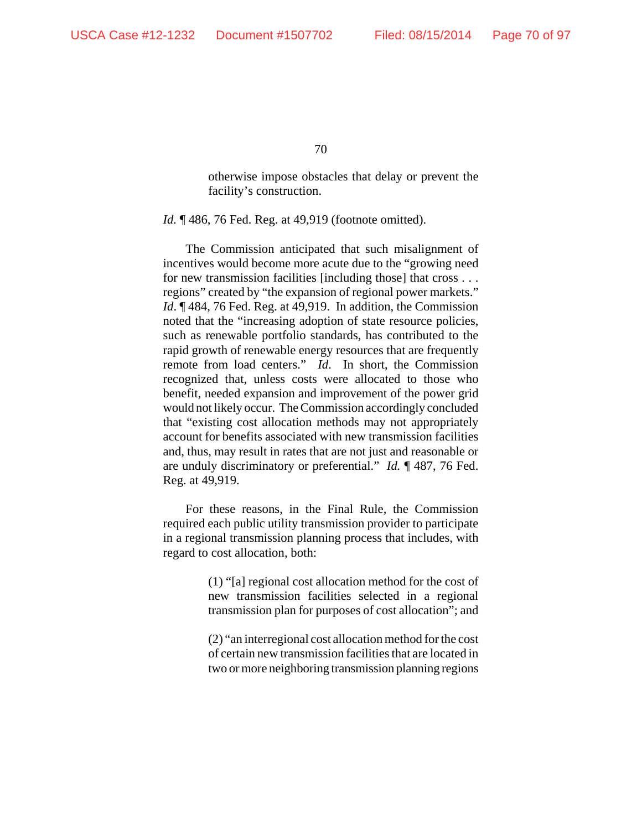otherwise impose obstacles that delay or prevent the facility's construction.

*Id.* ¶ 486, 76 Fed. Reg. at 49,919 (footnote omitted).

The Commission anticipated that such misalignment of incentives would become more acute due to the "growing need for new transmission facilities [including those] that cross . . . regions" created by "the expansion of regional power markets." *Id*. ¶ 484, 76 Fed. Reg. at 49,919. In addition, the Commission noted that the "increasing adoption of state resource policies, such as renewable portfolio standards, has contributed to the rapid growth of renewable energy resources that are frequently remote from load centers." *Id*. In short, the Commission recognized that, unless costs were allocated to those who benefit, needed expansion and improvement of the power grid would not likely occur. The Commission accordingly concluded that "existing cost allocation methods may not appropriately account for benefits associated with new transmission facilities and, thus, may result in rates that are not just and reasonable or are unduly discriminatory or preferential." *Id.* ¶ 487, 76 Fed. Reg. at 49,919.

For these reasons, in the Final Rule, the Commission required each public utility transmission provider to participate in a regional transmission planning process that includes, with regard to cost allocation, both:

> (1) "[a] regional cost allocation method for the cost of new transmission facilities selected in a regional transmission plan for purposes of cost allocation"; and

> (2) "an interregional cost allocation method for the cost of certain new transmission facilities that are located in two or more neighboring transmission planning regions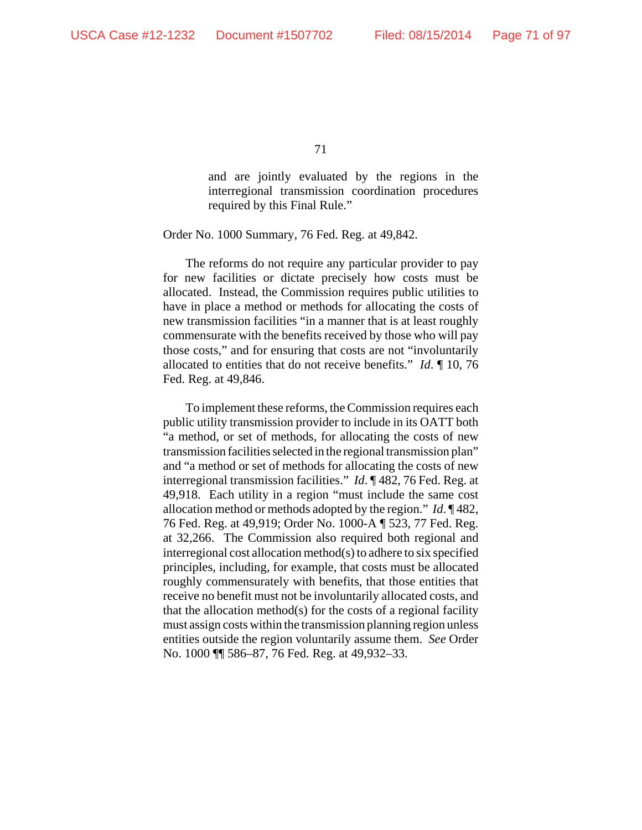and are jointly evaluated by the regions in the interregional transmission coordination procedures required by this Final Rule."

Order No. 1000 Summary, 76 Fed. Reg. at 49,842.

The reforms do not require any particular provider to pay for new facilities or dictate precisely how costs must be allocated. Instead, the Commission requires public utilities to have in place a method or methods for allocating the costs of new transmission facilities "in a manner that is at least roughly commensurate with the benefits received by those who will pay those costs," and for ensuring that costs are not "involuntarily allocated to entities that do not receive benefits." *Id*. ¶ 10, 76 Fed. Reg. at 49,846.

To implement these reforms, the Commission requires each public utility transmission provider to include in its OATT both "a method, or set of methods, for allocating the costs of new transmission facilities selected in the regional transmission plan" and "a method or set of methods for allocating the costs of new interregional transmission facilities." *Id*. ¶ 482, 76 Fed. Reg. at 49,918. Each utility in a region "must include the same cost allocation method or methods adopted by the region." *Id*. ¶ 482, 76 Fed. Reg. at 49,919; Order No. 1000-A ¶ 523, 77 Fed. Reg. at 32,266. The Commission also required both regional and interregional cost allocation method(s) to adhere to six specified principles, including, for example, that costs must be allocated roughly commensurately with benefits, that those entities that receive no benefit must not be involuntarily allocated costs, and that the allocation method(s) for the costs of a regional facility must assign costs within the transmission planning region unless entities outside the region voluntarily assume them. *See* Order No. 1000 ¶¶ 586–87, 76 Fed. Reg. at 49,932–33.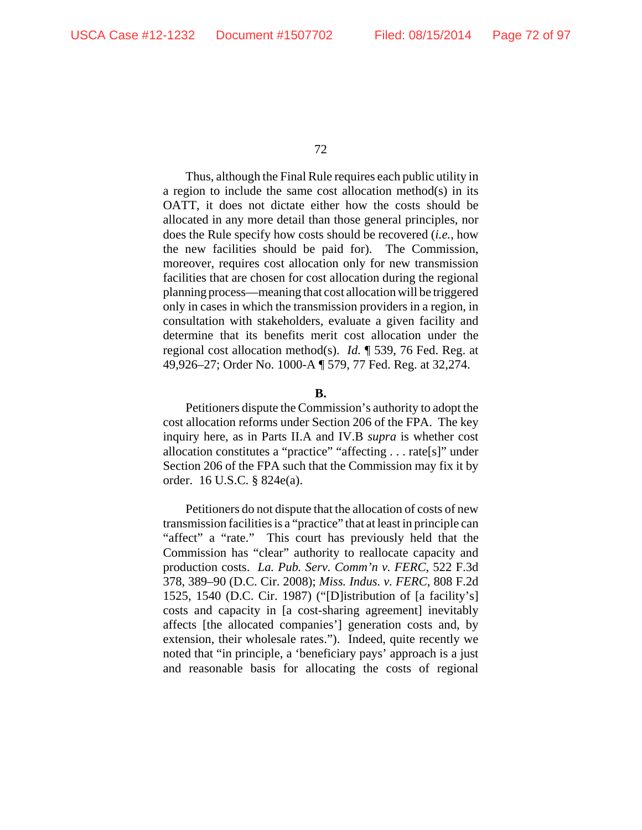Thus, although the Final Rule requires each public utility in a region to include the same cost allocation method(s) in its OATT, it does not dictate either how the costs should be allocated in any more detail than those general principles, nor does the Rule specify how costs should be recovered (*i.e.*, how the new facilities should be paid for). The Commission, moreover, requires cost allocation only for new transmission facilities that are chosen for cost allocation during the regional planning process—meaning that cost allocation will be triggered only in cases in which the transmission providers in a region, in consultation with stakeholders, evaluate a given facility and determine that its benefits merit cost allocation under the regional cost allocation method(s). *Id.* ¶ 539, 76 Fed. Reg. at 49,926–27; Order No. 1000-A ¶ 579, 77 Fed. Reg. at 32,274.

#### **B.**

Petitioners dispute the Commission's authority to adopt the cost allocation reforms under Section 206 of the FPA. The key inquiry here, as in Parts II.A and IV.B *supra* is whether cost allocation constitutes a "practice" "affecting . . . rate[s]" under Section 206 of the FPA such that the Commission may fix it by order.16 U.S.C. § 824e(a).

Petitioners do not dispute that the allocation of costs of new transmission facilities is a "practice" that at least in principle can "affect" a "rate." This court has previously held that the Commission has "clear" authority to reallocate capacity and production costs. *La. Pub. Serv. Comm'n v. FERC*, 522 F.3d 378, 389–90 (D.C. Cir. 2008); *Miss. Indus. v. FERC*, 808 F.2d 1525, 1540 (D.C. Cir. 1987) ("[D]istribution of [a facility's] costs and capacity in [a cost-sharing agreement] inevitably affects [the allocated companies'] generation costs and, by extension, their wholesale rates."). Indeed, quite recently we noted that "in principle, a 'beneficiary pays' approach is a just and reasonable basis for allocating the costs of regional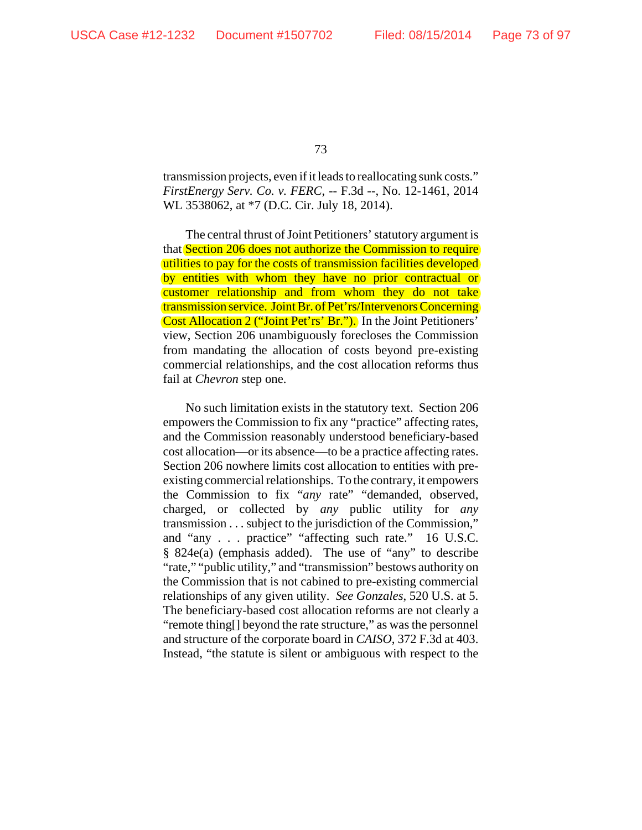transmission projects, even if it leads to reallocating sunk costs." *FirstEnergy Serv. Co. v. FERC*, -- F.3d --, No. 12-1461, 2014 WL 3538062, at \*7 (D.C. Cir. July 18, 2014).

The central thrust of Joint Petitioners' statutory argument is that Section 206 does not authorize the Commission to require utilities to pay for the costs of transmission facilities developed by entities with whom they have no prior contractual or customer relationship and from whom they do not take transmission service. Joint Br. of Pet'rs/Intervenors Concerning Cost Allocation 2 ("Joint Pet'rs' Br."). In the Joint Petitioners' view, Section 206 unambiguously forecloses the Commission from mandating the allocation of costs beyond pre-existing commercial relationships, and the cost allocation reforms thus fail at *Chevron* step one.

No such limitation exists in the statutory text. Section 206 empowers the Commission to fix any "practice" affecting rates, and the Commission reasonably understood beneficiary-based cost allocation—or its absence—to be a practice affecting rates. Section 206 nowhere limits cost allocation to entities with preexisting commercial relationships. To the contrary, it empowers the Commission to fix "*any* rate" "demanded, observed, charged, or collected by *any* public utility for *any* transmission . . . subject to the jurisdiction of the Commission," and "any . . . practice" "affecting such rate." 16 U.S.C. § 824e(a) (emphasis added). The use of "any" to describe "rate," "public utility," and "transmission" bestows authority on the Commission that is not cabined to pre-existing commercial relationships of any given utility. *See Gonzales*, 520 U.S. at 5. The beneficiary-based cost allocation reforms are not clearly a "remote thing[] beyond the rate structure," as was the personnel and structure of the corporate board in *CAISO*, 372 F.3d at 403. Instead, "the statute is silent or ambiguous with respect to the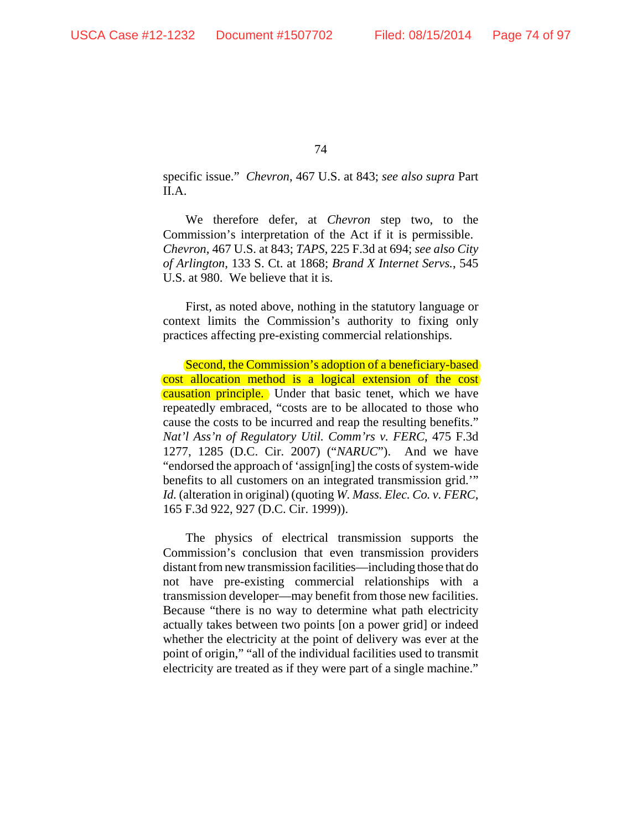specific issue." *Chevron*, 467 U.S. at 843; *see also supra* Part II.A.

We therefore defer, at *Chevron* step two, to the Commission's interpretation of the Act if it is permissible. *Chevron*, 467 U.S. at 843; *TAPS*, 225 F.3d at 694; *see also City of Arlington*, 133 S. Ct. at 1868; *Brand X Internet Servs.*, 545 U.S. at 980. We believe that it is.

First, as noted above, nothing in the statutory language or context limits the Commission's authority to fixing only practices affecting pre-existing commercial relationships.

Second, the Commission's adoption of a beneficiary-based cost allocation method is a logical extension of the cost **causation principle.** Under that basic tenet, which we have repeatedly embraced, "costs are to be allocated to those who cause the costs to be incurred and reap the resulting benefits." *Nat'l Ass'n of Regulatory Util. Comm'rs v. FERC*, 475 F.3d 1277, 1285 (D.C. Cir. 2007) ("*NARUC*"). And we have "endorsed the approach of 'assign[ing] the costs of system-wide benefits to all customers on an integrated transmission grid.'" *Id.* (alteration in original) (quoting *W. Mass. Elec. Co. v. FERC*, 165 F.3d 922, 927 (D.C. Cir. 1999)).

The physics of electrical transmission supports the Commission's conclusion that even transmission providers distant from new transmission facilities—including those that do not have pre-existing commercial relationships with a transmission developer—may benefit from those new facilities. Because "there is no way to determine what path electricity actually takes between two points [on a power grid] or indeed whether the electricity at the point of delivery was ever at the point of origin," "all of the individual facilities used to transmit electricity are treated as if they were part of a single machine."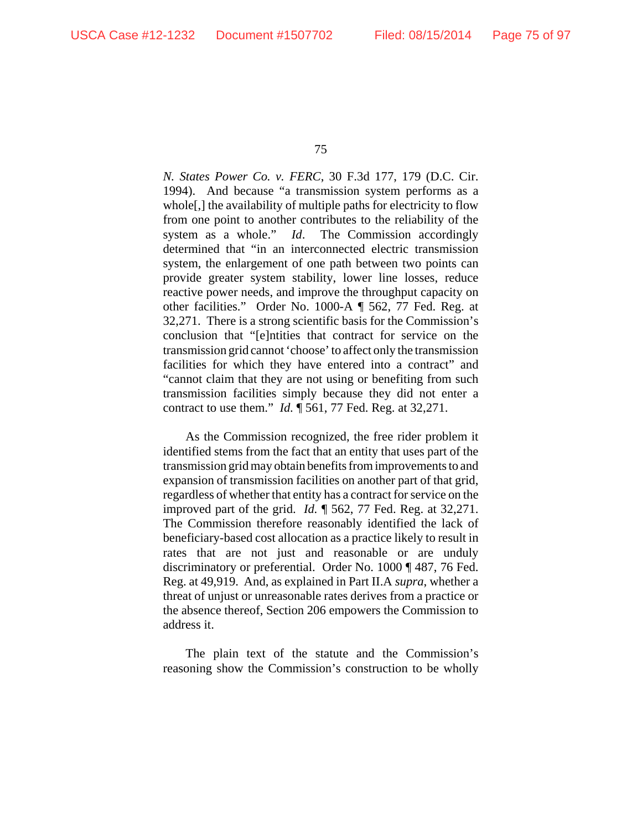*N. States Power Co. v. FERC*, 30 F.3d 177, 179 (D.C. Cir. 1994). And because "a transmission system performs as a whole[,] the availability of multiple paths for electricity to flow from one point to another contributes to the reliability of the system as a whole." *Id*. The Commission accordingly determined that "in an interconnected electric transmission system, the enlargement of one path between two points can provide greater system stability, lower line losses, reduce reactive power needs, and improve the throughput capacity on other facilities." Order No. 1000-A ¶ 562, 77 Fed. Reg. at 32,271. There is a strong scientific basis for the Commission's conclusion that "[e]ntities that contract for service on the transmission grid cannot 'choose' to affect only the transmission facilities for which they have entered into a contract" and "cannot claim that they are not using or benefiting from such transmission facilities simply because they did not enter a contract to use them." *Id.* ¶ 561, 77 Fed. Reg. at 32,271.

As the Commission recognized, the free rider problem it identified stems from the fact that an entity that uses part of the transmission grid may obtain benefits from improvements to and expansion of transmission facilities on another part of that grid, regardless of whether that entity has a contract for service on the improved part of the grid. *Id.* ¶ 562, 77 Fed. Reg. at 32,271. The Commission therefore reasonably identified the lack of beneficiary-based cost allocation as a practice likely to result in rates that are not just and reasonable or are unduly discriminatory or preferential. Order No. 1000 ¶ 487, 76 Fed. Reg. at 49,919. And, as explained in Part II.A *supra*, whether a threat of unjust or unreasonable rates derives from a practice or the absence thereof, Section 206 empowers the Commission to address it.

The plain text of the statute and the Commission's reasoning show the Commission's construction to be wholly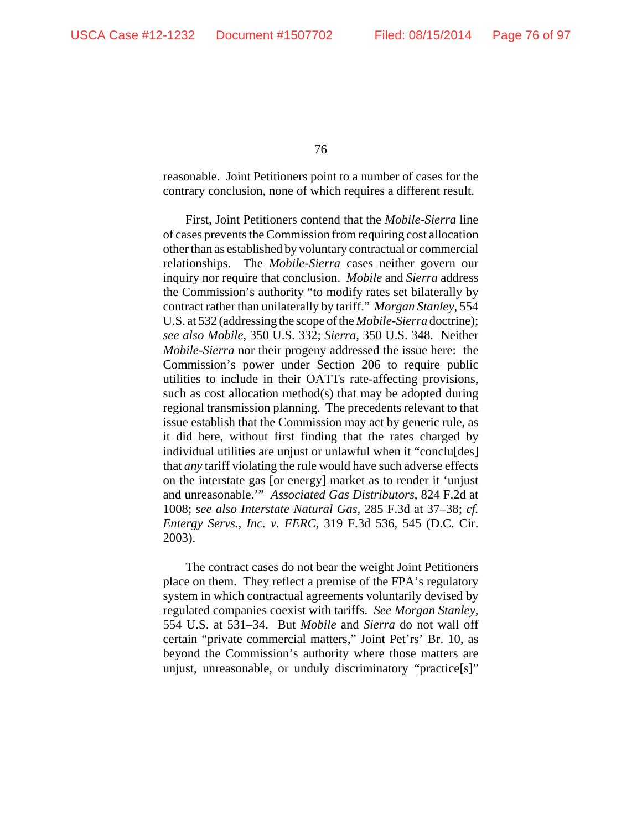reasonable. Joint Petitioners point to a number of cases for the contrary conclusion, none of which requires a different result.

First, Joint Petitioners contend that the *Mobile-Sierra* line of cases prevents the Commission from requiring cost allocation other than as established by voluntary contractual or commercial relationships. The *Mobile-Sierra* cases neither govern our inquiry nor require that conclusion. *Mobile* and *Sierra* address the Commission's authority "to modify rates set bilaterally by contract rather than unilaterally by tariff." *Morgan Stanley*, 554 U.S. at 532 (addressing the scope of the *Mobile-Sierra* doctrine); *see also Mobile*, 350 U.S. 332; *Sierra*, 350 U.S. 348. Neither *Mobile-Sierra* nor their progeny addressed the issue here: the Commission's power under Section 206 to require public utilities to include in their OATTs rate-affecting provisions, such as cost allocation method(s) that may be adopted during regional transmission planning. The precedents relevant to that issue establish that the Commission may act by generic rule, as it did here, without first finding that the rates charged by individual utilities are unjust or unlawful when it "conclu[des] that *any* tariff violating the rule would have such adverse effects on the interstate gas [or energy] market as to render it 'unjust and unreasonable.'" *Associated Gas Distributors*, 824 F.2d at 1008; *see also Interstate Natural Gas*, 285 F.3d at 37–38; *cf. Entergy Servs., Inc. v. FERC*, 319 F.3d 536, 545 (D.C. Cir. 2003).

The contract cases do not bear the weight Joint Petitioners place on them. They reflect a premise of the FPA's regulatory system in which contractual agreements voluntarily devised by regulated companies coexist with tariffs. *See Morgan Stanley*, 554 U.S. at 531–34. But *Mobile* and *Sierra* do not wall off certain "private commercial matters," Joint Pet'rs' Br. 10, as beyond the Commission's authority where those matters are unjust, unreasonable, or unduly discriminatory "practice[s]"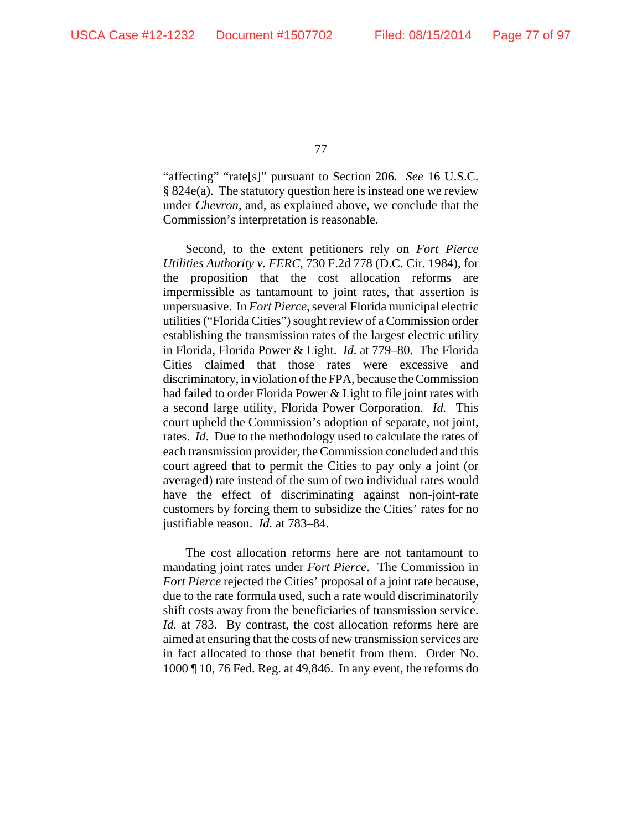"affecting" "rate[s]" pursuant to Section 206. *See* 16 U.S.C. § 824e(a). The statutory question here is instead one we review under *Chevron*, and, as explained above, we conclude that the Commission's interpretation is reasonable.

Second, to the extent petitioners rely on *Fort Pierce Utilities Authority v. FERC*, 730 F.2d 778 (D.C. Cir. 1984), for the proposition that the cost allocation reforms are impermissible as tantamount to joint rates, that assertion is unpersuasive. In *Fort Pierce*, several Florida municipal electric utilities ("Florida Cities") sought review of a Commission order establishing the transmission rates of the largest electric utility in Florida, Florida Power & Light. *Id*. at 779–80. The Florida Cities claimed that those rates were excessive and discriminatory, in violation of the FPA, because the Commission had failed to order Florida Power & Light to file joint rates with a second large utility, Florida Power Corporation. *Id.* This court upheld the Commission's adoption of separate, not joint, rates. *Id*. Due to the methodology used to calculate the rates of each transmission provider, the Commission concluded and this court agreed that to permit the Cities to pay only a joint (or averaged) rate instead of the sum of two individual rates would have the effect of discriminating against non-joint-rate customers by forcing them to subsidize the Cities' rates for no justifiable reason. *Id.* at 783–84.

The cost allocation reforms here are not tantamount to mandating joint rates under *Fort Pierce*. The Commission in *Fort Pierce* rejected the Cities' proposal of a joint rate because, due to the rate formula used, such a rate would discriminatorily shift costs away from the beneficiaries of transmission service. *Id.* at 783. By contrast, the cost allocation reforms here are aimed at ensuring that the costs of new transmission services are in fact allocated to those that benefit from them. Order No. 1000 ¶ 10, 76 Fed. Reg. at 49,846. In any event, the reforms do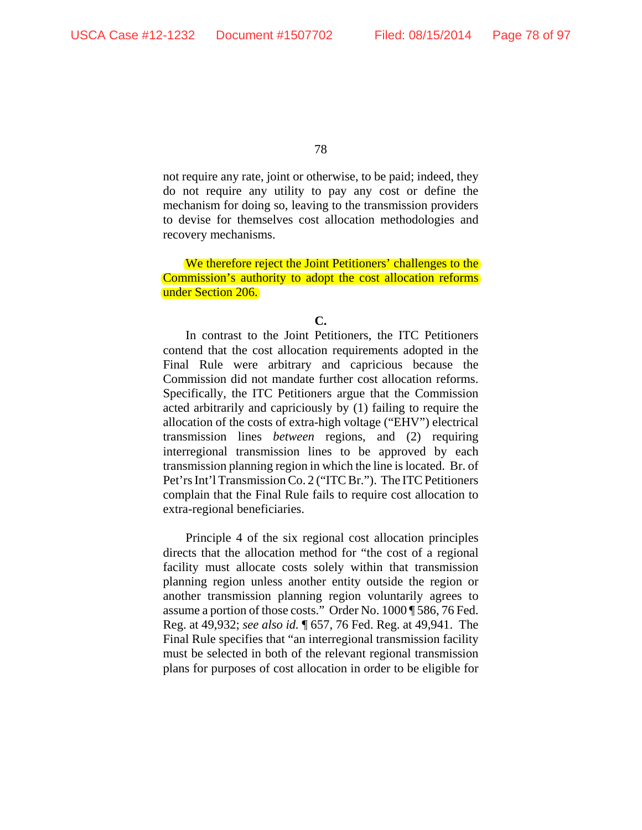not require any rate, joint or otherwise, to be paid; indeed, they do not require any utility to pay any cost or define the mechanism for doing so, leaving to the transmission providers to devise for themselves cost allocation methodologies and recovery mechanisms.

We therefore reject the Joint Petitioners' challenges to the Commission's authority to adopt the cost allocation reforms under Section 206.

In contrast to the Joint Petitioners, the ITC Petitioners contend that the cost allocation requirements adopted in the Final Rule were arbitrary and capricious because the Commission did not mandate further cost allocation reforms. Specifically, the ITC Petitioners argue that the Commission acted arbitrarily and capriciously by (1) failing to require the allocation of the costs of extra-high voltage ("EHV") electrical transmission lines *between* regions, and (2) requiring interregional transmission lines to be approved by each transmission planning region in which the line is located. Br. of Pet'rs Int'l Transmission Co. 2 ("ITC Br."). The ITC Petitioners complain that the Final Rule fails to require cost allocation to extra-regional beneficiaries.

Principle 4 of the six regional cost allocation principles directs that the allocation method for "the cost of a regional facility must allocate costs solely within that transmission planning region unless another entity outside the region or another transmission planning region voluntarily agrees to assume a portion of those costs." Order No. 1000 ¶ 586, 76 Fed. Reg. at 49,932; *see also id.* ¶ 657, 76 Fed. Reg. at 49,941. The Final Rule specifies that "an interregional transmission facility must be selected in both of the relevant regional transmission plans for purposes of cost allocation in order to be eligible for

**C.**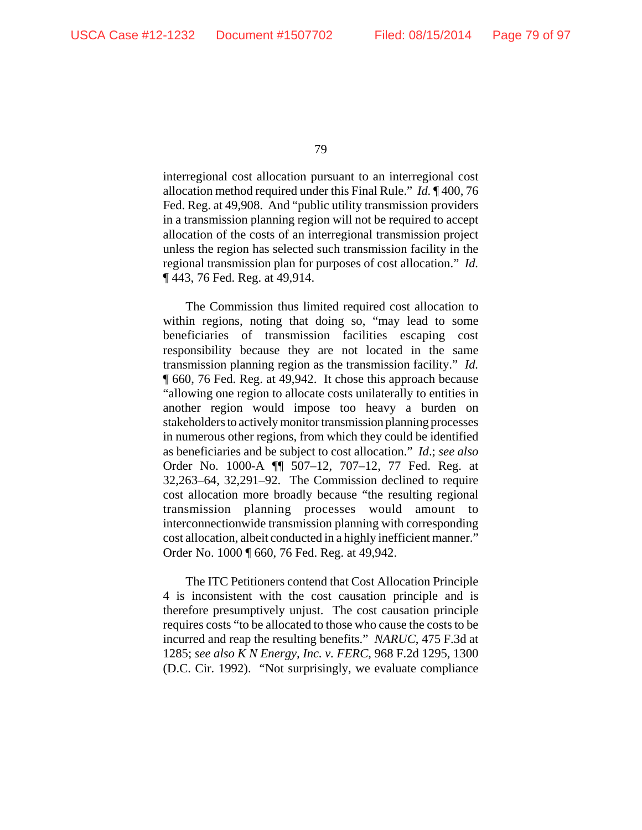interregional cost allocation pursuant to an interregional cost allocation method required under this Final Rule." *Id.* ¶ 400, 76 Fed. Reg. at 49,908. And "public utility transmission providers in a transmission planning region will not be required to accept allocation of the costs of an interregional transmission project unless the region has selected such transmission facility in the regional transmission plan for purposes of cost allocation." *Id.* ¶ 443, 76 Fed. Reg. at 49,914.

The Commission thus limited required cost allocation to within regions, noting that doing so, "may lead to some beneficiaries of transmission facilities escaping cost responsibility because they are not located in the same transmission planning region as the transmission facility." *Id.* ¶ 660, 76 Fed. Reg. at 49,942. It chose this approach because "allowing one region to allocate costs unilaterally to entities in another region would impose too heavy a burden on stakeholders to actively monitor transmission planning processes in numerous other regions, from which they could be identified as beneficiaries and be subject to cost allocation." *Id*.; *see also* Order No. 1000-A ¶¶ 507–12, 707–12, 77 Fed. Reg. at 32,263–64, 32,291–92. The Commission declined to require cost allocation more broadly because "the resulting regional transmission planning processes would amount to interconnectionwide transmission planning with corresponding cost allocation, albeit conducted in a highly inefficient manner." Order No. 1000 ¶ 660, 76 Fed. Reg. at 49,942.

The ITC Petitioners contend that Cost Allocation Principle 4 is inconsistent with the cost causation principle and is therefore presumptively unjust. The cost causation principle requires costs "to be allocated to those who cause the costs to be incurred and reap the resulting benefits." *NARUC*, 475 F.3d at 1285; *see also K N Energy, Inc. v. FERC*, 968 F.2d 1295, 1300 (D.C. Cir. 1992). "Not surprisingly, we evaluate compliance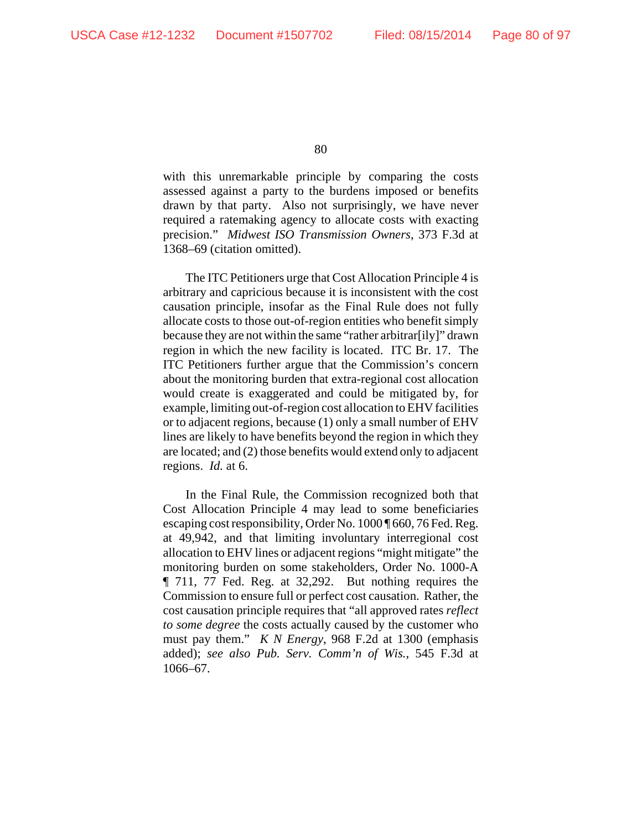with this unremarkable principle by comparing the costs assessed against a party to the burdens imposed or benefits drawn by that party. Also not surprisingly, we have never required a ratemaking agency to allocate costs with exacting precision." *Midwest ISO Transmission Owners*, 373 F.3d at 1368–69 (citation omitted).

The ITC Petitioners urge that Cost Allocation Principle 4 is arbitrary and capricious because it is inconsistent with the cost causation principle, insofar as the Final Rule does not fully allocate costs to those out-of-region entities who benefit simply because they are not within the same "rather arbitrar[ily]" drawn region in which the new facility is located. ITC Br. 17. The ITC Petitioners further argue that the Commission's concern about the monitoring burden that extra-regional cost allocation would create is exaggerated and could be mitigated by, for example, limiting out-of-region cost allocation to EHV facilities or to adjacent regions, because (1) only a small number of EHV lines are likely to have benefits beyond the region in which they are located; and (2) those benefits would extend only to adjacent regions. *Id.* at 6.

In the Final Rule, the Commission recognized both that Cost Allocation Principle 4 may lead to some beneficiaries escaping cost responsibility, Order No. 1000 ¶ 660, 76 Fed. Reg. at 49,942, and that limiting involuntary interregional cost allocation to EHV lines or adjacent regions "might mitigate" the monitoring burden on some stakeholders, Order No. 1000-A ¶ 711, 77 Fed. Reg. at 32,292. But nothing requires the Commission to ensure full or perfect cost causation. Rather, the cost causation principle requires that "all approved rates *reflect to some degree* the costs actually caused by the customer who must pay them." *K N Energy*, 968 F.2d at 1300 (emphasis added); *see also Pub. Serv. Comm'n of Wis.*, 545 F.3d at 1066–67.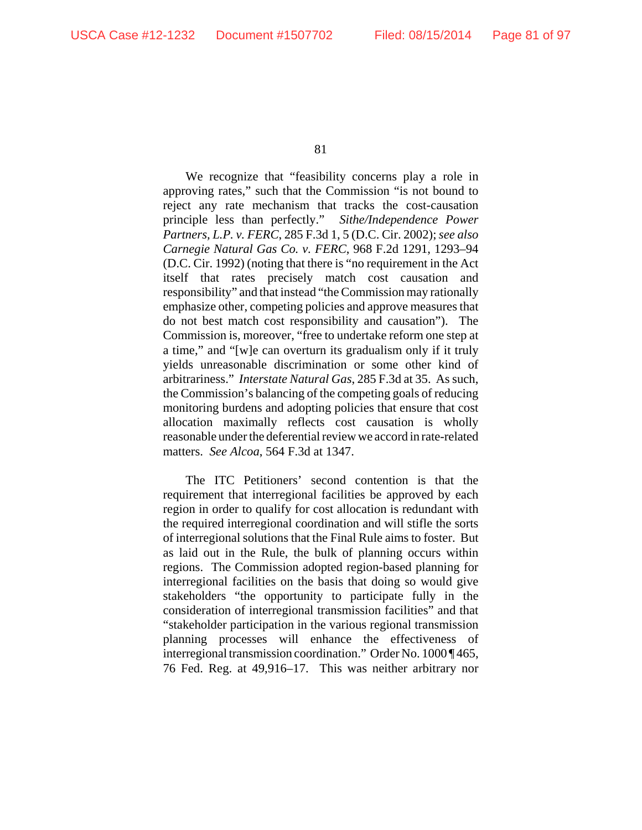We recognize that "feasibility concerns play a role in approving rates," such that the Commission "is not bound to reject any rate mechanism that tracks the cost-causation principle less than perfectly." *Sithe/Independence Power Partners, L.P. v. FERC*, 285 F.3d 1, 5 (D.C. Cir. 2002); *see also Carnegie Natural Gas Co. v. FERC*, 968 F.2d 1291, 1293–94 (D.C. Cir. 1992) (noting that there is "no requirement in the Act itself that rates precisely match cost causation and responsibility" and that instead "the Commission may rationally emphasize other, competing policies and approve measures that do not best match cost responsibility and causation"). The Commission is, moreover, "free to undertake reform one step at a time," and "[w]e can overturn its gradualism only if it truly yields unreasonable discrimination or some other kind of arbitrariness." *Interstate Natural Gas*, 285 F.3d at 35. As such, the Commission's balancing of the competing goals of reducing monitoring burdens and adopting policies that ensure that cost allocation maximally reflects cost causation is wholly reasonable under the deferential review we accord in rate-related matters. *See Alcoa*, 564 F.3d at 1347.

The ITC Petitioners' second contention is that the requirement that interregional facilities be approved by each region in order to qualify for cost allocation is redundant with the required interregional coordination and will stifle the sorts of interregional solutions that the Final Rule aims to foster. But as laid out in the Rule, the bulk of planning occurs within regions. The Commission adopted region-based planning for interregional facilities on the basis that doing so would give stakeholders "the opportunity to participate fully in the consideration of interregional transmission facilities" and that "stakeholder participation in the various regional transmission planning processes will enhance the effectiveness of interregional transmission coordination." Order No. 1000 ¶ 465, 76 Fed. Reg. at 49,916–17. This was neither arbitrary nor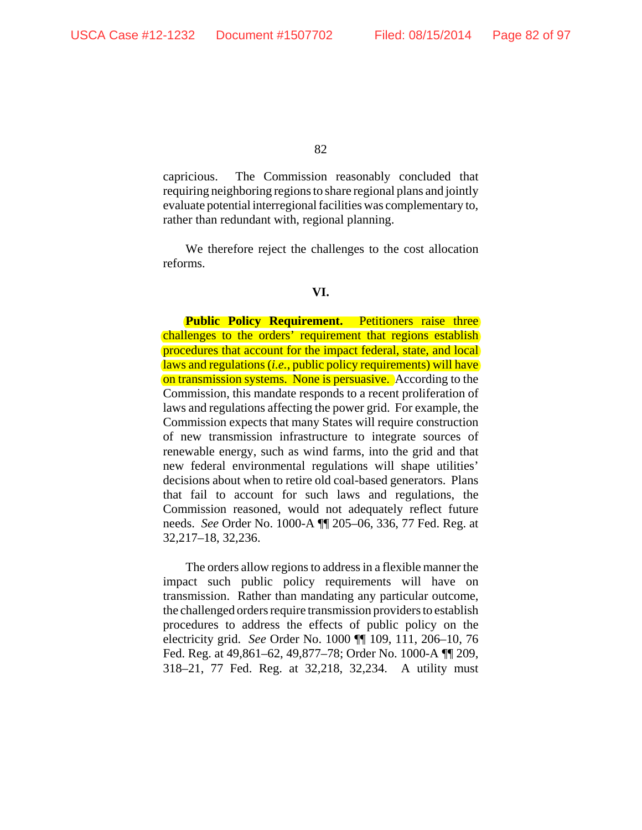capricious. The Commission reasonably concluded that requiring neighboring regions to share regional plans and jointly evaluate potential interregional facilities was complementary to, rather than redundant with, regional planning.

We therefore reject the challenges to the cost allocation reforms.

### **VI.**

**Public Policy Requirement.** Petitioners raise three challenges to the orders' requirement that regions establish procedures that account for the impact federal, state, and local laws and regulations (*i.e.*, public policy requirements) will have on transmission systems. None is persuasive. According to the Commission, this mandate responds to a recent proliferation of laws and regulations affecting the power grid. For example, the Commission expects that many States will require construction of new transmission infrastructure to integrate sources of renewable energy, such as wind farms, into the grid and that new federal environmental regulations will shape utilities' decisions about when to retire old coal-based generators. Plans that fail to account for such laws and regulations, the Commission reasoned, would not adequately reflect future needs. *See* Order No. 1000-A ¶¶ 205–06, 336, 77 Fed. Reg. at 32,217–18, 32,236.

The orders allow regions to address in a flexible manner the impact such public policy requirements will have on transmission. Rather than mandating any particular outcome, the challenged orders require transmission providers to establish procedures to address the effects of public policy on the electricity grid. *See* Order No. 1000 ¶¶ 109, 111, 206–10, 76 Fed. Reg. at 49,861–62, 49,877–78; Order No. 1000-A ¶¶ 209, 318–21, 77 Fed. Reg. at 32,218, 32,234. A utility must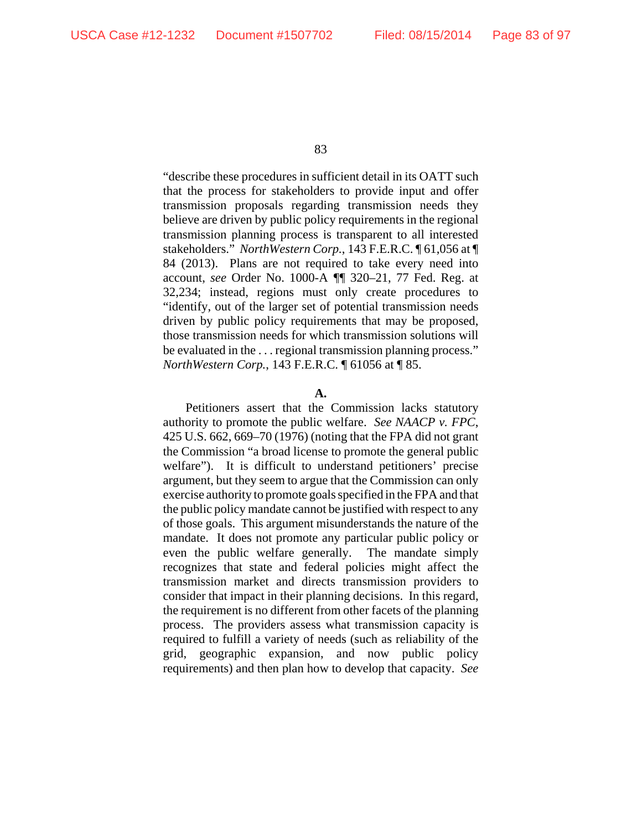"describe these procedures in sufficient detail in its OATT such that the process for stakeholders to provide input and offer transmission proposals regarding transmission needs they believe are driven by public policy requirements in the regional transmission planning process is transparent to all interested stakeholders." *NorthWestern Corp.*, 143 F.E.R.C. ¶ 61,056 at ¶ 84 (2013). Plans are not required to take every need into account, *see* Order No. 1000-A *¶*¶ 320–21, 77 Fed. Reg. at 32,234; instead, regions must only create procedures to "identify, out of the larger set of potential transmission needs driven by public policy requirements that may be proposed, those transmission needs for which transmission solutions will be evaluated in the . . . regional transmission planning process." *NorthWestern Corp.*, 143 F.E.R.C. ¶ 61056 at ¶ 85.

### **A.**

Petitioners assert that the Commission lacks statutory authority to promote the public welfare. *See NAACP v. FPC*, 425 U.S. 662, 669–70 (1976) (noting that the FPA did not grant the Commission "a broad license to promote the general public welfare"). It is difficult to understand petitioners' precise argument, but they seem to argue that the Commission can only exercise authority to promote goals specified in the FPA and that the public policy mandate cannot be justified with respect to any of those goals. This argument misunderstands the nature of the mandate. It does not promote any particular public policy or even the public welfare generally. The mandate simply recognizes that state and federal policies might affect the transmission market and directs transmission providers to consider that impact in their planning decisions. In this regard, the requirement is no different from other facets of the planning process. The providers assess what transmission capacity is required to fulfill a variety of needs (such as reliability of the grid, geographic expansion, and now public policy requirements) and then plan how to develop that capacity. *See*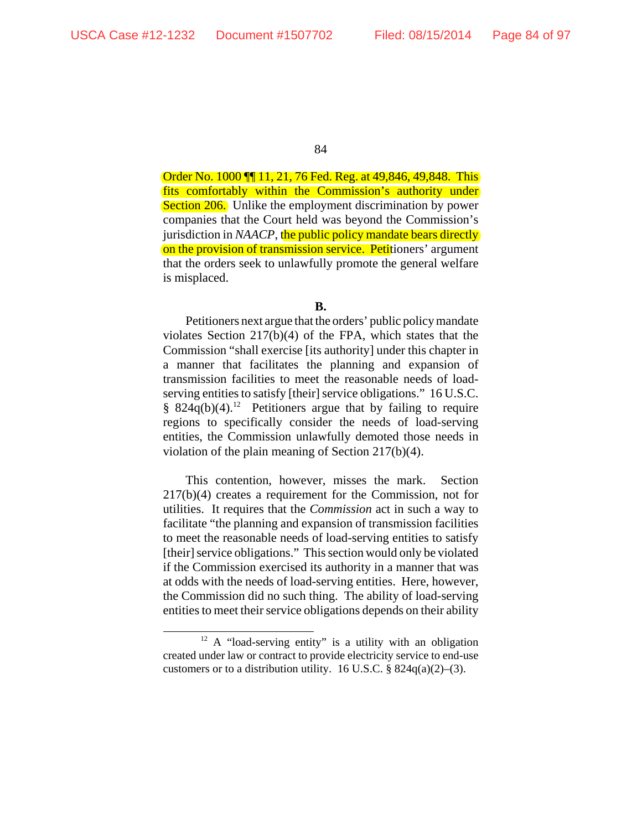Order No. 1000 ¶¶ 11, 21, 76 Fed. Reg. at 49,846, 49,848. This fits comfortably within the Commission's authority under Section 206. Unlike the employment discrimination by power companies that the Court held was beyond the Commission's jurisdiction in *NAACP*, the public policy mandate bears directly on the provision of transmission service. Petitioners' argument that the orders seek to unlawfully promote the general welfare is misplaced.

### **B.**

Petitioners next argue that the orders' public policy mandate violates Section 217(b)(4) of the FPA, which states that the Commission "shall exercise [its authority] under this chapter in a manner that facilitates the planning and expansion of transmission facilities to meet the reasonable needs of loadserving entities to satisfy [their] service obligations." 16 U.S.C. § 824 $q(b)(4)$ .<sup>12</sup> Petitioners argue that by failing to require regions to specifically consider the needs of load-serving entities, the Commission unlawfully demoted those needs in violation of the plain meaning of Section 217(b)(4).

This contention, however, misses the mark. Section 217(b)(4) creates a requirement for the Commission, not for utilities. It requires that the *Commission* act in such a way to facilitate "the planning and expansion of transmission facilities to meet the reasonable needs of load-serving entities to satisfy [their] service obligations." This section would only be violated if the Commission exercised its authority in a manner that was at odds with the needs of load-serving entities. Here, however, the Commission did no such thing. The ability of load-serving entities to meet their service obligations depends on their ability

<sup>&</sup>lt;sup>12</sup> A "load-serving entity" is a utility with an obligation created under law or contract to provide electricity service to end-use customers or to a distribution utility. 16 U.S.C.  $\S$  824q(a)(2)–(3).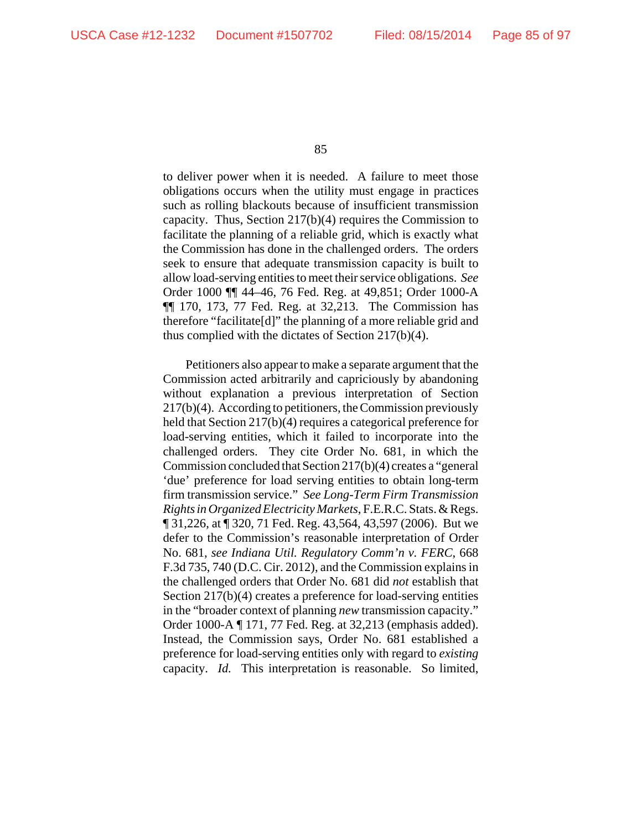to deliver power when it is needed. A failure to meet those obligations occurs when the utility must engage in practices such as rolling blackouts because of insufficient transmission capacity. Thus, Section 217(b)(4) requires the Commission to facilitate the planning of a reliable grid, which is exactly what the Commission has done in the challenged orders. The orders seek to ensure that adequate transmission capacity is built to allow load-serving entities to meet their service obligations. *See* Order 1000 ¶¶ 44–46, 76 Fed. Reg. at 49,851; Order 1000-A ¶¶ 170, 173, 77 Fed. Reg. at 32,213. The Commission has therefore "facilitate[d]" the planning of a more reliable grid and thus complied with the dictates of Section 217(b)(4).

Petitioners also appear to make a separate argument that the Commission acted arbitrarily and capriciously by abandoning without explanation a previous interpretation of Section 217(b)(4). According to petitioners, the Commission previously held that Section 217(b)(4) requires a categorical preference for load-serving entities, which it failed to incorporate into the challenged orders. They cite Order No. 681, in which the Commission concluded that Section 217(b)(4) creates a "general 'due' preference for load serving entities to obtain long-term firm transmission service." *See Long-Term Firm Transmission Rights in Organized Electricity Markets*, F.E.R.C. Stats. & Regs. ¶ 31,226, at ¶ 320, 71 Fed. Reg. 43,564, 43,597 (2006). But we defer to the Commission's reasonable interpretation of Order No. 681, *see Indiana Util. Regulatory Comm'n v. FERC*, 668 F.3d 735, 740 (D.C. Cir. 2012), and the Commission explains in the challenged orders that Order No. 681 did *not* establish that Section 217(b)(4) creates a preference for load-serving entities in the "broader context of planning *new* transmission capacity." Order 1000-A ¶ 171, 77 Fed. Reg. at 32,213 (emphasis added). Instead, the Commission says, Order No. 681 established a preference for load-serving entities only with regard to *existing* capacity. *Id.* This interpretation is reasonable. So limited,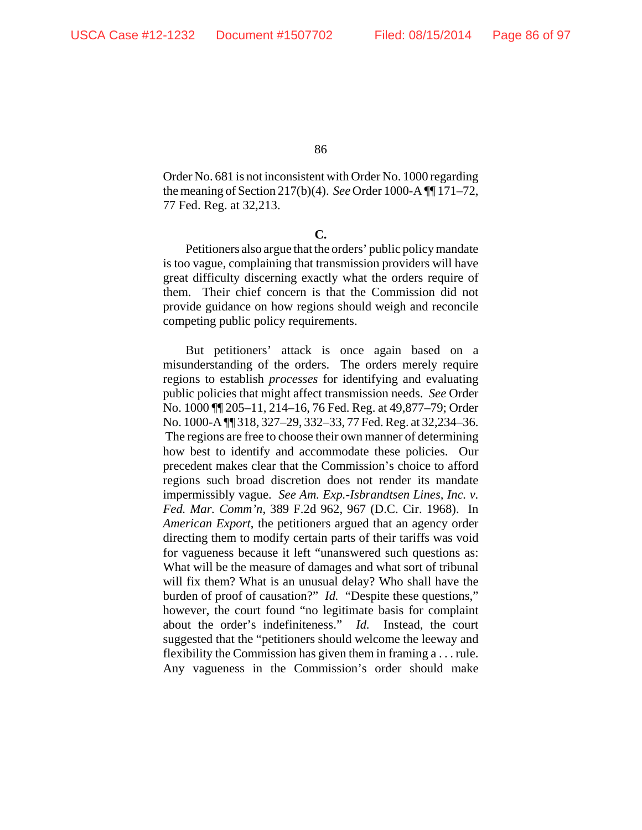Order No. 681 is not inconsistent with Order No. 1000 regarding the meaning of Section 217(b)(4). *See* Order 1000-A ¶¶ 171–72, 77 Fed. Reg. at 32,213.

**C.**

Petitioners also argue that the orders' public policy mandate is too vague, complaining that transmission providers will have great difficulty discerning exactly what the orders require of them. Their chief concern is that the Commission did not provide guidance on how regions should weigh and reconcile competing public policy requirements.

But petitioners' attack is once again based on a misunderstanding of the orders. The orders merely require regions to establish *processes* for identifying and evaluating public policies that might affect transmission needs. *See* Order No. 1000 ¶¶ 205–11, 214–16, 76 Fed. Reg. at 49,877–79; Order No. 1000-A ¶¶ 318, 327–29, 332–33, 77 Fed. Reg. at 32,234–36. The regions are free to choose their own manner of determining how best to identify and accommodate these policies. Our precedent makes clear that the Commission's choice to afford regions such broad discretion does not render its mandate impermissibly vague. *See Am. Exp.-Isbrandtsen Lines, Inc. v. Fed. Mar. Comm'n*, 389 F.2d 962, 967 (D.C. Cir. 1968). In *American Export*, the petitioners argued that an agency order directing them to modify certain parts of their tariffs was void for vagueness because it left "unanswered such questions as: What will be the measure of damages and what sort of tribunal will fix them? What is an unusual delay? Who shall have the burden of proof of causation?" *Id.* "Despite these questions," however, the court found "no legitimate basis for complaint about the order's indefiniteness." *Id.* Instead, the court suggested that the "petitioners should welcome the leeway and flexibility the Commission has given them in framing a . . . rule. Any vagueness in the Commission's order should make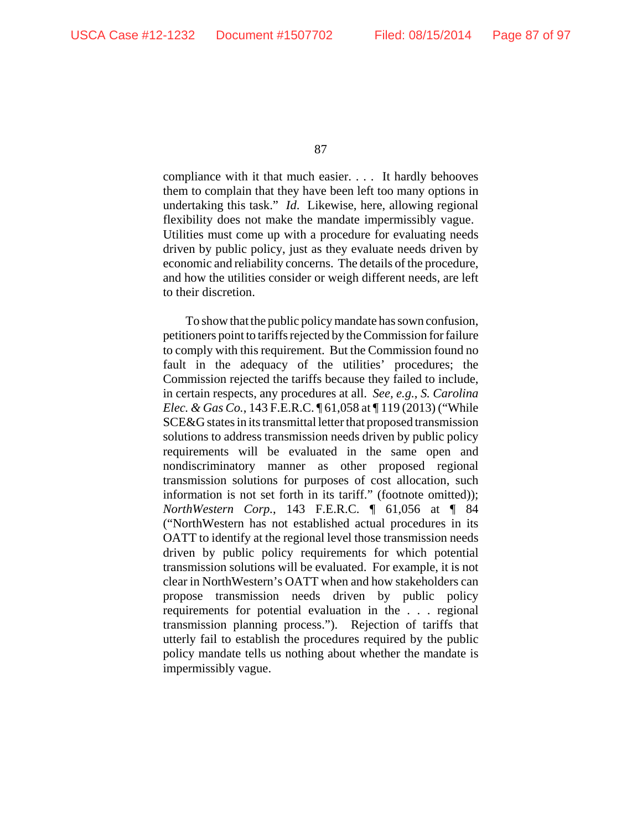compliance with it that much easier. . . . It hardly behooves them to complain that they have been left too many options in undertaking this task." *Id*. Likewise, here, allowing regional flexibility does not make the mandate impermissibly vague. Utilities must come up with a procedure for evaluating needs driven by public policy, just as they evaluate needs driven by economic and reliability concerns. The details of the procedure, and how the utilities consider or weigh different needs, are left to their discretion.

To show that the public policy mandate has sown confusion, petitioners point to tariffs rejected by the Commission for failure to comply with this requirement. But the Commission found no fault in the adequacy of the utilities' procedures; the Commission rejected the tariffs because they failed to include, in certain respects, any procedures at all. *See, e.g.*, *S. Carolina Elec. & Gas Co.*, 143 F.E.R.C. ¶ 61,058 at ¶ 119 (2013) ("While SCE&G states in its transmittal letter that proposed transmission solutions to address transmission needs driven by public policy requirements will be evaluated in the same open and nondiscriminatory manner as other proposed regional transmission solutions for purposes of cost allocation, such information is not set forth in its tariff." (footnote omitted)); *NorthWestern Corp.*, 143 F.E.R.C. ¶ 61,056 at ¶ 84 ("NorthWestern has not established actual procedures in its OATT to identify at the regional level those transmission needs driven by public policy requirements for which potential transmission solutions will be evaluated. For example, it is not clear in NorthWestern's OATT when and how stakeholders can propose transmission needs driven by public policy requirements for potential evaluation in the . . . regional transmission planning process."). Rejection of tariffs that utterly fail to establish the procedures required by the public policy mandate tells us nothing about whether the mandate is impermissibly vague.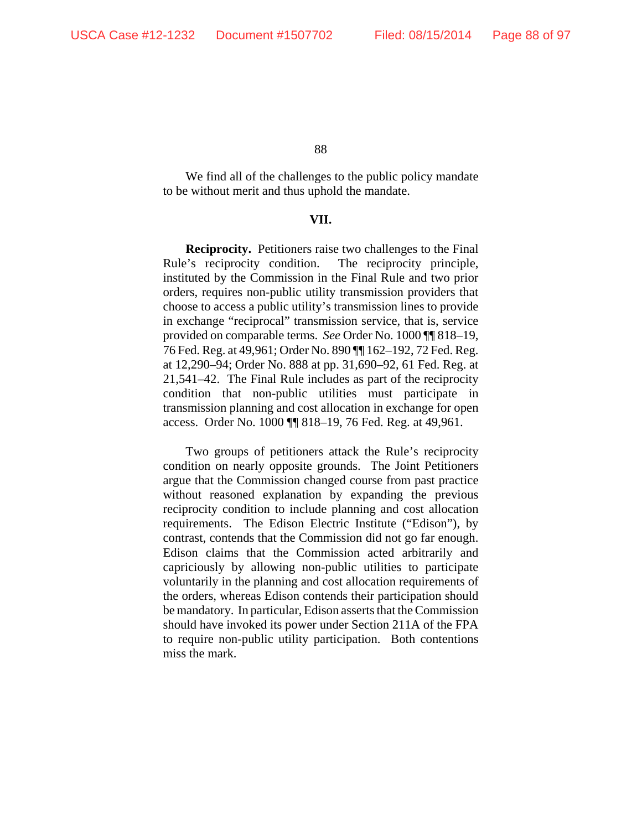We find all of the challenges to the public policy mandate to be without merit and thus uphold the mandate.

# **VII.**

**Reciprocity.** Petitioners raise two challenges to the Final Rule's reciprocity condition. The reciprocity principle, instituted by the Commission in the Final Rule and two prior orders, requires non-public utility transmission providers that choose to access a public utility's transmission lines to provide in exchange "reciprocal" transmission service, that is, service provided on comparable terms. *See* Order No. 1000 ¶¶ 818–19, 76 Fed. Reg. at 49,961; Order No. 890 ¶¶ 162–192, 72 Fed. Reg. at 12,290–94; Order No. 888 at pp. 31,690–92, 61 Fed. Reg. at 21,541–42. The Final Rule includes as part of the reciprocity condition that non-public utilities must participate in transmission planning and cost allocation in exchange for open access. Order No. 1000 ¶¶ 818–19, 76 Fed. Reg. at 49,961.

Two groups of petitioners attack the Rule's reciprocity condition on nearly opposite grounds. The Joint Petitioners argue that the Commission changed course from past practice without reasoned explanation by expanding the previous reciprocity condition to include planning and cost allocation requirements. The Edison Electric Institute ("Edison"), by contrast, contends that the Commission did not go far enough. Edison claims that the Commission acted arbitrarily and capriciously by allowing non-public utilities to participate voluntarily in the planning and cost allocation requirements of the orders, whereas Edison contends their participation should be mandatory. In particular, Edison asserts that the Commission should have invoked its power under Section 211A of the FPA to require non-public utility participation. Both contentions miss the mark.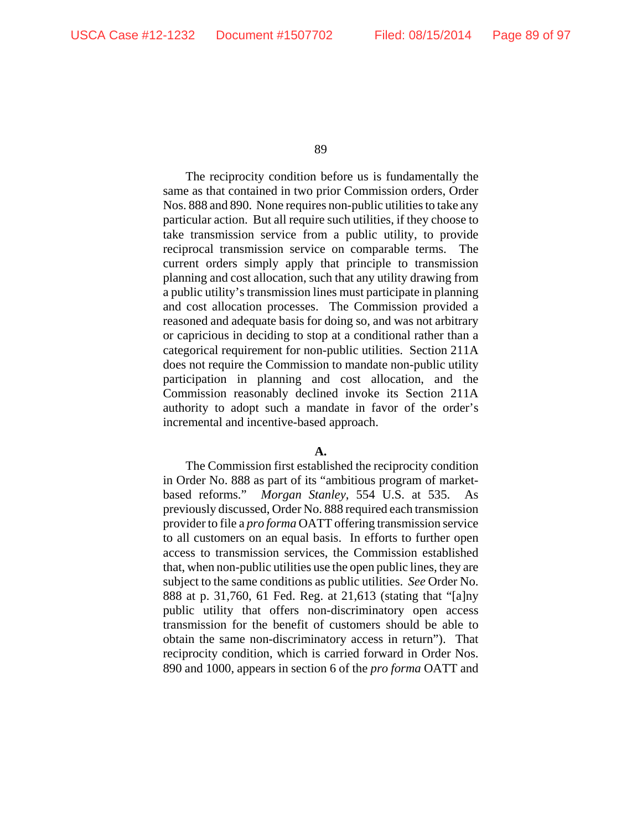The reciprocity condition before us is fundamentally the same as that contained in two prior Commission orders, Order Nos. 888 and 890. None requires non-public utilities to take any particular action. But all require such utilities, if they choose to take transmission service from a public utility, to provide reciprocal transmission service on comparable terms. The current orders simply apply that principle to transmission planning and cost allocation, such that any utility drawing from a public utility's transmission lines must participate in planning and cost allocation processes. The Commission provided a reasoned and adequate basis for doing so, and was not arbitrary or capricious in deciding to stop at a conditional rather than a categorical requirement for non-public utilities. Section 211A does not require the Commission to mandate non-public utility participation in planning and cost allocation, and the Commission reasonably declined invoke its Section 211A authority to adopt such a mandate in favor of the order's incremental and incentive-based approach.

## **A.**

The Commission first established the reciprocity condition in Order No. 888 as part of its "ambitious program of marketbased reforms." *Morgan Stanley*, 554 U.S. at 535. As previously discussed, Order No. 888 required each transmission provider to file a *pro forma* OATT offering transmission service to all customers on an equal basis. In efforts to further open access to transmission services, the Commission established that, when non-public utilities use the open public lines, they are subject to the same conditions as public utilities. *See* Order No. 888 at p. 31,760, 61 Fed. Reg. at 21,613 (stating that "[a]ny public utility that offers non-discriminatory open access transmission for the benefit of customers should be able to obtain the same non-discriminatory access in return"). That reciprocity condition, which is carried forward in Order Nos. 890 and 1000, appears in section 6 of the *pro forma* OATT and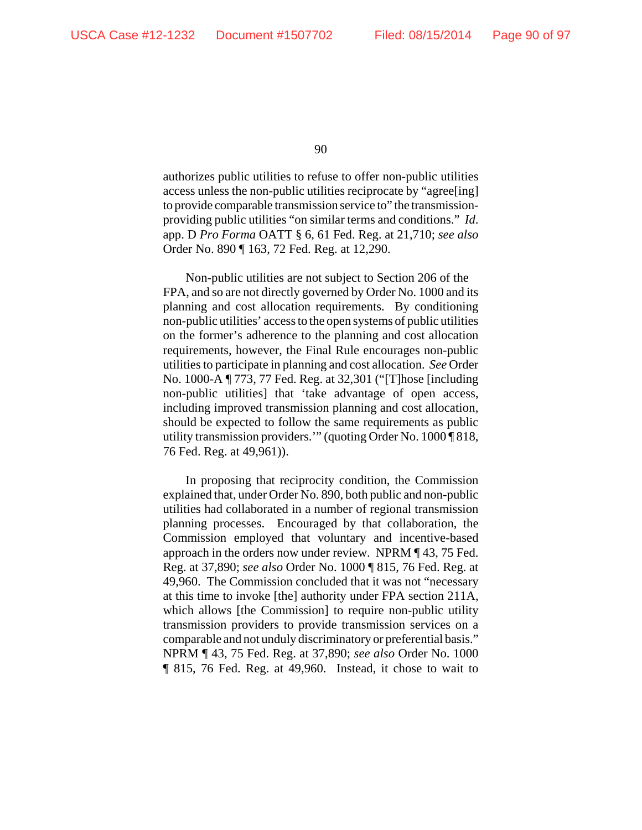authorizes public utilities to refuse to offer non-public utilities access unless the non-public utilities reciprocate by "agree[ing] to provide comparable transmission service to" the transmissionproviding public utilities "on similar terms and conditions." *Id*. app. D *Pro Forma* OATT § 6, 61 Fed. Reg. at 21,710; *see also* Order No. 890 ¶ 163, 72 Fed. Reg. at 12,290.

Non-public utilities are not subject to Section 206 of the FPA, and so are not directly governed by Order No. 1000 and its planning and cost allocation requirements. By conditioning non-public utilities' access to the open systems of public utilities on the former's adherence to the planning and cost allocation requirements, however, the Final Rule encourages non-public utilities to participate in planning and cost allocation. *See* Order No. 1000-A ¶ 773, 77 Fed. Reg. at 32,301 ("[T]hose [including non-public utilities] that 'take advantage of open access, including improved transmission planning and cost allocation, should be expected to follow the same requirements as public utility transmission providers.'" (quoting Order No. 1000 ¶ 818, 76 Fed. Reg. at 49,961)).

In proposing that reciprocity condition, the Commission explained that, under Order No. 890, both public and non-public utilities had collaborated in a number of regional transmission planning processes. Encouraged by that collaboration, the Commission employed that voluntary and incentive-based approach in the orders now under review. NPRM ¶ 43, 75 Fed. Reg. at 37,890; *see also* Order No. 1000 ¶ 815, 76 Fed. Reg. at 49,960. The Commission concluded that it was not "necessary at this time to invoke [the] authority under FPA section 211A, which allows [the Commission] to require non-public utility transmission providers to provide transmission services on a comparable and not unduly discriminatory or preferential basis." NPRM ¶ 43, 75 Fed. Reg. at 37,890; *see also* Order No. 1000 ¶ 815, 76 Fed. Reg. at 49,960. Instead, it chose to wait to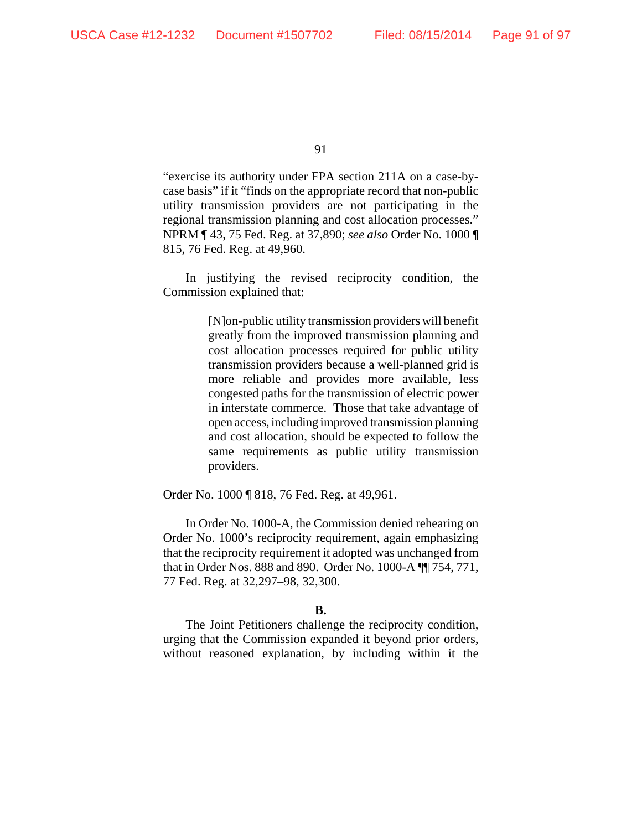"exercise its authority under FPA section 211A on a case-bycase basis" if it "finds on the appropriate record that non-public utility transmission providers are not participating in the regional transmission planning and cost allocation processes." NPRM ¶ 43, 75 Fed. Reg. at 37,890; *see also* Order No. 1000 ¶ 815, 76 Fed. Reg. at 49,960.

In justifying the revised reciprocity condition, the Commission explained that:

> [N]on-public utility transmission providers will benefit greatly from the improved transmission planning and cost allocation processes required for public utility transmission providers because a well-planned grid is more reliable and provides more available, less congested paths for the transmission of electric power in interstate commerce. Those that take advantage of open access, including improved transmission planning and cost allocation, should be expected to follow the same requirements as public utility transmission providers.

Order No. 1000 ¶ 818, 76 Fed. Reg. at 49,961.

In Order No. 1000-A, the Commission denied rehearing on Order No. 1000's reciprocity requirement, again emphasizing that the reciprocity requirement it adopted was unchanged from that in Order Nos. 888 and 890. Order No. 1000-A ¶¶ 754, 771, 77 Fed. Reg. at 32,297–98, 32,300.

## **B.**

The Joint Petitioners challenge the reciprocity condition, urging that the Commission expanded it beyond prior orders, without reasoned explanation, by including within it the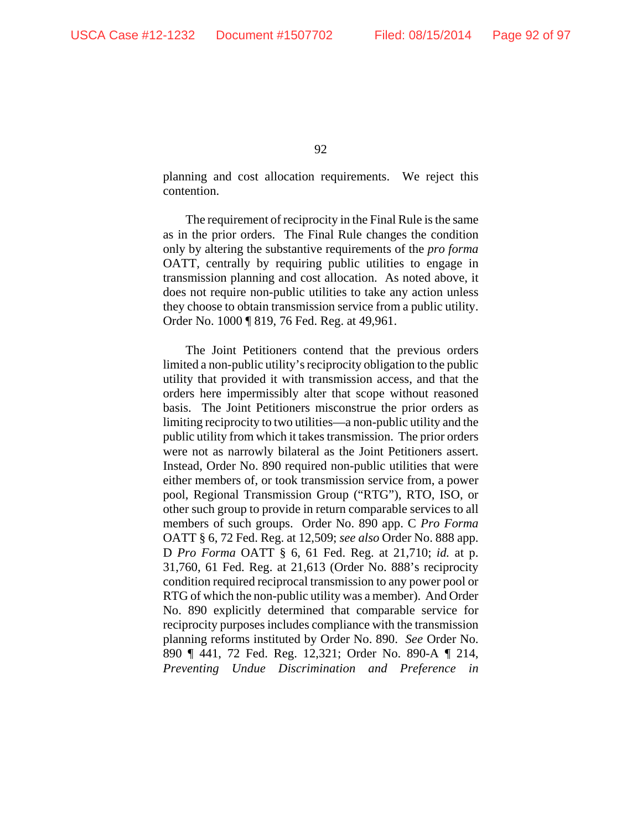planning and cost allocation requirements. We reject this contention.

The requirement of reciprocity in the Final Rule is the same as in the prior orders. The Final Rule changes the condition only by altering the substantive requirements of the *pro forma* OATT, centrally by requiring public utilities to engage in transmission planning and cost allocation. As noted above, it does not require non-public utilities to take any action unless they choose to obtain transmission service from a public utility. Order No. 1000 ¶ 819, 76 Fed. Reg. at 49,961.

The Joint Petitioners contend that the previous orders limited a non-public utility's reciprocity obligation to the public utility that provided it with transmission access, and that the orders here impermissibly alter that scope without reasoned basis. The Joint Petitioners misconstrue the prior orders as limiting reciprocity to two utilities—a non-public utility and the public utility from which it takes transmission. The prior orders were not as narrowly bilateral as the Joint Petitioners assert. Instead, Order No. 890 required non-public utilities that were either members of, or took transmission service from, a power pool, Regional Transmission Group ("RTG"), RTO, ISO, or other such group to provide in return comparable services to all members of such groups. Order No. 890 app. C *Pro Forma* OATT § 6, 72 Fed. Reg. at 12,509; *see also* Order No. 888 app. D *Pro Forma* OATT § 6, 61 Fed. Reg. at 21,710; *id.* at p. 31,760, 61 Fed. Reg. at 21,613 (Order No. 888's reciprocity condition required reciprocal transmission to any power pool or RTG of which the non-public utility was a member). And Order No. 890 explicitly determined that comparable service for reciprocity purposes includes compliance with the transmission planning reforms instituted by Order No. 890. *See* Order No. 890 ¶ 441, 72 Fed. Reg. 12,321; Order No. 890-A ¶ 214, *Preventing Undue Discrimination and Preference in*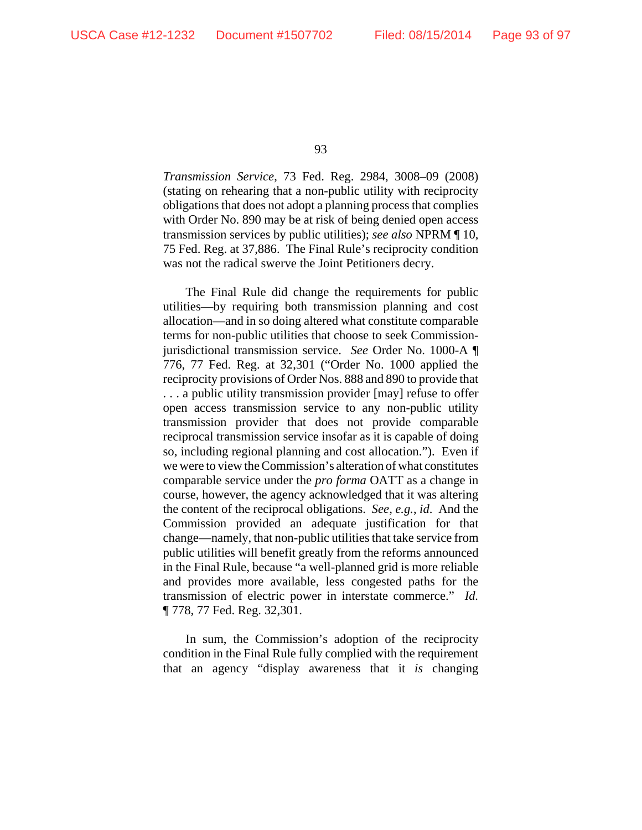*Transmission Service*, 73 Fed. Reg. 2984, 3008–09 (2008) (stating on rehearing that a non-public utility with reciprocity obligations that does not adopt a planning process that complies with Order No. 890 may be at risk of being denied open access transmission services by public utilities); *see also* NPRM ¶ 10, 75 Fed. Reg. at 37,886. The Final Rule's reciprocity condition was not the radical swerve the Joint Petitioners decry.

The Final Rule did change the requirements for public utilities—by requiring both transmission planning and cost allocation—and in so doing altered what constitute comparable terms for non-public utilities that choose to seek Commissionjurisdictional transmission service. *See* Order No. 1000-A ¶ 776, 77 Fed. Reg. at 32,301 ("Order No. 1000 applied the reciprocity provisions of Order Nos. 888 and 890 to provide that . . . a public utility transmission provider [may] refuse to offer open access transmission service to any non-public utility transmission provider that does not provide comparable reciprocal transmission service insofar as it is capable of doing so, including regional planning and cost allocation."). Even if we were to view the Commission's alteration of what constitutes comparable service under the *pro forma* OATT as a change in course, however, the agency acknowledged that it was altering the content of the reciprocal obligations. *See, e.g.*, *id*. And the Commission provided an adequate justification for that change—namely, that non-public utilities that take service from public utilities will benefit greatly from the reforms announced in the Final Rule, because "a well-planned grid is more reliable and provides more available, less congested paths for the transmission of electric power in interstate commerce." *Id.* ¶ 778, 77 Fed. Reg. 32,301.

In sum, the Commission's adoption of the reciprocity condition in the Final Rule fully complied with the requirement that an agency "display awareness that it *is* changing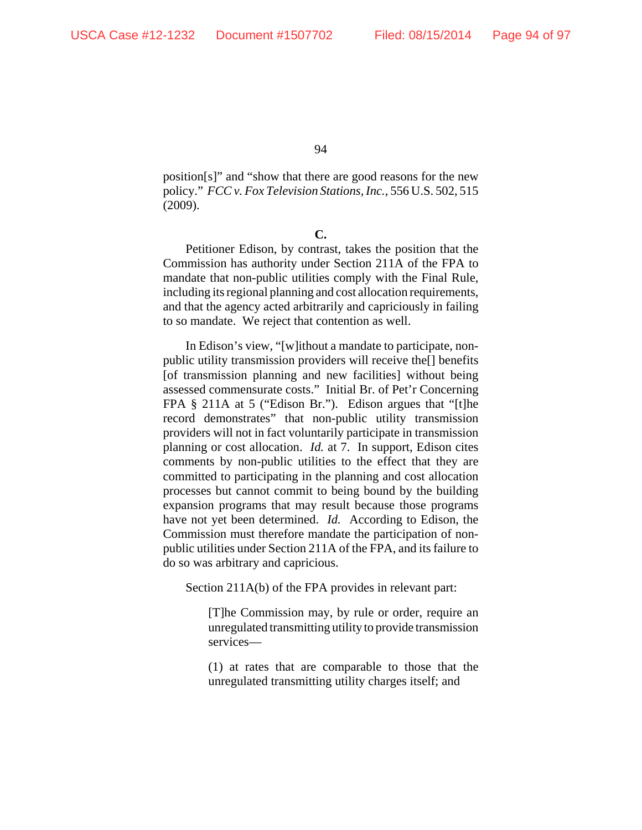position[s]" and "show that there are good reasons for the new policy." *FCC v. Fox Television Stations, Inc.*, 556 U.S. 502, 515 (2009).

**C.**

Petitioner Edison, by contrast, takes the position that the Commission has authority under Section 211A of the FPA to mandate that non-public utilities comply with the Final Rule, including its regional planning and cost allocation requirements, and that the agency acted arbitrarily and capriciously in failing to so mandate. We reject that contention as well.

In Edison's view, "[w]ithout a mandate to participate, nonpublic utility transmission providers will receive the[] benefits [of transmission planning and new facilities] without being assessed commensurate costs." Initial Br. of Pet'r Concerning FPA § 211A at 5 ("Edison Br."). Edison argues that "[t]he record demonstrates" that non-public utility transmission providers will not in fact voluntarily participate in transmission planning or cost allocation. *Id.* at 7. In support, Edison cites comments by non-public utilities to the effect that they are committed to participating in the planning and cost allocation processes but cannot commit to being bound by the building expansion programs that may result because those programs have not yet been determined. *Id.* According to Edison, the Commission must therefore mandate the participation of nonpublic utilities under Section 211A of the FPA, and its failure to do so was arbitrary and capricious.

Section 211A(b) of the FPA provides in relevant part:

[T]he Commission may, by rule or order, require an unregulated transmitting utility to provide transmission services—

(1) at rates that are comparable to those that the unregulated transmitting utility charges itself; and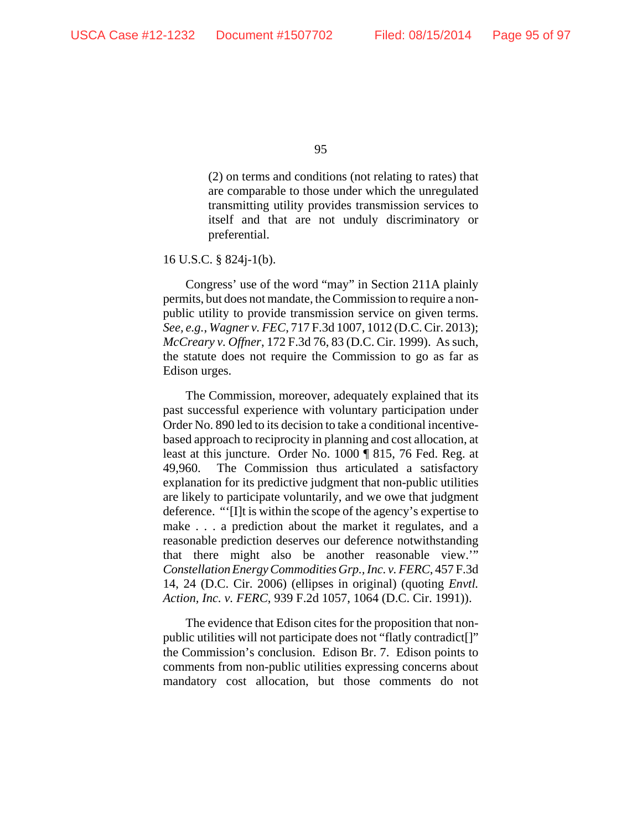(2) on terms and conditions (not relating to rates) that are comparable to those under which the unregulated transmitting utility provides transmission services to itself and that are not unduly discriminatory or preferential.

16 U.S.C. § 824j-1(b).

Congress' use of the word "may" in Section 211A plainly permits, but does not mandate, the Commission to require a nonpublic utility to provide transmission service on given terms. *See, e.g.*, *Wagner v. FEC*, 717 F.3d 1007, 1012 (D.C. Cir. 2013); *McCreary v. Offner*, 172 F.3d 76, 83 (D.C. Cir. 1999). As such, the statute does not require the Commission to go as far as Edison urges.

The Commission, moreover, adequately explained that its past successful experience with voluntary participation under Order No. 890 led to its decision to take a conditional incentivebased approach to reciprocity in planning and cost allocation, at least at this juncture. Order No. 1000 ¶ 815, 76 Fed. Reg. at 49,960. The Commission thus articulated a satisfactory explanation for its predictive judgment that non-public utilities are likely to participate voluntarily, and we owe that judgment deference. "'[I]t is within the scope of the agency's expertise to make . . . a prediction about the market it regulates, and a reasonable prediction deserves our deference notwithstanding that there might also be another reasonable view.'" *Constellation Energy Commodities Grp., Inc. v. FERC*, 457 F.3d 14, 24 (D.C. Cir. 2006) (ellipses in original) (quoting *Envtl. Action, Inc. v. FERC*, 939 F.2d 1057, 1064 (D.C. Cir. 1991)).

The evidence that Edison cites for the proposition that nonpublic utilities will not participate does not "flatly contradict[]" the Commission's conclusion. Edison Br. 7. Edison points to comments from non-public utilities expressing concerns about mandatory cost allocation, but those comments do not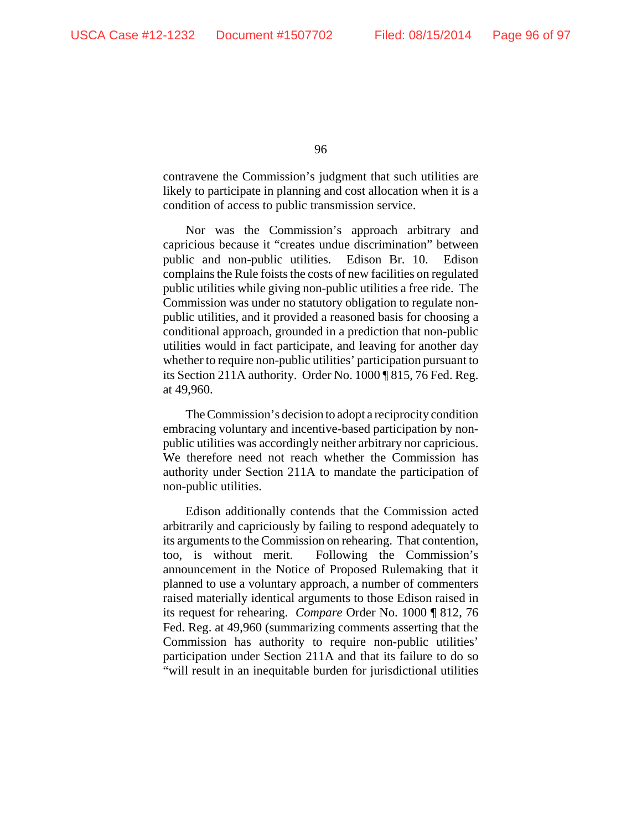contravene the Commission's judgment that such utilities are likely to participate in planning and cost allocation when it is a condition of access to public transmission service.

Nor was the Commission's approach arbitrary and capricious because it "creates undue discrimination" between public and non-public utilities. Edison Br. 10. Edison complains the Rule foists the costs of new facilities on regulated public utilities while giving non-public utilities a free ride. The Commission was under no statutory obligation to regulate nonpublic utilities, and it provided a reasoned basis for choosing a conditional approach, grounded in a prediction that non-public utilities would in fact participate, and leaving for another day whether to require non-public utilities' participation pursuant to its Section 211A authority. Order No. 1000 ¶ 815, 76 Fed. Reg. at 49,960.

The Commission's decision to adopt a reciprocity condition embracing voluntary and incentive-based participation by nonpublic utilities was accordingly neither arbitrary nor capricious. We therefore need not reach whether the Commission has authority under Section 211A to mandate the participation of non-public utilities.

Edison additionally contends that the Commission acted arbitrarily and capriciously by failing to respond adequately to its arguments to the Commission on rehearing. That contention, too, is without merit. Following the Commission's announcement in the Notice of Proposed Rulemaking that it planned to use a voluntary approach, a number of commenters raised materially identical arguments to those Edison raised in its request for rehearing. *Compare* Order No. 1000 ¶ 812, 76 Fed. Reg. at 49,960 (summarizing comments asserting that the Commission has authority to require non-public utilities' participation under Section 211A and that its failure to do so "will result in an inequitable burden for jurisdictional utilities